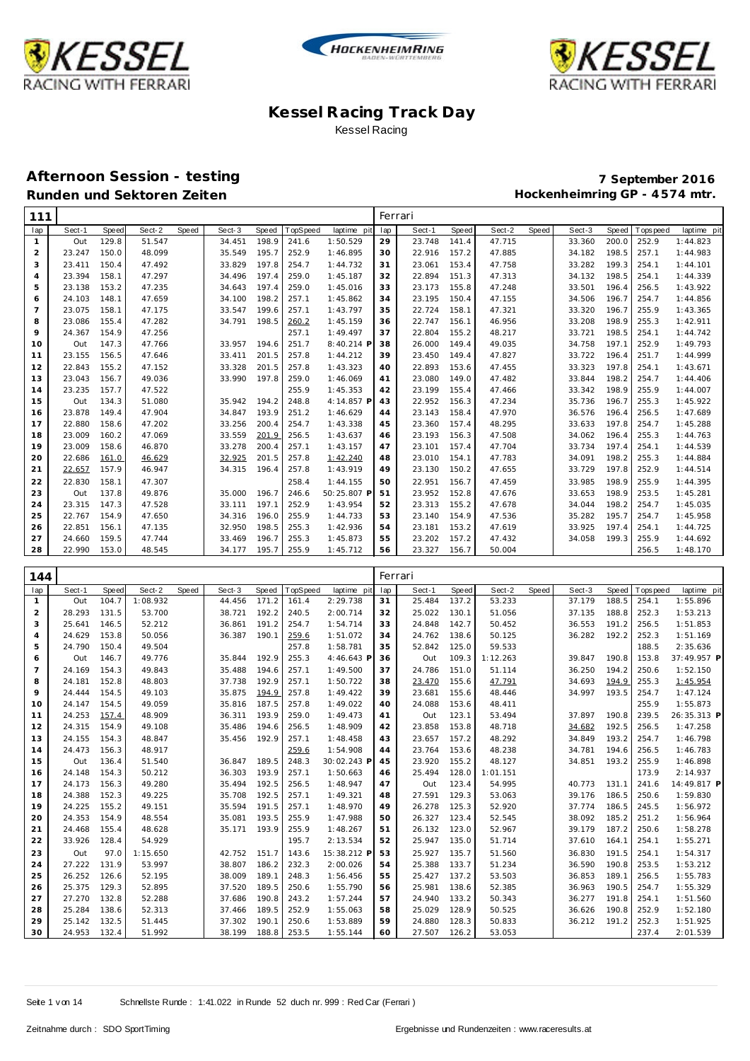





# **Afternoon Session - testing 7 September 2016**

| 111            |        |       |        |       |        |       |         |             | Ferrari |        |       |        |       |        |       |            |             |
|----------------|--------|-------|--------|-------|--------|-------|---------|-------------|---------|--------|-------|--------|-------|--------|-------|------------|-------------|
| lap            | Sect-1 | Speed | Sect-2 | Speed | Sect-3 | Speed | opSpeed | laptime pit | lap     | Sect-1 | Speed | Sect-2 | Speed | Sect-3 | Speed | T ops peed | laptime pit |
| $\mathbf{1}$   | Out    | 129.8 | 51.547 |       | 34.451 | 198.9 | 241.6   | 1:50.529    | 29      | 23.748 | 141.4 | 47.715 |       | 33.360 | 200.0 | 252.9      | 1:44.823    |
| $\overline{2}$ | 23.247 | 150.0 | 48.099 |       | 35.549 | 195.7 | 252.9   | 1:46.895    | 30      | 22.916 | 157.2 | 47.885 |       | 34.182 | 198.5 | 257.1      | 1:44.983    |
| 3              | 23.411 | 150.4 | 47.492 |       | 33.829 | 197.8 | 254.7   | 1:44.732    | 31      | 23.061 | 153.4 | 47.758 |       | 33.282 | 199.3 | 254.1      | 1:44.101    |
| $\overline{a}$ | 23.394 | 158.1 | 47.297 |       | 34.496 | 197.4 | 259.0   | 1:45.187    | 32      | 22.894 | 151.3 | 47.313 |       | 34.132 | 198.5 | 254.1      | 1:44.339    |
| 5              | 23.138 | 153.2 | 47.235 |       | 34.643 | 197.4 | 259.0   | 1:45.016    | 33      | 23.173 | 155.8 | 47.248 |       | 33.501 | 196.4 | 256.5      | 1:43.922    |
| 6              | 24.103 | 148.1 | 47.659 |       | 34.100 | 198.2 | 257.1   | 1:45.862    | 34      | 23.195 | 150.4 | 47.155 |       | 34.506 | 196.7 | 254.7      | 1:44.856    |
| $\overline{7}$ | 23.075 | 158.1 | 47.175 |       | 33.547 | 199.6 | 257.1   | 1:43.797    | 35      | 22.724 | 158.1 | 47.321 |       | 33.320 | 196.7 | 255.9      | 1:43.365    |
| 8              | 23.086 | 155.4 | 47.282 |       | 34.791 | 198.5 | 260.2   | 1:45.159    | 36      | 22.747 | 156.1 | 46.956 |       | 33.208 | 198.9 | 255.3      | 1:42.911    |
| 9              | 24.367 | 154.9 | 47.256 |       |        |       | 257.1   | 1:49.497    | 37      | 22.804 | 155.2 | 48.217 |       | 33.721 | 198.5 | 254.1      | 1:44.742    |
| 10             | Out    | 147.3 | 47.766 |       | 33.957 | 194.6 | 251.7   | 8:40.214 P  | 38      | 26.000 | 149.4 | 49.035 |       | 34.758 | 197.1 | 252.9      | 1:49.793    |
| 11             | 23.155 | 156.5 | 47.646 |       | 33.411 | 201.5 | 257.8   | 1:44.212    | 39      | 23.450 | 149.4 | 47.827 |       | 33.722 | 196.4 | 251.7      | 1:44.999    |
| 12             | 22.843 | 155.2 | 47.152 |       | 33.328 | 201.5 | 257.8   | 1:43.323    | 40      | 22.893 | 153.6 | 47.455 |       | 33.323 | 197.8 | 254.1      | 1:43.671    |
| 13             | 23.043 | 156.7 | 49.036 |       | 33.990 | 197.8 | 259.0   | 1:46.069    | 41      | 23.080 | 149.0 | 47.482 |       | 33.844 | 198.2 | 254.7      | 1:44.406    |
| 14             | 23.235 | 157.7 | 47.522 |       |        |       | 255.9   | 1:45.353    | 42      | 23.199 | 155.4 | 47.466 |       | 33.342 | 198.9 | 255.9      | 1:44.007    |
| 15             | Out    | 134.3 | 51.080 |       | 35.942 | 194.2 | 248.8   | 4:14.857 F  | 43      | 22.952 | 156.3 | 47.234 |       | 35.736 | 196.7 | 255.3      | 1:45.922    |
| 16             | 23.878 | 149.4 | 47.904 |       | 34.847 | 193.9 | 251.2   | 1:46.629    | 44      | 23.143 | 158.4 | 47.970 |       | 36.576 | 196.4 | 256.5      | 1:47.689    |
| 17             | 22.880 | 158.6 | 47.202 |       | 33.256 | 200.4 | 254.7   | 1:43.338    | 45      | 23.360 | 157.4 | 48.295 |       | 33.633 | 197.8 | 254.7      | 1:45.288    |
| 18             | 23.009 | 160.2 | 47.069 |       | 33.559 | 201.9 | 256.5   | 1:43.637    | 46      | 23.193 | 156.3 | 47.508 |       | 34.062 | 196.4 | 255.3      | 1:44.763    |
| 19             | 23.009 | 158.6 | 46.870 |       | 33.278 | 200.4 | 257.1   | 1:43.157    | 47      | 23.101 | 157.4 | 47.704 |       | 33.734 | 197.4 | 254.1      | 1:44.539    |
| 20             | 22.686 | 161.0 | 46.629 |       | 32.925 | 201.5 | 257.8   | 1:42.240    | 48      | 23.010 | 154.1 | 47.783 |       | 34.091 | 198.2 | 255.3      | 1:44.884    |
| 21             | 22.657 | 157.9 | 46.947 |       | 34.315 | 196.4 | 257.8   | 1:43.919    | 49      | 23.130 | 150.2 | 47.655 |       | 33.729 | 197.8 | 252.9      | 1:44.514    |
| 22             | 22.830 | 158.1 | 47.307 |       |        |       | 258.4   | 1:44.155    | 50      | 22.951 | 156.7 | 47.459 |       | 33.985 | 198.9 | 255.9      | 1:44.395    |
| 23             | Out    | 137.8 | 49.876 |       | 35.000 | 196.7 | 246.6   | 50:25.807 P | 51      | 23.952 | 152.8 | 47.676 |       | 33.653 | 198.9 | 253.5      | 1:45.281    |
| 24             | 23.315 | 147.3 | 47.528 |       | 33.111 | 197.1 | 252.9   | 1:43.954    | 52      | 23.313 | 155.2 | 47.678 |       | 34.044 | 198.2 | 254.7      | 1:45.035    |
| 25             | 22.767 | 154.9 | 47.650 |       | 34.316 | 196.0 | 255.9   | 1:44.733    | 53      | 23.140 | 154.9 | 47.536 |       | 35.282 | 195.7 | 254.7      | 1:45.958    |
| 26             | 22.851 | 156.1 | 47.135 |       | 32.950 | 198.5 | 255.3   | 1:42.936    | 54      | 23.181 | 153.2 | 47.619 |       | 33.925 | 197.4 | 254.1      | 1:44.725    |
| 27             | 24.660 | 159.5 | 47.744 |       | 33.469 | 196.7 | 255.3   | 1:45.873    | 55      | 23.202 | 157.2 | 47.432 |       | 34.058 | 199.3 | 255.9      | 1:44.692    |
| 28             | 22.990 | 153.0 | 48.545 |       | 34.177 | 195.7 | 255.9   | 1:45.712    | 56      | 23.327 | 156.7 | 50.004 |       |        |       | 256.5      | 1:48.170    |

| 144            |        |       |          |       |        |       |          |             |     | Ferrari |       |          |       |        |       |                   |             |
|----------------|--------|-------|----------|-------|--------|-------|----------|-------------|-----|---------|-------|----------|-------|--------|-------|-------------------|-------------|
| lap            | Sect-1 | Speed | Sect-2   | Speed | Sect-3 | Speed | TopSpeed | laptime pit | lap | Sect-1  | Speed | Sect-2   | Speed | Sect-3 | Speed | <b>T</b> ops peed | laptime pit |
| $\mathbf{1}$   | Out    | 104.7 | 1:08.932 |       | 44.456 | 171.2 | 161.4    | 2:29.738    | 31  | 25.484  | 137.2 | 53.233   |       | 37.179 | 188.5 | 254.1             | 1:55.896    |
| 2              | 28.293 | 131.5 | 53.700   |       | 38.721 | 192.2 | 240.5    | 2:00.714    | 32  | 25.022  | 130.1 | 51.056   |       | 37.135 | 188.8 | 252.3             | 1:53.213    |
| 3              | 25.641 | 146.5 | 52.212   |       | 36.861 | 191.2 | 254.7    | 1:54.714    | 33  | 24.848  | 142.7 | 50.452   |       | 36.553 | 191.2 | 256.5             | 1:51.853    |
| $\overline{4}$ | 24.629 | 153.8 | 50.056   |       | 36.387 | 190.1 | 259.6    | 1:51.072    | 34  | 24.762  | 138.6 | 50.125   |       | 36.282 | 192.2 | 252.3             | 1:51.169    |
| 5              | 24.790 | 150.4 | 49.504   |       |        |       | 257.8    | 1:58.781    | 35  | 52.842  | 125.0 | 59.533   |       |        |       | 188.5             | 2:35.636    |
| 6              | Out    | 146.7 | 49.776   |       | 35.844 | 192.9 | 255.3    | 4:46.643 P  | 36  | Out     | 109.3 | 1:12.263 |       | 39.847 | 190.8 | 153.8             | 37:49.957 P |
| $\overline{7}$ | 24.169 | 154.3 | 49.843   |       | 35.488 | 194.6 | 257.1    | 1:49.500    | 37  | 24.786  | 151.0 | 51.114   |       | 36.250 | 194.2 | 250.6             | 1:52.150    |
| 8              | 24.181 | 152.8 | 48.803   |       | 37.738 | 192.9 | 257.1    | 1:50.722    | 38  | 23.470  | 155.6 | 47.791   |       | 34.693 | 194.9 | 255.3             | 1:45.954    |
| 9              | 24.444 | 154.5 | 49.103   |       | 35.875 | 194.9 | 257.8    | 1:49.422    | 39  | 23.681  | 155.6 | 48.446   |       | 34.997 | 193.5 | 254.7             | 1:47.124    |
| 10             | 24.147 | 154.5 | 49.059   |       | 35.816 | 187.5 | 257.8    | 1:49.022    | 40  | 24.088  | 153.6 | 48.411   |       |        |       | 255.9             | 1:55.873    |
| 11             | 24.253 | 157.4 | 48.909   |       | 36.311 | 193.9 | 259.0    | 1:49.473    | 41  | Out     | 123.1 | 53.494   |       | 37.897 | 190.8 | 239.5             | 26:35.313 P |
| 12             | 24.315 | 154.9 | 49.108   |       | 35.486 | 194.6 | 256.5    | 1:48.909    | 42  | 23.858  | 153.8 | 48.718   |       | 34.682 | 192.5 | 256.5             | 1:47.258    |
| 13             | 24.155 | 154.3 | 48.847   |       | 35.456 | 192.9 | 257.1    | 1:48.458    | 43  | 23.657  | 157.2 | 48.292   |       | 34.849 | 193.2 | 254.7             | 1:46.798    |
| 14             | 24.473 | 156.3 | 48.917   |       |        |       | 259.6    | 1:54.908    | 44  | 23.764  | 153.6 | 48.238   |       | 34.781 | 194.6 | 256.5             | 1:46.783    |
| 15             | Out    | 136.4 | 51.540   |       | 36.847 | 189.5 | 248.3    | 30:02.243 P | 45  | 23.920  | 155.2 | 48.127   |       | 34.851 | 193.2 | 255.9             | 1:46.898    |
| 16             | 24.148 | 154.3 | 50.212   |       | 36.303 | 193.9 | 257.1    | 1:50.663    | 46  | 25.494  | 128.0 | 1:01.151 |       |        |       | 173.9             | 2:14.937    |
| 17             | 24.173 | 156.3 | 49.280   |       | 35.494 | 192.5 | 256.5    | 1:48.947    | 47  | Out     | 123.4 | 54.995   |       | 40.773 | 131.1 | 241.6             | 14:49.817 P |
| 18             | 24.388 | 152.3 | 49.225   |       | 35.708 | 192.5 | 257.1    | 1:49.321    | 48  | 27.591  | 129.3 | 53.063   |       | 39.176 | 186.5 | 250.6             | 1:59.830    |
| 19             | 24.225 | 155.2 | 49.151   |       | 35.594 | 191.5 | 257.1    | 1:48.970    | 49  | 26.278  | 125.3 | 52.920   |       | 37.774 | 186.5 | 245.5             | 1:56.972    |
| 20             | 24.353 | 154.9 | 48.554   |       | 35.081 | 193.5 | 255.9    | 1:47.988    | 50  | 26.327  | 123.4 | 52.545   |       | 38.092 | 185.2 | 251.2             | 1:56.964    |
| 21             | 24.468 | 155.4 | 48.628   |       | 35.171 | 193.9 | 255.9    | 1:48.267    | 51  | 26.132  | 123.0 | 52.967   |       | 39.179 | 187.2 | 250.6             | 1:58.278    |
| 22             | 33.926 | 128.4 | 54.929   |       |        |       | 195.7    | 2:13.534    | 52  | 25.947  | 135.0 | 51.714   |       | 37.610 | 164.1 | 254.1             | 1:55.271    |
| 23             | Out    | 97.0  | 1:15.650 |       | 42.752 | 151.7 | 143.6    | 15:38.212 P | 53  | 25.927  | 135.7 | 51.560   |       | 36.830 | 191.5 | 254.1             | 1:54.317    |
| 24             | 27.222 | 131.9 | 53.997   |       | 38.807 | 186.2 | 232.3    | 2:00.026    | 54  | 25.388  | 133.7 | 51.234   |       | 36.590 | 190.8 | 253.5             | 1:53.212    |
| 25             | 26.252 | 126.6 | 52.195   |       | 38.009 | 189.1 | 248.3    | 1:56.456    | 55  | 25.427  | 137.2 | 53.503   |       | 36.853 | 189.1 | 256.5             | 1:55.783    |
| 26             | 25.375 | 129.3 | 52.895   |       | 37.520 | 189.5 | 250.6    | 1:55.790    | 56  | 25.981  | 138.6 | 52.385   |       | 36.963 | 190.5 | 254.7             | 1:55.329    |
| 27             | 27.270 | 132.8 | 52.288   |       | 37.686 | 190.8 | 243.2    | 1:57.244    | 57  | 24.940  | 133.2 | 50.343   |       | 36.277 | 191.8 | 254.1             | 1:51.560    |
| 28             | 25.284 | 138.6 | 52.313   |       | 37.466 | 189.5 | 252.9    | 1:55.063    | 58  | 25.029  | 128.9 | 50.525   |       | 36.626 | 190.8 | 252.9             | 1:52.180    |
| 29             | 25.142 | 132.5 | 51.445   |       | 37.302 | 190.1 | 250.6    | 1:53.889    | 59  | 24.880  | 128.3 | 50.833   |       | 36.212 | 191.2 | 252.3             | 1:51.925    |
| 30             | 24.953 | 132.4 | 51.992   |       | 38.199 | 188.8 | 253.5    | 1:55.144    | 60  | 27.507  | 126.2 | 53.053   |       |        |       | 237.4             | 2:01.539    |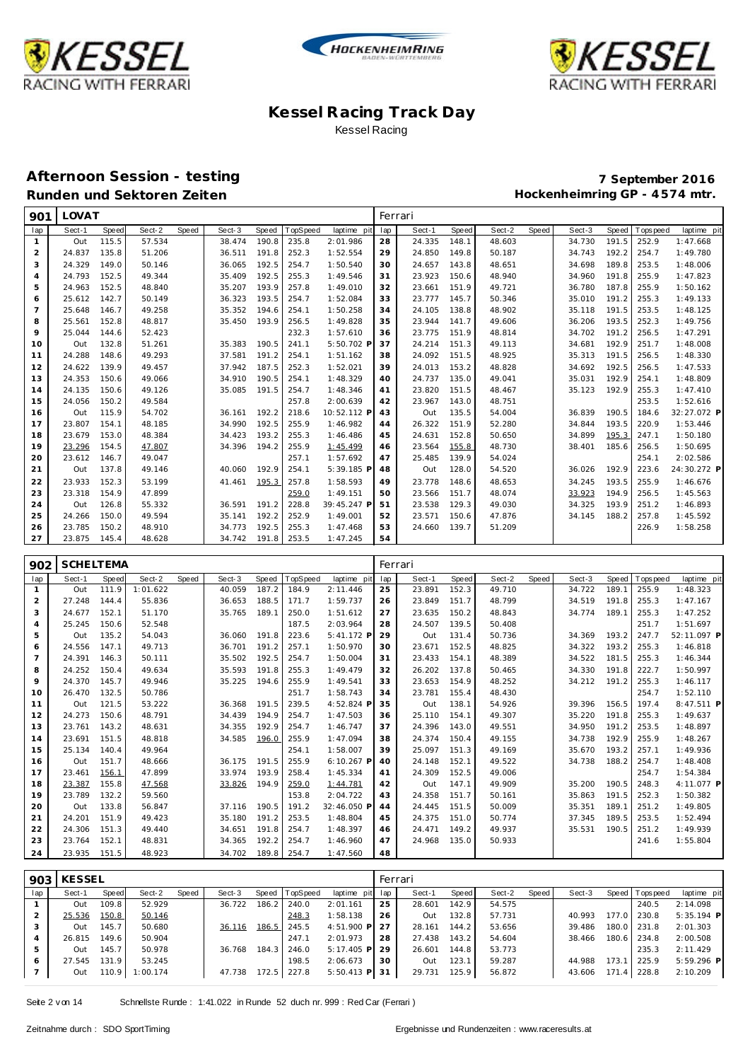





#### **Afternoon Session - testing 7 September 2016** Runden und Sektoren Zeiten **Munden und Sektoren Zeiten Hockenheimring GP** - 4574 mtr.

| 901            | LOVAT  |       |        |       |        |       |          |             |     | Ferrari |       |        |       |        |       |          |             |
|----------------|--------|-------|--------|-------|--------|-------|----------|-------------|-----|---------|-------|--------|-------|--------|-------|----------|-------------|
| lap            | Sect-1 | Speed | Sect-2 | Speed | Sect-3 | Speed | TopSpeed | laptime pit | lap | Sect-1  | Speed | Sect-2 | Speed | Sect-3 | Speed | Topspeed | laptime pit |
| $\mathbf{1}$   | Out    | 115.5 | 57.534 |       | 38.474 | 190.8 | 235.8    | 2:01.986    | 28  | 24.335  | 148.1 | 48.603 |       | 34.730 | 191.5 | 252.9    | 1:47.668    |
| 2              | 24.837 | 135.8 | 51.206 |       | 36.511 | 191.8 | 252.3    | 1:52.554    | 29  | 24.850  | 149.8 | 50.187 |       | 34.743 | 192.2 | 254.7    | 1:49.780    |
| 3              | 24.329 | 149.0 | 50.146 |       | 36.065 | 192.5 | 254.7    | 1:50.540    | 30  | 24.657  | 143.8 | 48.651 |       | 34.698 | 189.8 | 253.5    | 1:48.006    |
| $\overline{4}$ | 24.793 | 152.5 | 49.344 |       | 35.409 | 192.5 | 255.3    | 1:49.546    | 31  | 23.923  | 150.6 | 48.940 |       | 34.960 | 191.8 | 255.9    | 1:47.823    |
| 5              | 24.963 | 152.5 | 48.840 |       | 35.207 | 193.9 | 257.8    | 1:49.010    | 32  | 23.661  | 151.9 | 49.721 |       | 36.780 | 187.8 | 255.9    | 1:50.162    |
| 6              | 25.612 | 142.7 | 50.149 |       | 36.323 | 193.5 | 254.7    | 1:52.084    | 33  | 23.777  | 145.7 | 50.346 |       | 35.010 | 191.2 | 255.3    | 1:49.133    |
| $\overline{7}$ | 25.648 | 146.7 | 49.258 |       | 35.352 | 194.6 | 254.1    | 1:50.258    | 34  | 24.105  | 138.8 | 48.902 |       | 35.118 | 191.5 | 253.5    | 1:48.125    |
| 8              | 25.561 | 152.8 | 48.817 |       | 35.450 | 193.9 | 256.5    | 1:49.828    | 35  | 23.944  | 141.7 | 49.606 |       | 36.206 | 193.5 | 252.3    | 1:49.756    |
| 9              | 25.044 | 144.6 | 52.423 |       |        |       | 232.3    | 1:57.610    | 36  | 23.775  | 151.9 | 48.814 |       | 34.702 | 191.2 | 256.5    | 1:47.291    |
| 10             | Out    | 132.8 | 51.261 |       | 35.383 | 190.5 | 241.1    | 5:50.702 P  | 37  | 24.214  | 151.3 | 49.113 |       | 34.681 | 192.9 | 251.7    | 1:48.008    |
| 11             | 24.288 | 148.6 | 49.293 |       | 37.581 | 191.2 | 254.1    | 1:51.162    | 38  | 24.092  | 151.5 | 48.925 |       | 35.313 | 191.5 | 256.5    | 1:48.330    |
| 12             | 24.622 | 139.9 | 49.457 |       | 37.942 | 187.5 | 252.3    | 1:52.021    | 39  | 24.013  | 153.2 | 48.828 |       | 34.692 | 192.5 | 256.5    | 1:47.533    |
| 13             | 24.353 | 150.6 | 49.066 |       | 34.910 | 190.5 | 254.1    | 1:48.329    | 40  | 24.737  | 135.0 | 49.041 |       | 35.031 | 192.9 | 254.1    | 1:48.809    |
| 14             | 24.135 | 150.6 | 49.126 |       | 35.085 | 191.5 | 254.7    | 1:48.346    | 41  | 23.820  | 151.5 | 48.467 |       | 35.123 | 192.9 | 255.3    | 1:47.410    |
| 15             | 24.056 | 150.2 | 49.584 |       |        |       | 257.8    | 2:00.639    | 42  | 23.967  | 143.0 | 48.751 |       |        |       | 253.5    | 1:52.616    |
| 16             | Out    | 115.9 | 54.702 |       | 36.161 | 192.2 | 218.6    | 10:52.112 P | 43  | Out     | 135.5 | 54.004 |       | 36.839 | 190.5 | 184.6    | 32:27.072 P |
| 17             | 23.807 | 154.1 | 48.185 |       | 34.990 | 192.5 | 255.9    | 1:46.982    | 44  | 26.322  | 151.9 | 52.280 |       | 34.844 | 193.5 | 220.9    | 1:53.446    |
| 18             | 23.679 | 153.0 | 48.384 |       | 34.423 | 193.2 | 255.3    | 1:46.486    | 45  | 24.631  | 152.8 | 50.650 |       | 34.899 | 195.3 | 247.1    | 1:50.180    |
| 19             | 23.296 | 154.5 | 47.807 |       | 34.396 | 194.2 | 255.9    | 1:45.499    | 46  | 23.564  | 155.8 | 48.730 |       | 38.401 | 185.6 | 256.5    | 1:50.695    |
| 20             | 23.612 | 146.7 | 49.047 |       |        |       | 257.1    | 1:57.692    | 47  | 25.485  | 139.9 | 54.024 |       |        |       | 254.1    | 2:02.586    |
| 21             | Out    | 137.8 | 49.146 |       | 40.060 | 192.9 | 254.1    | 5:39.185 P  | 48  | Out     | 128.0 | 54.520 |       | 36.026 | 192.9 | 223.6    | 24:30.272 P |
| 22             | 23.933 | 152.3 | 53.199 |       | 41.461 | 195.3 | 257.8    | 1:58.593    | 49  | 23.778  | 148.6 | 48.653 |       | 34.245 | 193.5 | 255.9    | 1:46.676    |
| 23             | 23.318 | 154.9 | 47.899 |       |        |       | 259.0    | 1:49.151    | 50  | 23.566  | 151.7 | 48.074 |       | 33.923 | 194.9 | 256.5    | 1:45.563    |
| 24             | Out    | 126.8 | 55.332 |       | 36.591 | 191.2 | 228.8    | 39:45.247 P | 51  | 23.538  | 129.3 | 49.030 |       | 34.325 | 193.9 | 251.2    | 1:46.893    |
| 25             | 24.266 | 150.0 | 49.594 |       | 35.141 | 192.2 | 252.9    | 1:49.001    | 52  | 23.571  | 150.6 | 47.876 |       | 34.145 | 188.2 | 257.8    | 1:45.592    |
| 26             | 23.785 | 150.2 | 48.910 |       | 34.773 | 192.5 | 255.3    | 1:47.468    | 53  | 24.660  | 139.7 | 51.209 |       |        |       | 226.9    | 1:58.258    |
| 27             | 23.875 | 145.4 | 48.628 |       | 34.742 | 191.8 | 253.5    | 1:47.245    | 54  |         |       |        |       |        |       |          |             |

| 902 | <b>SCHELTEMA</b> |       |          |       |        |       |          |             | Ferrari |        |       |        |       |        |       |            |             |
|-----|------------------|-------|----------|-------|--------|-------|----------|-------------|---------|--------|-------|--------|-------|--------|-------|------------|-------------|
| lap | Sect-1           | Speed | Sect-2   | Speed | Sect-3 | Speed | TopSpeed | laptime pit | lap     | Sect-1 | Speed | Sect-2 | Speed | Sect-3 | Speed | Tops pee d | laptime pit |
|     | Out              | 111.9 | 1:01.622 |       | 40.059 | 187.2 | 184.9    | 2:11.446    | 25      | 23.891 | 152.3 | 49.710 |       | 34.722 | 189.1 | 255.9      | 1:48.323    |
| 2   | 27.248           | 144.4 | 55.836   |       | 36.653 | 188.5 | 171.7    | 1:59.737    | 26      | 23.849 | 151.7 | 48.799 |       | 34.519 | 191.8 | 255.3      | 1:47.167    |
| 3   | 24.677           | 152.1 | 51.170   |       | 35.765 | 189.1 | 250.0    | 1:51.612    | 27      | 23.635 | 150.2 | 48.843 |       | 34.774 | 189.1 | 255.3      | 1:47.252    |
| 4   | 25.245           | 150.6 | 52.548   |       |        |       | 187.5    | 2:03.964    | 28      | 24.507 | 139.5 | 50.408 |       |        |       | 251.7      | 1:51.697    |
| 5   | Out              | 135.2 | 54.043   |       | 36.060 | 191.8 | 223.6    | 5:41.172 P  | 29      | Out    | 131.4 | 50.736 |       | 34.369 | 193.2 | 247.7      | 52:11.097 P |
| 6   | 24.556           | 147.1 | 49.713   |       | 36.701 | 191.2 | 257.1    | 1:50.970    | 30      | 23.671 | 152.5 | 48.825 |       | 34.322 | 193.2 | 255.3      | 1:46.818    |
| 7   | 24.391           | 146.3 | 50.111   |       | 35.502 | 192.5 | 254.7    | 1:50.004    | 31      | 23.433 | 154.1 | 48.389 |       | 34.522 | 181.5 | 255.3      | 1:46.344    |
| 8   | 24.252           | 150.4 | 49.634   |       | 35.593 | 191.8 | 255.3    | 1:49.479    | 32      | 26.202 | 137.8 | 50.465 |       | 34.330 | 191.8 | 222.7      | 1:50.997    |
| 9   | 24.370           | 145.7 | 49.946   |       | 35.225 | 194.6 | 255.9    | 1:49.541    | 33      | 23.653 | 154.9 | 48.252 |       | 34.212 | 191.2 | 255.3      | 1:46.117    |
| 10  | 26.470           | 132.5 | 50.786   |       |        |       | 251.7    | 1:58.743    | 34      | 23.781 | 155.4 | 48.430 |       |        |       | 254.7      | 1:52.110    |
| 11  | Out              | 121.5 | 53.222   |       | 36.368 | 191.5 | 239.5    | 4:52.824 F  | 35      | Out    | 138.1 | 54.926 |       | 39.396 | 156.5 | 197.4      | 8:47.511 P  |
| 12  | 24.273           | 150.6 | 48.791   |       | 34.439 | 194.9 | 254.7    | 1:47.503    | 36      | 25.110 | 154.1 | 49.307 |       | 35.220 | 191.8 | 255.3      | 1:49.637    |
| 13  | 23.761           | 143.2 | 48.631   |       | 34.355 | 192.9 | 254.7    | 1:46.747    | 37      | 24.396 | 143.0 | 49.551 |       | 34.950 | 191.2 | 253.5      | 1:48.897    |
| 14  | 23.691           | 151.5 | 48.818   |       | 34.585 | 196.0 | 255.9    | 1:47.094    | 38      | 24.374 | 150.4 | 49.155 |       | 34.738 | 192.9 | 255.9      | 1:48.267    |
| 15  | 25.134           | 140.4 | 49.964   |       |        |       | 254.1    | 1:58.007    | 39      | 25.097 | 151.3 | 49.169 |       | 35.670 | 193.2 | 257.1      | 1:49.936    |
| 16  | Out              | 151.7 | 48.666   |       | 36.175 | 191.5 | 255.9    | 6:10.267 F  | 40      | 24.148 | 152.1 | 49.522 |       | 34.738 | 188.2 | 254.7      | 1:48.408    |
| 17  | 23.461           | 156.1 | 47.899   |       | 33.974 | 193.9 | 258.4    | 1:45.334    | 41      | 24.309 | 152.5 | 49.006 |       |        |       | 254.7      | 1:54.384    |
| 18  | 23.387           | 155.8 | 47.568   |       | 33.826 | 194.9 | 259.0    | 1:44.781    | 42      | Out    | 147.1 | 49.909 |       | 35.200 | 190.5 | 248.3      | 4:11.077 P  |
| 19  | 23.789           | 132.2 | 59.560   |       |        |       | 153.8    | 2:04.722    | 43      | 24.358 | 151.7 | 50.161 |       | 35.863 | 191.5 | 252.3      | 1:50.382    |
| 20  | Out              | 133.8 | 56.847   |       | 37.116 | 190.5 | 191.2    | 32:46.050 F | 44      | 24.445 | 151.5 | 50.009 |       | 35.351 | 189.1 | 251.2      | 1:49.805    |
| 21  | 24.201           | 151.9 | 49.423   |       | 35.180 | 191.2 | 253.5    | 1:48.804    | 45      | 24.375 | 151.0 | 50.774 |       | 37.345 | 189.5 | 253.5      | 1:52.494    |
| 22  | 24.306           | 151.3 | 49.440   |       | 34.651 | 191.8 | 254.7    | 1:48.397    | 46      | 24.471 | 149.2 | 49.937 |       | 35.531 | 190.5 | 251.2      | 1:49.939    |
| 23  | 23.764           | 152.1 | 48.831   |       | 34.365 | 192.2 | 254.7    | 1:46.960    | 47      | 24.968 | 135.0 | 50.933 |       |        |       | 241.6      | 1:55.804    |
| 24  | 23.935           | 151.5 | 48.923   |       | 34.702 | 189.8 | 254.7    | 1:47.560    | 48      |        |       |        |       |        |       |            |             |

|     | 903 KESSEL |       |          |       |        |       |                |              |     | Ferrari |       |        |       |        |        |                 |              |
|-----|------------|-------|----------|-------|--------|-------|----------------|--------------|-----|---------|-------|--------|-------|--------|--------|-----------------|--------------|
| lap | Sect-1     | Speed | Sect-2   | Speed | Sect-3 |       | Speed TopSpeed | laptime pit  | lap | Sect-1  | Speed | Sect-2 | Speed | Sect-3 |        | Speed Tops peed | laptime pit  |
|     | Out        | 109.8 | 52.929   |       | 36.722 | 186.2 | 240.0          | 2:01.161     | 25  | 28.601  | 142.9 | 54.575 |       |        |        | 240.5           | 2:14.098     |
|     | 25.536     | 150.8 | 50.146   |       |        |       | 248.3          | 1:58.138     | 26  | Out     | 132.8 | 57.731 |       | 40.993 | 177.01 | 230.8           | $5:35.194$ P |
|     | Out        | 145.7 | 50.680   |       | 36.116 |       | 186.5 245.5    | $4:51.900$ P | 27  | 28.161  | 144.2 | 53.656 |       | 39.486 | 180.0  | 231.8           | 2:01.303     |
|     | 26.815     | 149.6 | 50.904   |       |        |       | 247.1          | 2:01.973     | 28  | 27.438  | 143.2 | 54.604 |       | 38.466 | 180.6  | 234.8           | 2:00.508     |
| 5   | Out        | 145.7 | 50.978   |       | 36.768 |       | 184.3 246.0    | $5:17.405$ P | 29  | 26.601  | 144.8 | 53.773 |       |        |        | 235.3           | 2:11.429     |
| 6   | 27.545     | 131.9 | 53.245   |       |        |       | 198.5          | 2:06.673     | 30  | Out     | 123.1 | 59.287 |       | 44.988 | 173.7  | 225.9           | $5:59.296$ P |
|     | Out        | 110.9 | 1:00.174 |       | 47.738 |       | 172.5 227.8    | $5:50.413$ P | 31  | 29.731  | 125.9 | 56.872 |       | 43.606 |        | 228.8           | 2:10.209     |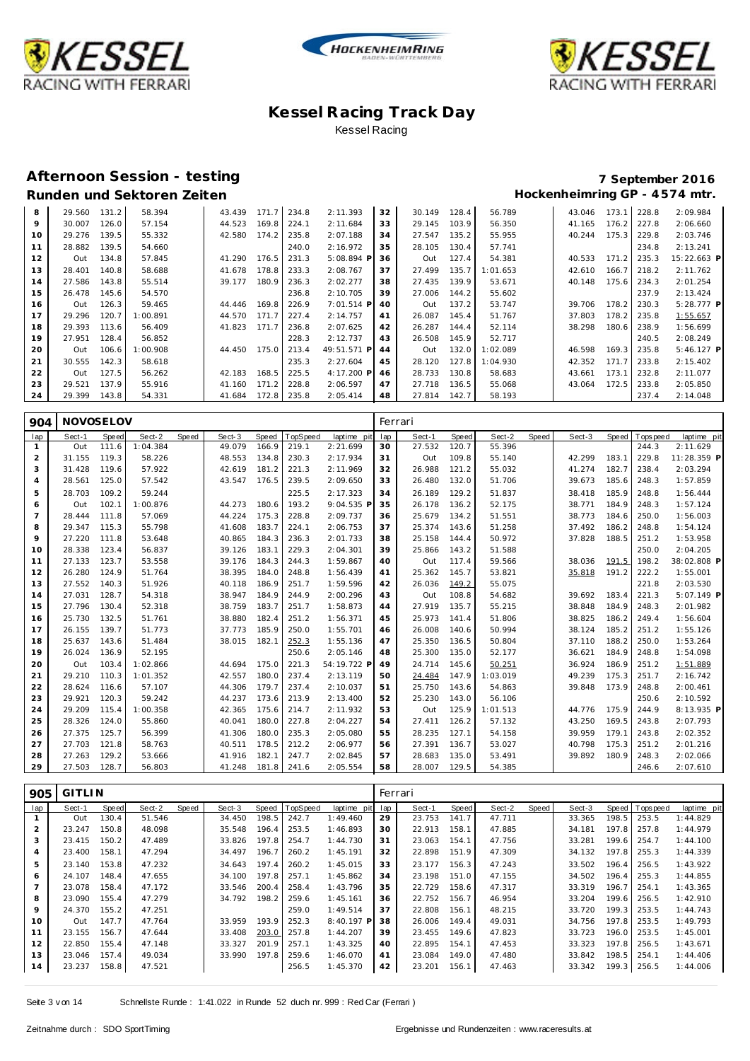





### **Afternoon Session - testing 7 September 2016**

| 8  | 29.560 | 131.2 | 58.394   | 43.439 | 171.7 | 234.8 | 2:11.393     | 32 | 30.149 | 128.4 | 56.789   | 43.046 | 173.1                 | 228.8 | 2:09.984     |
|----|--------|-------|----------|--------|-------|-------|--------------|----|--------|-------|----------|--------|-----------------------|-------|--------------|
| 9  | 30.007 | 126.0 | 57.154   | 44.523 | 169.8 | 224.1 | 2:11.684     | 33 | 29.145 | 103.9 | 56.350   | 41.165 | 176.2                 | 227.8 | 2:06.660     |
| 10 | 29.276 | 139.5 | 55.332   | 42.580 | 174.2 | 235.8 | 2:07.188     | 34 | 27.547 | 135.2 | 55.955   | 40.244 | 175.3                 | 229.8 | 2:03.746     |
|    |        |       |          |        |       |       |              |    |        |       |          |        |                       |       |              |
| 11 | 28.882 | 139.5 | 54.660   |        |       | 240.0 | 2:16.972     | 35 | 28.105 | 130.4 | 57.741   |        |                       | 234.8 | 2:13.241     |
| 12 | Out    | 134.8 | 57.845   | 41.290 | 176.5 | 231.3 | $5:08.894$ P | 36 | Out    | 127.4 | 54.381   | 40.533 | 171<br>$\overline{2}$ | 235.3 | 15:22.663 P  |
| 13 | 28.401 | 140.8 | 58.688   | 41.678 | 178.8 | 233.3 | 2:08.767     | 37 | 27.499 | 135.7 | 1:01.653 | 42.610 | 166.7                 | 218.2 | 2:11.762     |
| 14 | 27.586 | 143.8 | 55.514   | 39.177 | 180.9 | 236.3 | 2:02.277     | 38 | 27.435 | 139.9 | 53.671   | 40.148 | 175.6                 | 234.3 | 2:01.254     |
| 15 | 26.478 | 145.6 | 54.570   |        |       | 236.8 | 2:10.705     | 39 | 27.006 | 144.2 | 55.602   |        |                       | 237.9 | 2:13.424     |
| 16 | Out    | 126.3 | 59.465   | 44.446 | 169.8 | 226.9 | $7:01.514$ P | 40 | Out    | 137.2 | 53.747   | 39.706 | 178.2                 | 230.3 | $5:28.777$ P |
| 17 | 29.296 | 120.7 | 1:00.891 | 44.570 | 171.7 | 227.4 | 2:14.757     | 41 | 26.087 | 145.4 | 51.767   | 37.803 | 178.2                 | 235.8 | 1:55.657     |
| 18 | 29.393 | 113.6 | 56.409   | 41.823 | 171.7 | 236.8 | 2:07.625     | 42 | 26.287 | 144.4 | 52.114   | 38.298 | 180.6                 | 238.9 | 1:56.699     |
| 19 | 27.951 | 128.4 | 56.852   |        |       | 228.3 | 2:12.737     | 43 | 26.508 | 145.9 | 52.717   |        |                       | 240.5 | 2:08.249     |
| 20 | Out    | 106.6 | 1:00.908 | 44.450 | 175.0 | 213.4 | 49:51.571 P  | 44 | Out    | 132.0 | 1:02.089 | 46.598 | 169.3                 | 235.8 | $5:46.127$ P |
| 21 | 30.555 | 142.3 | 58.618   |        |       | 235.3 | 2:27.604     | 45 | 28.120 | 127.8 | 1:04.930 | 42.352 | 171                   | 233.8 | 2:15.402     |
| 22 | Out    | 127.5 | 56.262   | 42.183 | 168.5 | 225.5 | 4:17.200 P   | 46 | 28.733 | 130.8 | 58.683   | 43.661 | 173.1                 | 232.8 | 2:11.077     |
| 23 | 29.521 | 137.9 | 55.916   | 41.160 | 171.2 | 228.8 | 2:06.597     | 47 | 27.718 | 136.5 | 55.068   | 43.064 | 172.5                 | 233.8 | 2:05.850     |
| 24 | 29.399 | 143.8 | 54.331   | 41.684 | 172.8 | 235.8 | 2:05.414     | 48 | 27.814 | 142.7 | 58.193   |        |                       | 237.4 | 2:14.048     |

| 904 | NOVOSELOV |       |          |       |        |       |          |             | Ferrari |        |       |          |       |        |       |            |              |
|-----|-----------|-------|----------|-------|--------|-------|----------|-------------|---------|--------|-------|----------|-------|--------|-------|------------|--------------|
| lap | Sect-1    | Speed | Sect-2   | Speed | Sect-3 | Speed | TopSpeed | laptime pit | lap     | Sect-1 | Speed | Sect-2   | Speed | Sect-3 | Speed | Tops pee d | laptime pit  |
| 1   | Out       | 111.6 | 1:04.384 |       | 49.079 | 166.9 | 219.1    | 2:21.699    | 30      | 27.532 | 120.7 | 55.396   |       |        |       | 244.3      | 2:11.629     |
| 2   | 31.155    | 119.3 | 58.226   |       | 48.553 | 134.8 | 230.3    | 2:17.934    | 31      | Out    | 109.8 | 55.140   |       | 42.299 | 183.1 | 229.8      | 11:28.359 P  |
| 3   | 31.428    | 119.6 | 57.922   |       | 42.619 | 181.2 | 221.3    | 2:11.969    | 32      | 26.988 | 121.2 | 55.032   |       | 41.274 | 182.7 | 238.4      | 2:03.294     |
| 4   | 28.561    | 125.0 | 57.542   |       | 43.547 | 176.5 | 239.5    | 2:09.650    | 33      | 26.480 | 132.0 | 51.706   |       | 39.673 | 185.6 | 248.3      | 1:57.859     |
| 5   | 28.703    | 109.2 | 59.244   |       |        |       | 225.5    | 2:17.323    | 34      | 26.189 | 129.2 | 51.837   |       | 38.418 | 185.9 | 248.8      | 1:56.444     |
| 6   | Out       | 102.1 | 1:00.876 |       | 44.273 | 180.6 | 193.2    | 9:04.535 F  | 35      | 26.178 | 136.2 | 52.175   |       | 38.771 | 184.9 | 248.3      | 1:57.124     |
| 7   | 28.444    | 111.8 | 57.069   |       | 44.224 | 175.3 | 228.8    | 2:09.737    | 36      | 25.679 | 134.2 | 51.551   |       | 38.773 | 184.6 | 250.0      | 1:56.003     |
| 8   | 29.347    | 115.3 | 55.798   |       | 41.608 | 183.7 | 224.1    | 2:06.753    | 37      | 25.374 | 143.6 | 51.258   |       | 37.492 | 186.2 | 248.8      | 1:54.124     |
| 9   | 27.220    | 111.8 | 53.648   |       | 40.865 | 184.3 | 236.3    | 2:01.733    | 38      | 25.158 | 144.4 | 50.972   |       | 37.828 | 188.5 | 251.2      | 1:53.958     |
| 10  | 28.338    | 123.4 | 56.837   |       | 39.126 | 183.1 | 229.3    | 2:04.301    | 39      | 25.866 | 143.2 | 51.588   |       |        |       | 250.0      | 2:04.205     |
| 11  | 27.133    | 123.7 | 53.558   |       | 39.176 | 184.3 | 244.3    | 1:59.867    | 40      | Out    | 117.4 | 59.566   |       | 38.036 | 191.5 | 198.2      | 38:02.808 P  |
| 12  | 26.280    | 124.9 | 51.764   |       | 38.395 | 184.0 | 248.8    | 1:56.439    | 41      | 25.362 | 145.7 | 53.821   |       | 35.818 | 191.2 | 222.2      | 1:55.001     |
| 13  | 27.552    | 140.3 | 51.926   |       | 40.118 | 186.9 | 251.7    | 1:59.596    | 42      | 26.036 | 149.2 | 55.075   |       |        |       | 221.8      | 2:03.530     |
| 14  | 27.031    | 128.7 | 54.318   |       | 38.947 | 184.9 | 244.9    | 2:00.296    | 43      | Out    | 108.8 | 54.682   |       | 39.692 | 183.4 | 221.3      | $5:07.149$ P |
| 15  | 27.796    | 130.4 | 52.318   |       | 38.759 | 183.7 | 251.7    | 1:58.873    | 44      | 27.919 | 135.7 | 55.215   |       | 38.848 | 184.9 | 248.3      | 2:01.982     |
| 16  | 25.730    | 132.5 | 51.761   |       | 38,880 | 182.4 | 251.2    | 1:56.371    | 45      | 25.973 | 141.4 | 51.806   |       | 38.825 | 186.2 | 249.4      | 1:56.604     |
| 17  | 26.155    | 139.7 | 51.773   |       | 37.773 | 185.9 | 250.0    | 1:55.701    | 46      | 26.008 | 140.6 | 50.994   |       | 38.124 | 185.2 | 251.2      | 1:55.126     |
| 18  | 25.637    | 143.6 | 51.484   |       | 38.015 | 182.1 | 252.3    | 1:55.136    | 47      | 25.350 | 136.5 | 50.804   |       | 37.110 | 188.2 | 250.0      | 1:53.264     |
| 19  | 26.024    | 136.9 | 52.195   |       |        |       | 250.6    | 2:05.146    | 48      | 25.300 | 135.0 | 52.177   |       | 36.621 | 184.9 | 248.8      | 1:54.098     |
| 20  | Out       | 103.4 | 1:02.866 |       | 44.694 | 175.0 | 221.3    | 54:19.722 F | 49      | 24.714 | 145.6 | 50.251   |       | 36.924 | 186.9 | 251.2      | 1:51.889     |
| 21  | 29.210    | 110.3 | 1:01.352 |       | 42.557 | 180.0 | 237.4    | 2:13.119    | 50      | 24.484 | 147.9 | 1:03.019 |       | 49.239 | 175.3 | 251.7      | 2:16.742     |
| 22  | 28.624    | 116.6 | 57.107   |       | 44.306 | 179.7 | 237.4    | 2:10.037    | 51      | 25.750 | 143.6 | 54.863   |       | 39.848 | 173.9 | 248.8      | 2:00.461     |
| 23  | 29.921    | 120.3 | 59.242   |       | 44.237 | 173.6 | 213.9    | 2:13.400    | 52      | 25.230 | 143.0 | 56.106   |       |        |       | 250.6      | 2:10.592     |
| 24  | 29.209    | 115.4 | 1:00.358 |       | 42.365 | 175.6 | 214.7    | 2:11.932    | 53      | Out    | 125.9 | 1:01.513 |       | 44.776 | 175.9 | 244.9      | 8:13.935 P   |
| 25  | 28.326    | 124.0 | 55.860   |       | 40.041 | 180.0 | 227.8    | 2:04.227    | 54      | 27.411 | 126.2 | 57.132   |       | 43.250 | 169.5 | 243.8      | 2:07.793     |
| 26  | 27.375    | 125.7 | 56.399   |       | 41.306 | 180.0 | 235.3    | 2:05.080    | 55      | 28.235 | 127.1 | 54.158   |       | 39.959 | 179.1 | 243.8      | 2:02.352     |
| 27  | 27.703    | 121.8 | 58.763   |       | 40.511 | 178.5 | 212.2    | 2:06.977    | 56      | 27.391 | 136.7 | 53.027   |       | 40.798 | 175.3 | 251.2      | 2:01.216     |
| 28  | 27.263    | 129.2 | 53.666   |       | 41.916 | 182.1 | 247.7    | 2:02.845    | 57      | 28.683 | 135.0 | 53.491   |       | 39.892 | 180.9 | 248.3      | 2:02.066     |
| 29  | 27.503    | 128.7 | 56.803   |       | 41.248 | 181.8 | 241.6    | 2:05.554    | 58      | 28.007 | 129.5 | 54.385   |       |        |       | 246.6      | 2:07.610     |

| 905 | <b>GITLIN</b> |       |        |       |        |       |                |              | Ferrari |        |       |        |       |        |       |                |             |
|-----|---------------|-------|--------|-------|--------|-------|----------------|--------------|---------|--------|-------|--------|-------|--------|-------|----------------|-------------|
| lap | Sect-1        | Speed | Sect-2 | Speed | Sect-3 |       | Speed TopSpeed | laptime pit  | lap     | Sect-1 | Speed | Sect-2 | Speed | Sect-3 |       | Speed Topspeed | laptime pit |
|     | Out           | 130.4 | 51.546 |       | 34.450 | 198.5 | 242.7          | 1:49.460     | 29      | 23.753 | 141.7 | 47.711 |       | 33.365 | 198.5 | 253.5          | 1:44.829    |
| 2   | 23.247        | 150.8 | 48.098 |       | 35.548 | 196.4 | 253.5          | 1:46.893     | 30      | 22.913 | 158.1 | 47.885 |       | 34.181 | 197.8 | 257.8          | 1:44.979    |
| 3   | 23.415        | 150.2 | 47.489 |       | 33.826 | 197.8 | 254.7          | 1:44.730     | 31      | 23.063 | 154.1 | 47.756 |       | 33.281 | 199.6 | 254.7          | 1:44.100    |
| 4   | 23.400        | 158.1 | 47.294 |       | 34.497 | 196.7 | 260.2          | 1:45.191     | 32      | 22.898 | 151.9 | 47.309 |       | 34.132 | 197.8 | 255.3          | 1:44.339    |
| 5   | 23.140        | 153.8 | 47.232 |       | 34.643 | 197.4 | 260.2          | 1:45.015     | 33      | 23.177 | 156.3 | 47.243 |       | 33.502 | 196.4 | 256.5          | 1:43.922    |
| 6   | 24.107        | 148.4 | 47.655 |       | 34.100 | 197.8 | 257.1          | 1:45.862     | 34      | 23.198 | 151.0 | 47.155 |       | 34.502 | 196.4 | 255.3          | 1:44.855    |
|     | 23.078        | 158.4 | 47.172 |       | 33.546 | 200.4 | 258.4          | 1:43.796     | 35      | 22.729 | 158.6 | 47.317 |       | 33.319 | 196.7 | 254.1          | 1:43.365    |
| 8   | 23.090        | 155.4 | 47.279 |       | 34.792 | 198.2 | 259.6          | 1:45.161     | 36      | 22.752 | 156.7 | 46.954 |       | 33.204 | 199.6 | 256.5          | 1:42.910    |
| 9   | 24.370        | 155.2 | 47.251 |       |        |       | 259.0          | 1:49.514     | 37      | 22.808 | 156.1 | 48.215 |       | 33.720 | 199.3 | 253.5          | 1:44.743    |
| 10  | Out           | 147.7 | 47.764 |       | 33.959 | 193.9 | 252.3          | $8:40.197$ P | 38      | 26.006 | 149.4 | 49.031 |       | 34.756 | 197.8 | 253.5          | 1:49.793    |
| 11  | 23.155        | 156.7 | 47.644 |       | 33.408 | 203.0 | 257.8          | 1:44.207     | 39      | 23.455 | 149.6 | 47.823 |       | 33.723 | 196.0 | 253.5          | 1:45.001    |
| 12  | 22.850        | 155.4 | 47.148 |       | 33.327 | 201.9 | 257.1          | 1:43.325     | 40      | 22.895 | 154.1 | 47.453 |       | 33.323 | 197.8 | 256.5          | 1:43.671    |
| 13  | 23.046        | 157.4 | 49.034 |       | 33.990 | 197.8 | 259.6          | 1:46.070     | 41      | 23.084 | 149.0 | 47.480 |       | 33.842 | 198.5 | 254.1          | 1:44.406    |
| 14  | 23.237        | 158.8 | 47.521 |       |        |       | 256.5          | 1:45.370     | 42      | 23.201 | 156.1 | 47.463 |       | 33.342 | 199.3 | 256.5          | 1:44.006    |
|     |               |       |        |       |        |       |                |              |         |        |       |        |       |        |       |                |             |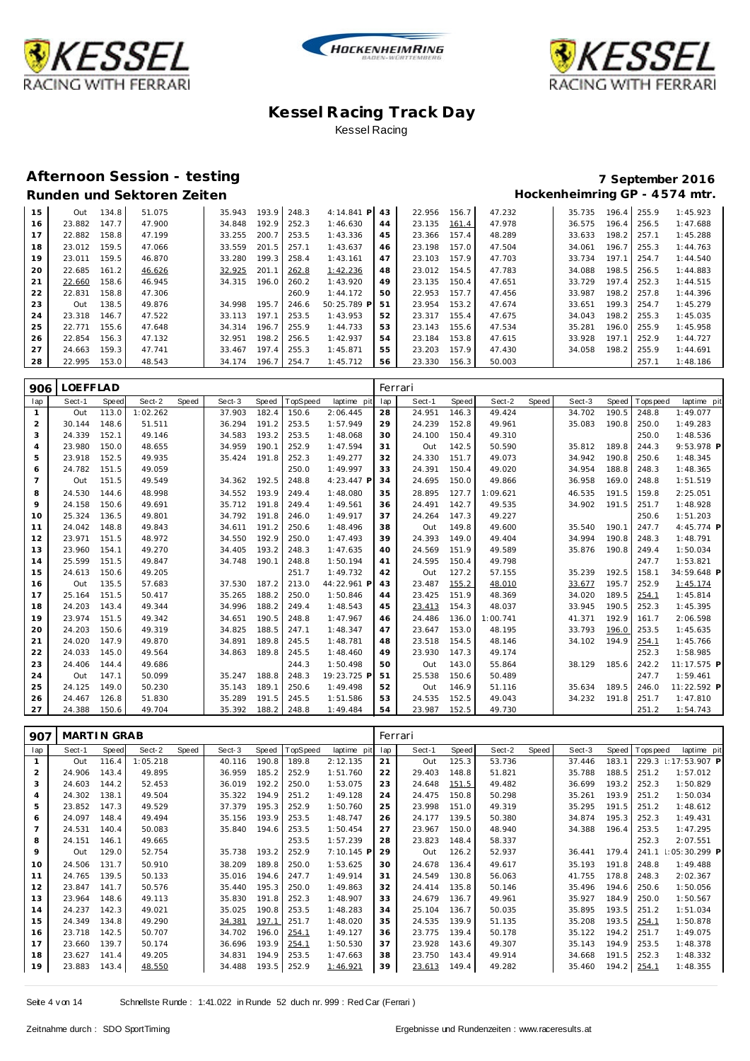





### **Afternoon Session - testing 7 September 2016**

| 15 | Out    | 134.8 | 51.075 | 35.943 | 193.9 | 248.3 | 4:14.841<br>P | 43 | 22.956 | 156.7 | 47.232 | 35.735 | 196.4 | 255.9 | 1:45.923 |
|----|--------|-------|--------|--------|-------|-------|---------------|----|--------|-------|--------|--------|-------|-------|----------|
|    |        |       |        |        |       |       |               |    |        |       |        |        |       |       |          |
| 16 | 23.882 | 147.7 | 47.900 | 34.848 | 192.9 | 252.3 | 1:46.630      | 44 | 23.135 | 161.4 | 47.978 | 36.575 | 196.4 | 256.5 | 1:47.688 |
|    | 22.882 | 158.8 | 47.199 | 33.255 | 200.7 | 253.5 | 1:43.336      | 45 | 23.366 | 157.4 | 48.289 | 33.633 | 198.2 | 257.1 | 1:45.288 |
| 18 | 23.012 | 159.5 | 47.066 | 33.559 | 201.5 | 257.1 | 1:43.637      | 46 | 23.198 | 157.0 | 47.504 | 34.061 | 196.7 | 255.3 | 1:44.763 |
| 19 | 23.011 | 159.5 | 46.870 | 33.280 | 199.3 | 258.4 | 1:43.161      | 47 | 23.103 | 157.9 | 47.703 | 33.734 | 197.1 | 254.7 | 1:44.540 |
| 20 | 22.685 | 161.2 | 46.626 | 32.925 | 201.1 | 262.8 | 1:42.236      | 48 | 23.012 | 154.5 | 47.783 | 34.088 | 198.5 | 256.5 | 1:44.883 |
| 21 | 22.660 | 158.6 | 46.945 | 34.315 | 196.0 | 260.2 | 1:43.920      | 49 | 23.135 | 150.4 | 47.651 | 33.729 | 197.4 | 252.3 | 1:44.515 |
| 22 | 22.831 | 158.8 | 47.306 |        |       | 260.9 | 1:44.172      | 50 | 22.953 | 157.7 | 47.456 | 33.987 | 198.2 | 257.8 | 1:44.396 |
| 23 | Out    | 138.5 | 49.876 | 34.998 | 195.7 | 246.6 | 50:25.789 P   | 51 | 23.954 | 153.2 | 47.674 | 33.651 | 199.3 | 254.7 | 1:45.279 |
| 24 | 23.318 | 146.7 | 47.522 | 33.113 | 197.1 | 253.5 | 1:43.953      | 52 | 23.317 | 155.4 | 47.675 | 34.043 | 198.2 | 255.3 | 1:45.035 |
| 25 | 22.771 | 155.6 | 47.648 | 34.314 | 196.7 | 255.9 | 1:44.733      | 53 | 23.143 | 155.6 | 47.534 | 35.281 | 196.0 | 255.9 | 1:45.958 |
| 26 | 22.854 | 156.3 | 47.132 | 32.951 | 198.2 | 256.5 | 1:42.937      | 54 | 23.184 | 153.8 | 47.615 | 33.928 | 197.1 | 252.9 | 1:44.727 |
| 27 | 24.663 | 159.3 | 47.741 | 33.467 | 197.4 | 255.3 | 1:45.871      | 55 | 23.203 | 157.9 | 47.430 | 34.058 | 198.2 | 255.9 | 1:44.691 |
| 28 | 22.995 | 153.0 | 48.543 | 34.174 | 196.7 | 254.7 | 1:45.712      | 56 | 23.330 | 156.3 | 50.003 |        |       | 257.1 | 1:48.186 |

| 906            | LOEFFLAD |              |          |       |        |       |          |             |     | Ferrari |       |          |       |        |       |            |             |
|----------------|----------|--------------|----------|-------|--------|-------|----------|-------------|-----|---------|-------|----------|-------|--------|-------|------------|-------------|
| lap            | Sect-1   | <b>Speed</b> | Sect-2   | Speed | Sect-3 | Speed | TopSpeed | laptime pit | lap | Sect-1  | Speed | Sect-2   | Speed | Sect-3 | Speed | T ops peed | laptime pit |
| $\mathbf{1}$   | Out      | 113.0        | 1:02.262 |       | 37.903 | 182.4 | 150.6    | 2:06.445    | 28  | 24.951  | 146.3 | 49.424   |       | 34.702 | 190.5 | 248.8      | 1:49.077    |
| $\overline{2}$ | 30.144   | 148.6        | 51.511   |       | 36.294 | 191.2 | 253.5    | 1:57.949    | 29  | 24.239  | 152.8 | 49.961   |       | 35.083 | 190.8 | 250.0      | 1:49.283    |
| 3              | 24.339   | 152.1        | 49.146   |       | 34.583 | 193.2 | 253.5    | 1:48.068    | 30  | 24.100  | 150.4 | 49.310   |       |        |       | 250.0      | 1:48.536    |
| $\overline{4}$ | 23.980   | 150.0        | 48.655   |       | 34.959 | 190.1 | 252.9    | 1:47.594    | 31  | Out     | 142.5 | 50.590   |       | 35.812 | 189.8 | 244.3      | 9:53.978 P  |
| 5              | 23.918   | 152.5        | 49.935   |       | 35.424 | 191.8 | 252.3    | 1:49.277    | 32  | 24.330  | 151.7 | 49.073   |       | 34.942 | 190.8 | 250.6      | 1:48.345    |
| 6              | 24.782   | 151.5        | 49.059   |       |        |       | 250.0    | 1:49.997    | 33  | 24.391  | 150.4 | 49.020   |       | 34.954 | 188.8 | 248.3      | 1:48.365    |
| $\overline{7}$ | Out      | 151.5        | 49.549   |       | 34.362 | 192.5 | 248.8    | 4:23.447 P  | 34  | 24.695  | 150.0 | 49.866   |       | 36.958 | 169.0 | 248.8      | 1:51.519    |
| 8              | 24.530   | 144.6        | 48.998   |       | 34.552 | 193.9 | 249.4    | 1:48.080    | 35  | 28.895  | 127.7 | 1:09.621 |       | 46.535 | 191.5 | 159.8      | 2:25.051    |
| 9              | 24.158   | 150.6        | 49.691   |       | 35.712 | 191.8 | 249.4    | 1:49.561    | 36  | 24.491  | 142.7 | 49.535   |       | 34.902 | 191.5 | 251.7      | 1:48.928    |
| 10             | 25.324   | 136.5        | 49.801   |       | 34.792 | 191.8 | 246.0    | 1:49.917    | 37  | 24.264  | 147.3 | 49.227   |       |        |       | 250.6      | 1:51.203    |
| 11             | 24.042   | 148.8        | 49.843   |       | 34.611 | 191.2 | 250.6    | 1:48.496    | 38  | Out     | 149.8 | 49.600   |       | 35.540 | 190.1 | 247.7      | 4:45.774 P  |
| 12             | 23.971   | 151.5        | 48.972   |       | 34.550 | 192.9 | 250.0    | 1:47.493    | 39  | 24.393  | 149.0 | 49.404   |       | 34.994 | 190.8 | 248.3      | 1:48.791    |
| 13             | 23.960   | 154.1        | 49.270   |       | 34.405 | 193.2 | 248.3    | 1:47.635    | 40  | 24.569  | 151.9 | 49.589   |       | 35.876 | 190.8 | 249.4      | 1:50.034    |
| 14             | 25.599   | 151.5        | 49.847   |       | 34.748 | 190.1 | 248.8    | 1:50.194    | 41  | 24.595  | 150.4 | 49.798   |       |        |       | 247.7      | 1:53.821    |
| 15             | 24.613   | 150.6        | 49.205   |       |        |       | 251.7    | 1:49.732    | 42  | Out     | 127.2 | 57.155   |       | 35.239 | 192.5 | 158.1      | 34:59.648 P |
| 16             | Out      | 135.5        | 57.683   |       | 37.530 | 187.2 | 213.0    | 44:22.961 P | 43  | 23.487  | 155.2 | 48.010   |       | 33.677 | 195.7 | 252.9      | 1:45.174    |
| 17             | 25.164   | 151.5        | 50.417   |       | 35.265 | 188.2 | 250.0    | 1:50.846    | 44  | 23.425  | 151.9 | 48.369   |       | 34.020 | 189.5 | 254.1      | 1:45.814    |
| 18             | 24.203   | 143.4        | 49.344   |       | 34.996 | 188.2 | 249.4    | 1:48.543    | 45  | 23.413  | 154.3 | 48.037   |       | 33.945 | 190.5 | 252.3      | 1:45.395    |
| 19             | 23.974   | 151.5        | 49.342   |       | 34.651 | 190.5 | 248.8    | 1:47.967    | 46  | 24.486  | 136.0 | 1:00.741 |       | 41.371 | 192.9 | 161.7      | 2:06.598    |
| 20             | 24.203   | 150.6        | 49.319   |       | 34.825 | 188.5 | 247.1    | 1:48.347    | 47  | 23.647  | 153.0 | 48.195   |       | 33.793 | 196.0 | 253.5      | 1:45.635    |
| 21             | 24.020   | 147.9        | 49.870   |       | 34.891 | 189.8 | 245.5    | 1:48.781    | 48  | 23.518  | 154.5 | 48.146   |       | 34.102 | 194.9 | 254.1      | 1:45.766    |
| 22             | 24.033   | 145.0        | 49.564   |       | 34.863 | 189.8 | 245.5    | 1:48.460    | 49  | 23.930  | 147.3 | 49.174   |       |        |       | 252.3      | 1:58.985    |
| 23             | 24.406   | 144.4        | 49.686   |       |        |       | 244.3    | 1:50.498    | 50  | Out     | 143.0 | 55.864   |       | 38.129 | 185.6 | 242.2      | 11:17.575 P |
| 24             | Out      | 147.1        | 50.099   |       | 35.247 | 188.8 | 248.3    | 19:23.725 F | 51  | 25.538  | 150.6 | 50.489   |       |        |       | 247.7      | 1:59.461    |
| 25             | 24.125   | 149.0        | 50.230   |       | 35.143 | 189.1 | 250.6    | 1:49.498    | 52  | Out     | 146.9 | 51.116   |       | 35.634 | 189.5 | 246.0      | 11:22.592 P |
| 26             | 24.467   | 126.8        | 51.830   |       | 35.289 | 191.5 | 245.5    | 1:51.586    | 53  | 24.535  | 152.5 | 49.043   |       | 34.232 | 191.8 | 251.7      | 1:47.810    |
| 27             | 24.388   | 150.6        | 49.704   |       | 35.392 | 188.2 | 248.8    | 1:49.484    | 54  | 23.987  | 152.5 | 49.730   |       |        |       | 251.2      | 1:54.743    |

| 907 | MARTIN GRAB |       |          |       |        |       |          |             | Ferrari |        |       |        |       |        |       |            |                 |
|-----|-------------|-------|----------|-------|--------|-------|----------|-------------|---------|--------|-------|--------|-------|--------|-------|------------|-----------------|
| lap | Sect-1      | Speed | Sect-2   | Speed | Sect-3 | Speed | TopSpeed | laptime pit | lap     | Sect-1 | Speed | Sect-2 | Speed | Sect-3 | Speed | T ops peed | laptime pit     |
|     | Out         | 116.4 | 1:05.218 |       | 40.116 | 190.8 | 189.8    | 2:12.135    | 21      | Out    | 125.3 | 53.736 |       | 37.446 | 183.1 | 229.3      | $1:17:53.907$ P |
| 2   | 24.906      | 143.4 | 49.895   |       | 36.959 | 185.2 | 252.9    | 1:51.760    | 22      | 29.403 | 148.8 | 51.821 |       | 35.788 | 188.5 | 251.2      | 1:57.012        |
| 3   | 24.603      | 144.2 | 52.453   |       | 36.019 | 192.2 | 250.0    | 1:53.075    | 23      | 24.648 | 151.5 | 49.482 |       | 36.699 | 193.2 | 252.3      | 1:50.829        |
| 4   | 24.302      | 138.1 | 49.504   |       | 35.322 | 194.9 | 251.2    | 1:49.128    | 24      | 24.475 | 150.8 | 50.298 |       | 35.261 | 193.9 | 251.2      | 1:50.034        |
| 5   | 23.852      | 147.3 | 49.529   |       | 37.379 | 195.3 | 252.9    | 1:50.760    | 25      | 23.998 | 151.0 | 49.319 |       | 35.295 | 191.5 | 251.2      | 1:48.612        |
| 6   | 24.097      | 148.4 | 49.494   |       | 35.156 | 193.9 | 253.5    | 1:48.747    | 26      | 24.177 | 139.5 | 50.380 |       | 34.874 | 195.3 | 252.3      | 1:49.431        |
| 7   | 24.531      | 140.4 | 50.083   |       | 35.840 | 194.6 | 253.5    | 1:50.454    | 27      | 23.967 | 150.0 | 48.940 |       | 34.388 | 196.4 | 253.5      | 1:47.295        |
| 8   | 24.151      | 146.1 | 49.665   |       |        |       | 253.5    | 1:57.239    | 28      | 23.823 | 148.4 | 58.337 |       |        |       | 252.3      | 2:07.551        |
| 9   | Out         | 129.0 | 52.754   |       | 35.738 | 193.2 | 252.9    | 7:10.145 P  | 29      | Out    | 126.2 | 52.937 |       | 36.441 | 179.4 | 241.1      | : 05:30.299 P   |
| 10  | 24.506      | 131.7 | 50.910   |       | 38.209 | 189.8 | 250.0    | 1:53.625    | 30      | 24.678 | 136.4 | 49.617 |       | 35.193 | 191.8 | 248.8      | 1:49.488        |
| 11  | 24.765      | 139.5 | 50.133   |       | 35.016 | 194.6 | 247.7    | 1:49.914    | 31      | 24.549 | 130.8 | 56.063 |       | 41.755 | 178.8 | 248.3      | 2:02.367        |
| 12  | 23.847      | 141.7 | 50.576   |       | 35.440 | 195.3 | 250.0    | 1:49.863    | 32      | 24.414 | 135.8 | 50.146 |       | 35.496 | 194.6 | 250.6      | 1:50.056        |
| 13  | 23.964      | 148.6 | 49.113   |       | 35.830 | 191.8 | 252.3    | 1:48.907    | 33      | 24.679 | 136.7 | 49.961 |       | 35.927 | 184.9 | 250.0      | 1:50.567        |
| 14  | 24.237      | 142.3 | 49.021   |       | 35.025 | 190.8 | 253.5    | 1:48.283    | 34      | 25.104 | 136.7 | 50.035 |       | 35.895 | 193.5 | 251.2      | 1:51.034        |
| 15  | 24.349      | 134.8 | 49.290   |       | 34.381 | 197.1 | 251.7    | 1:48.020    | 35      | 24.535 | 139.9 | 51.135 |       | 35.208 | 193.5 | 254.1      | 1:50.878        |
| 16  | 23.718      | 142.5 | 50.707   |       | 34.702 | 196.0 | 254.1    | 1:49.127    | 36      | 23.775 | 139.4 | 50.178 |       | 35.122 | 194.2 | 251.7      | 1:49.075        |
| 17  | 23.660      | 139.7 | 50.174   |       | 36.696 | 193.9 | 254.1    | 1:50.530    | 37      | 23.928 | 143.6 | 49.307 |       | 35.143 | 194.9 | 253.5      | 1:48.378        |
| 18  | 23.627      | 141.4 | 49.205   |       | 34.831 | 194.9 | 253.5    | 1:47.663    | 38      | 23.750 | 143.4 | 49.914 |       | 34.668 | 191.5 | 252.3      | 1:48.332        |
| 19  | 23.883      | 143.4 | 48.550   |       | 34.488 | 193.5 | 252.9    | 1:46.921    | 39      | 23.613 | 149.4 | 49.282 |       | 35.460 | 194.2 | 254.1      | 1:48.355        |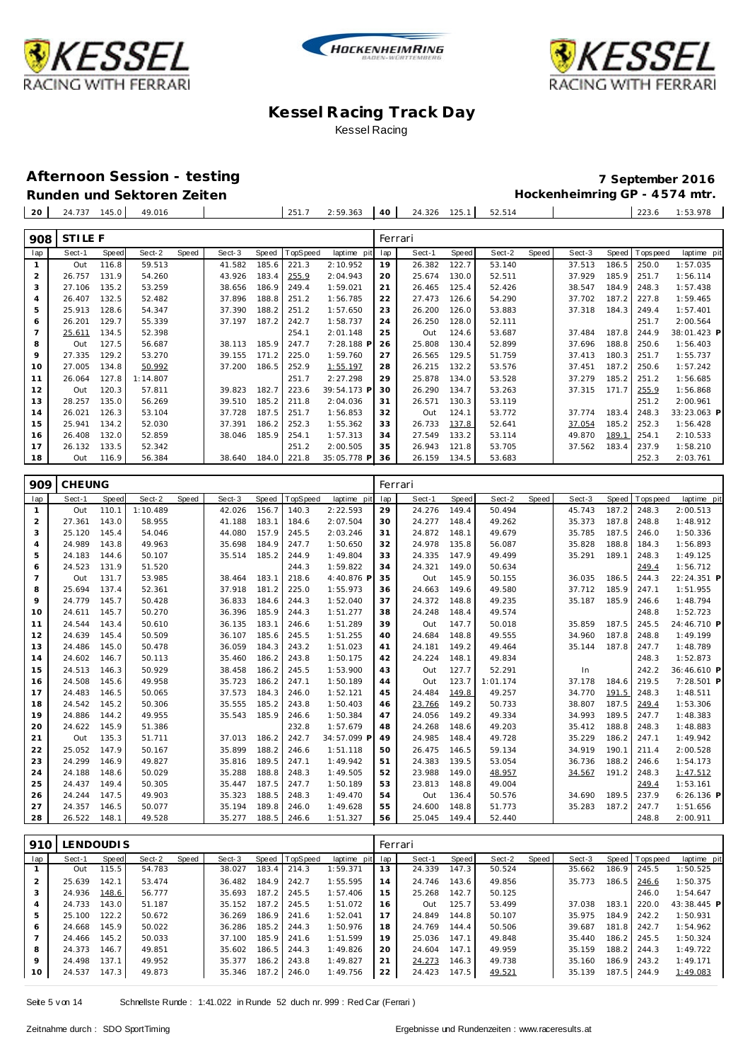





**Afternoon Session - testing 7 September 2016** Runden und Sektoren Zeiten **Munden und Sektoren Zeiten Hockenheimring GP** - 4574 mtr.

| 20  | 24.737         | 145.0 | 49.016   |       |        |       | 251.7    | 2:59.363    | 40  | 24.326  | 125.1 | 52.514 |       |        |       | 223.6    | 1:53.978    |
|-----|----------------|-------|----------|-------|--------|-------|----------|-------------|-----|---------|-------|--------|-------|--------|-------|----------|-------------|
| 908 | <b>STILE F</b> |       |          |       |        |       |          |             |     | Ferrari |       |        |       |        |       |          |             |
| lap | Sect-1         | Speed | Sect-2   | Speed | Sect-3 | Speed | TopSpeed | laptime pit | lap | Sect-1  | Speed | Sect-2 | Speed | Sect-3 | Speed | Topspeed | laptime pit |
|     | Out            | 116.8 | 59.513   |       | 41.582 | 185.6 | 221.3    | 2:10.952    | 19  | 26.382  | 122.7 | 53.140 |       | 37.513 | 186.5 | 250.0    | 1:57.035    |
| 2   | 26.757         | 131.9 | 54.260   |       | 43.926 | 183.4 | 255.9    | 2:04.943    | 20  | 25.674  | 130.0 | 52.511 |       | 37.929 | 185.9 | 251.7    | 1:56.114    |
| 3   | 27.106         | 135.2 | 53.259   |       | 38.656 | 186.9 | 249.4    | 1:59.021    | 21  | 26.465  | 125.4 | 52.426 |       | 38.547 | 184.9 | 248.3    | 1:57.438    |
| 4   | 26.407         | 132.5 | 52.482   |       | 37.896 | 188.8 | 251.2    | 1:56.785    | 22  | 27.473  | 126.6 | 54.290 |       | 37.702 | 187.2 | 227.8    | 1:59.465    |
| 5   | 25.913         | 128.6 | 54.347   |       | 37.390 | 188.2 | 251.2    | 1:57.650    | 23  | 26.200  | 126.0 | 53.883 |       | 37.318 | 184.3 | 249.4    | 1:57.401    |
| 6   | 26.201         | 129.7 | 55.339   |       | 37.197 | 187.2 | 242.7    | 1:58.737    | 24  | 26.250  | 128.0 | 52.111 |       |        |       | 251.7    | 2:00.564    |
|     | 25.611         | 134.5 | 52.398   |       |        |       | 254.1    | 2:01.148    | 25  | Out     | 124.6 | 53.687 |       | 37.484 | 187.8 | 244.9    | 38:01.423 P |
| 8   | Out            | 127.5 | 56.687   |       | 38.113 | 185.9 | 247.7    | 7:28.188 F  | 26  | 25.808  | 130.4 | 52.899 |       | 37.696 | 188.8 | 250.6    | 1:56.403    |
| 9   | 27.335         | 129.2 | 53.270   |       | 39.155 | 171.2 | 225.0    | 1:59.760    | 27  | 26.565  | 129.5 | 51.759 |       | 37.413 | 180.3 | 251.7    | 1:55.737    |
| 10  | 27.005         | 134.8 | 50.992   |       | 37.200 | 186.5 | 252.9    | 1:55.197    | 28  | 26.215  | 132.2 | 53.576 |       | 37.451 | 187.2 | 250.6    | 1:57.242    |
| 11  | 26.064         | 127.8 | 1:14.807 |       |        |       | 251.7    | 2:27.298    | 29  | 25.878  | 134.0 | 53.528 |       | 37.279 | 185.2 | 251.2    | 1:56.685    |
| 12  | Out            | 120.3 | 57.811   |       | 39.823 | 182.7 | 223.6    | 39:54.173 F | 30  | 26.290  | 134.7 | 53.263 |       | 37.315 | 171.7 | 255.9    | 1:56.868    |
| 13  | 28.257         | 135.0 | 56.269   |       | 39.510 | 185.2 | 211.8    | 2:04.036    | 31  | 26.571  | 130.3 | 53.119 |       |        |       | 251.2    | 2:00.961    |
| 14  | 26.021         | 126.3 | 53.104   |       | 37.728 | 187.5 | 251.7    | 1:56.853    | 32  | Out     | 124.1 | 53.772 |       | 37.774 | 183.4 | 248.3    | 33:23.063 P |
| 15  | 25.941         | 134.2 | 52.030   |       | 37.391 | 186.2 | 252.3    | 1:55.362    | 33  | 26.733  | 137.8 | 52.641 |       | 37.054 | 185.2 | 252.3    | 1:56.428    |
| 16  | 26.408         | 132.0 | 52.859   |       | 38.046 | 185.9 | 254.1    | 1:57.313    | 34  | 27.549  | 133.2 | 53.114 |       | 49.870 | 189.1 | 254.1    | 2:10.533    |
| 17  | 26.132         | 133.5 | 52.342   |       |        |       | 251.2    | 2:00.505    | 35  | 26.943  | 121.8 | 53.705 |       | 37.562 | 183.4 | 237.9    | 1:58.210    |
| 18  | Out            | 116.9 | 56.384   |       | 38.640 | 184.0 | 221.8    | 35:05.778 P | 36  | 26.159  | 134.5 | 53.683 |       |        |       | 252.3    | 2:03.761    |
|     |                |       |          |       |        |       |          |             |     |         |       |        |       |        |       |          |             |

| 909            | <b>CHEUNG</b> |       |          |       |        |       |          |             |     | Ferrari |       |          |       |        |       |            |              |
|----------------|---------------|-------|----------|-------|--------|-------|----------|-------------|-----|---------|-------|----------|-------|--------|-------|------------|--------------|
| lap            | Sect-1        | Speed | Sect-2   | Speed | Sect-3 | Speed | TopSpeed | laptime pit | lap | Sect-1  | Speed | Sect-2   | Speed | Sect-3 | Speed | T ops peed | laptime pit  |
| $\mathbf{1}$   | Out           | 110.1 | 1:10.489 |       | 42.026 | 156.7 | 140.3    | 2:22.593    | 29  | 24.276  | 149.4 | 50.494   |       | 45.743 | 187.2 | 248.3      | 2:00.513     |
| $\overline{2}$ | 27.361        | 143.0 | 58.955   |       | 41.188 | 183.1 | 184.6    | 2:07.504    | 30  | 24.277  | 148.4 | 49.262   |       | 35.373 | 187.8 | 248.8      | 1:48.912     |
| 3              | 25.120        | 145.4 | 54.046   |       | 44.080 | 157.9 | 245.5    | 2:03.246    | 31  | 24.872  | 148.1 | 49.679   |       | 35.785 | 187.5 | 246.0      | 1:50.336     |
| $\overline{4}$ | 24.989        | 143.8 | 49.963   |       | 35.698 | 184.9 | 247.7    | 1:50.650    | 32  | 24.978  | 135.8 | 56.087   |       | 35.828 | 188.8 | 184.3      | 1:56.893     |
| 5              | 24.183        | 144.6 | 50.107   |       | 35.514 | 185.2 | 244.9    | 1:49.804    | 33  | 24.335  | 147.9 | 49.499   |       | 35.291 | 189.1 | 248.3      | 1:49.125     |
| 6              | 24.523        | 131.9 | 51.520   |       |        |       | 244.3    | 1:59.822    | 34  | 24.321  | 149.0 | 50.634   |       |        |       | 249.4      | 1:56.712     |
| $\overline{7}$ | Out           | 131.7 | 53.985   |       | 38.464 | 183.1 | 218.6    | 4:40.876 F  | 35  | Out     | 145.9 | 50.155   |       | 36.035 | 186.5 | 244.3      | 22:24.351 P  |
| 8              | 25.694        | 137.4 | 52.361   |       | 37.918 | 181.2 | 225.0    | 1:55.973    | 36  | 24.663  | 149.6 | 49.580   |       | 37.712 | 185.9 | 247.1      | 1:51.955     |
| 9              | 24.779        | 145.7 | 50.428   |       | 36.833 | 184.6 | 244.3    | 1:52.040    | 37  | 24.372  | 148.8 | 49.235   |       | 35.187 | 185.9 | 246.6      | 1:48.794     |
| 10             | 24.611        | 145.7 | 50.270   |       | 36.396 | 185.9 | 244.3    | 1:51.277    | 38  | 24.248  | 148.4 | 49.574   |       |        |       | 248.8      | 1:52.723     |
| 11             | 24.544        | 143.4 | 50.610   |       | 36.135 | 183.1 | 246.6    | 1:51.289    | 39  | Out     | 147.7 | 50.018   |       | 35.859 | 187.5 | 245.5      | 24:46.710 P  |
| 12             | 24.639        | 145.4 | 50.509   |       | 36.107 | 185.6 | 245.5    | 1:51.255    | 40  | 24.684  | 148.8 | 49.555   |       | 34.960 | 187.8 | 248.8      | 1:49.199     |
| 13             | 24.486        | 145.0 | 50.478   |       | 36.059 | 184.3 | 243.2    | 1:51.023    | 41  | 24.181  | 149.2 | 49.464   |       | 35.144 | 187.8 | 247.7      | 1:48.789     |
| 14             | 24.602        | 146.7 | 50.113   |       | 35.460 | 186.2 | 243.8    | 1:50.175    | 42  | 24.224  | 148.1 | 49.834   |       |        |       | 248.3      | 1:52.873     |
| 15             | 24.513        | 146.3 | 50.929   |       | 38.458 | 186.2 | 245.5    | 1:53.900    | 43  | Out     | 127.7 | 52.291   |       | In     |       | 242.2      | 36:46.610 P  |
| 16             | 24.508        | 145.6 | 49.958   |       | 35.723 | 186.2 | 247.1    | 1:50.189    | 44  | Out     | 123.7 | 1:01.174 |       | 37.178 | 184.6 | 219.5      | 7:28.501 P   |
| 17             | 24.483        | 146.5 | 50.065   |       | 37.573 | 184.3 | 246.0    | 1:52.121    | 45  | 24.484  | 149.8 | 49.257   |       | 34.770 | 191.5 | 248.3      | 1:48.511     |
| 18             | 24.542        | 145.2 | 50.306   |       | 35.555 | 185.2 | 243.8    | 1:50.403    | 46  | 23.766  | 149.2 | 50.733   |       | 38.807 | 187.5 | 249.4      | 1:53.306     |
| 19             | 24.886        | 144.2 | 49.955   |       | 35.543 | 185.9 | 246.6    | 1:50.384    | 47  | 24.056  | 149.2 | 49.334   |       | 34.993 | 189.5 | 247.7      | 1:48.383     |
| 20             | 24.622        | 145.9 | 51.386   |       |        |       | 232.8    | 1:57.679    | 48  | 24.268  | 148.6 | 49.203   |       | 35.412 | 188.8 | 248.3      | 1:48.883     |
| 21             | Out           | 135.3 | 51.711   |       | 37.013 | 186.2 | 242.7    | 34:57.099 F | 49  | 24.985  | 148.4 | 49.728   |       | 35.229 | 186.2 | 247.1      | 1:49.942     |
| 22             | 25.052        | 147.9 | 50.167   |       | 35.899 | 188.2 | 246.6    | 1:51.118    | 50  | 26.475  | 146.5 | 59.134   |       | 34.919 | 190.1 | 211.4      | 2:00.528     |
| 23             | 24.299        | 146.9 | 49.827   |       | 35.816 | 189.5 | 247.1    | 1:49.942    | 51  | 24.383  | 139.5 | 53.054   |       | 36.736 | 188.2 | 246.6      | 1:54.173     |
| 24             | 24.188        | 148.6 | 50.029   |       | 35.288 | 188.8 | 248.3    | 1:49.505    | 52  | 23.988  | 149.0 | 48.957   |       | 34.567 | 191.2 | 248.3      | 1:47.512     |
| 25             | 24.437        | 149.4 | 50.305   |       | 35.447 | 187.5 | 247.7    | 1:50.189    | 53  | 23.813  | 148.8 | 49.004   |       |        |       | 249.4      | 1:53.161     |
| 26             | 24.244        | 147.5 | 49.903   |       | 35.323 | 188.5 | 248.3    | 1:49.470    | 54  | Out     | 136.4 | 50.576   |       | 34.690 | 189.5 | 237.9      | $6:26.136$ P |
| 27             | 24.357        | 146.5 | 50.077   |       | 35.194 | 189.8 | 246.0    | 1:49.628    | 55  | 24.600  | 148.8 | 51.773   |       | 35.283 | 187.2 | 247.7      | 1:51.656     |
| 28             | 26.522        | 148.1 | 49.528   |       | 35.277 | 188.5 | 246.6    | 1:51.327    | 56  | 25.045  | 149.4 | 52.440   |       |        |       | 248.8      | 2:00.911     |

| 910            |        | LENDOUDIS |        |       |        |       |                |                 |    | Ferrari |       |        |       |        |       |                 |             |
|----------------|--------|-----------|--------|-------|--------|-------|----------------|-----------------|----|---------|-------|--------|-------|--------|-------|-----------------|-------------|
| lap            | Sect-1 | Speed     | Sect-2 | Speed | Sect-3 |       | Speed TopSpeed | laptime pit lap |    | Sect-1  | Speed | Sect-2 | Speed | Sect-3 |       | Speed Tops peed | laptime pit |
|                | Out    | 115.5     | 54.783 |       | 38.027 | 183.4 | 214.3          | 1:59.371        | 13 | 24.339  | 147.3 | 50.524 |       | 35.662 | 186.9 | 245.5           | 1:50.525    |
| $\overline{2}$ | 25.639 | 142.1     | 53.474 |       | 36.482 | 184.9 | 242.7          | 1:55.595        | 14 | 24.746  | 143.6 | 49.856 |       | 35.773 | 186.5 | 246.6           | 1:50.375    |
| 3              | 24.936 | 148.6     | 56.777 |       | 35.693 | 187.2 | 245.5          | 1:57.406        | 15 | 25.268  | 142.7 | 50.125 |       |        |       | 246.0           | 1:54.647    |
| 4              | 24.733 | 143.0     | 51.187 |       | 35.152 | 187.2 | 245.5          | 1:51.072        | 16 | Out     | 125.7 | 53.499 |       | 37.038 | 183.7 | 220.0           | 43:38.445 P |
| 5              | 25.100 | 122.2     | 50.672 |       | 36.269 | 186.9 | 241.6          | 1:52.041        | 17 | 24.849  | 144.8 | 50.107 |       | 35.975 |       | 184.9 242.2     | 1:50.931    |
| 6              | 24.668 | 145.9     | 50.022 |       | 36.286 | 185.2 | 244.3          | 1:50.976        | 18 | 24.769  | 144.4 | 50.506 |       | 39.687 | 181.8 | 242.7           | 1:54.962    |
|                | 24.466 | 145.2     | 50.033 |       | 37.100 | 185.9 | 241.6          | 1:51.599        | 19 | 25.036  | 147.1 | 49.848 |       | 35.440 |       | 186.2 245.5     | 1:50.324    |
| 8              | 24.373 | 146.7     | 49.851 |       | 35.602 | 186.5 | 244.3          | 1:49.826        | 20 | 24.604  | 147.1 | 49.959 |       | 35.159 |       | 188.2 244.3     | 1:49.722    |
| 9              | 24.498 | 137.1     | 49.952 |       | 35.377 | 186.2 | 243.8          | 1:49.827        | 21 | 24.273  | 146.3 | 49.738 |       | 35.160 |       | 186.9 243.2     | 1:49.171    |
| 10             | 24.537 | 147.3     | 49.873 |       | 35.346 | 187.2 | 246.0          | 1:49.756        | 22 | 24.423  | 147.5 | 49.521 |       | 35.139 | 187.5 | 244.9           | 1:49.083    |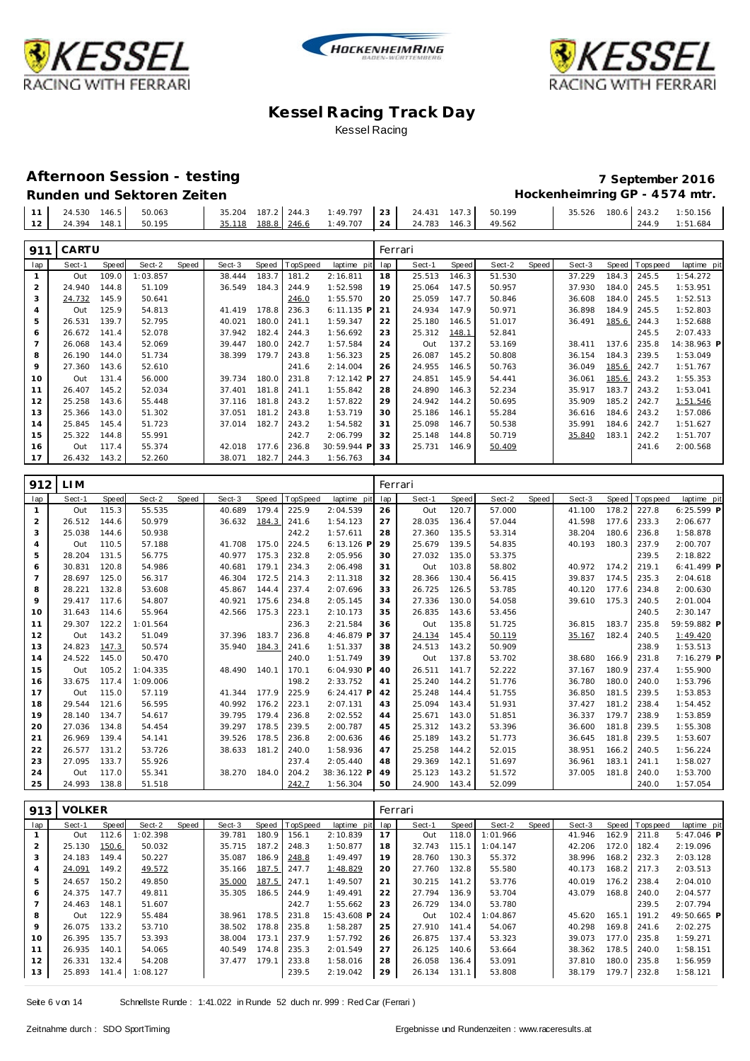





#### **Afternoon Session - testing 7 September 2016** Runden und Sektoren Zeiten **Munden und Sektoren Zeiten Hockenheimring GP** - 4574 mtr.

|  |  | <b>TWINDER WHO SCILLOFER LESSILE</b> |  |                                                                                                  |  |  | $\frac{1}{2}$               |  |                |
|--|--|--------------------------------------|--|--------------------------------------------------------------------------------------------------|--|--|-----------------------------|--|----------------|
|  |  | $11$ 24.530 146.5 50.063             |  | $\begin{vmatrix} 35.204 & 187.2 & 244.3 & 1:49.797 & 23 & 24.431 & 147.3 & 50.199 \end{vmatrix}$ |  |  | 35.526 180.6 243.2 1:50.156 |  |                |
|  |  | 12 24.394 148.1 50.195               |  | 35.118 188.8 246.6 1:49.707 24 24.783 146.3 49.562                                               |  |  |                             |  | 244.9 1:51.684 |

| 911 | CARTU  |       |          |       |        |       |          |              |     | Ferrari |       |        |       |        |       |             |             |
|-----|--------|-------|----------|-------|--------|-------|----------|--------------|-----|---------|-------|--------|-------|--------|-------|-------------|-------------|
| lap | Sect-1 | Speed | Sect-2   | Speed | Sect-3 | Speed | TopSpeed | laptime pit  | lap | Sect-1  | Speed | Sect-2 | Speed | Sect-3 | Speed | T ops pee d | laptime pit |
|     | Out    | 109.0 | 1:03.857 |       | 38.444 | 183.7 | 181.2    | 2:16.811     | 18  | 25.513  | 146.3 | 51.530 |       | 37.229 | 184.3 | 245.5       | 1:54.272    |
| 2   | 24.940 | 144.8 | 51.109   |       | 36.549 | 184.3 | 244.9    | 1:52.598     | 19  | 25.064  | 147.5 | 50.957 |       | 37.930 | 184.0 | 245.5       | 1:53.951    |
| 3   | 24.732 | 145.9 | 50.641   |       |        |       | 246.0    | 1:55.570     | 20  | 25.059  | 147.7 | 50.846 |       | 36.608 | 184.0 | 245.5       | 1:52.513    |
| 4   | Out    | 125.9 | 54.813   |       | 41.419 | 178.8 | 236.3    | $6:11.135$ P | 21  | 24.934  | 147.9 | 50.971 |       | 36.898 | 184.9 | 245.5       | 1:52.803    |
| 5   | 26.531 | 139.7 | 52.795   |       | 40.021 | 180.0 | 241.1    | 1:59.347     | 22  | 25.180  | 146.5 | 51.017 |       | 36.491 | 185.6 | 244.3       | 1:52.688    |
| 6   | 26.672 | 141.4 | 52.078   |       | 37.942 | 182.4 | 244.3    | 1:56.692     | 23  | 25.312  | 148.1 | 52.841 |       |        |       | 245.5       | 2:07.433    |
|     | 26.068 | 143.4 | 52.069   |       | 39.447 | 180.0 | 242.7    | 1:57.584     | 24  | Out     | 137.2 | 53.169 |       | 38.411 | 137.6 | 235.8       | 14:38.963 P |
| 8   | 26.190 | 144.0 | 51.734   |       | 38.399 | 179.7 | 243.8    | 1:56.323     | 25  | 26.087  | 145.2 | 50.808 |       | 36.154 | 184.3 | 239.5       | 1:53.049    |
| 9   | 27.360 | 143.6 | 52.610   |       |        |       | 241.6    | 2:14.004     | 26  | 24.955  | 146.5 | 50.763 |       | 36.049 | 185.6 | 242.7       | 1:51.767    |
| 10  | Out    | 131.4 | 56.000   |       | 39.734 | 180.0 | 231.8    | 7:12.142 P   | 27  | 24.851  | 145.9 | 54.441 |       | 36.061 | 185.6 | 243.2       | 1:55.353    |
| 11  | 26.407 | 145.2 | 52.034   |       | 37.401 | 181.8 | 241.1    | 1:55.842     | 28  | 24.890  | 146.3 | 52.234 |       | 35.917 | 183.7 | 243.2       | 1:53.041    |
| 12  | 25.258 | 143.6 | 55.448   |       | 37.116 | 181.8 | 243.2    | 1:57.822     | 29  | 24.942  | 144.2 | 50.695 |       | 35.909 | 185.2 | 242.7       | 1:51.546    |
| 13  | 25.366 | 143.0 | 51.302   |       | 37.051 | 181.2 | 243.8    | 1:53.719     | 30  | 25.186  | 146.1 | 55.284 |       | 36.616 | 184.6 | 243.2       | 1:57.086    |
| 14  | 25.845 | 145.4 | 51.723   |       | 37.014 | 182.7 | 243.2    | 1:54.582     | 31  | 25.098  | 146.7 | 50.538 |       | 35.991 | 184.6 | 242.7       | 1:51.627    |
| 15  | 25.322 | 144.8 | 55.991   |       |        |       | 242.7    | 2:06.799     | 32  | 25.148  | 144.8 | 50.719 |       | 35.840 | 183.1 | 242.2       | 1:51.707    |
| 16  | Out    | 117.4 | 55.374   |       | 42.018 | 177.6 | 236.8    | 30:59.944 P  | 33  | 25.731  | 146.9 | 50.409 |       |        |       | 241.6       | 2:00.568    |
| 17  | 26.432 | 143.2 | 52.260   |       | 38.071 | 182.7 | 244.3    | 1:56.763     | 34  |         |       |        |       |        |       |             |             |

| 912 | LI M   |       |          |       |        |       |          |              | Ferrari |        |       |        |       |        |       |             |              |
|-----|--------|-------|----------|-------|--------|-------|----------|--------------|---------|--------|-------|--------|-------|--------|-------|-------------|--------------|
| lap | Sect-1 | Speed | Sect-2   | Speed | Sect-3 | Speed | TopSpeed | laptime pit  | lap     | Sect-1 | Speed | Sect-2 | Speed | Sect-3 | Speed | T ops pee d | laptime pit  |
| 1   | Out    | 115.3 | 55.535   |       | 40.689 | 179.4 | 225.9    | 2:04.539     | 26      | Out    | 120.7 | 57.000 |       | 41.100 | 178.2 | 227.8       | $6:25.599$ P |
| 2   | 26.512 | 144.6 | 50.979   |       | 36.632 | 184.3 | 241.6    | 1:54.123     | 27      | 28.035 | 136.4 | 57.044 |       | 41.598 | 177.6 | 233.3       | 2:06.677     |
| 3   | 25.038 | 144.6 | 50.938   |       |        |       | 242.2    | 1:57.611     | 28      | 27.360 | 135.5 | 53.314 |       | 38.204 | 180.6 | 236.8       | 1:58.878     |
| 4   | Out    | 110.5 | 57.188   |       | 41.708 | 175.0 | 224.5    | $6:13.126$ F | 29      | 25.679 | 139.5 | 54.835 |       | 40.193 | 180.3 | 237.9       | 2:00.707     |
| 5   | 28.204 | 131.5 | 56.775   |       | 40.977 | 175.3 | 232.8    | 2:05.956     | 30      | 27.032 | 135.0 | 53.375 |       |        |       | 239.5       | 2:18.822     |
| 6   | 30.831 | 120.8 | 54.986   |       | 40.681 | 179.1 | 234.3    | 2:06.498     | 31      | Out    | 103.8 | 58.802 |       | 40.972 | 174.2 | 219.1       | $6:41.499$ P |
| 7   | 28.697 | 125.0 | 56.317   |       | 46.304 | 172.5 | 214.3    | 2:11.318     | 32      | 28.366 | 130.4 | 56.415 |       | 39.837 | 174.5 | 235.3       | 2:04.618     |
| 8   | 28.221 | 132.8 | 53.608   |       | 45.867 | 144.4 | 237.4    | 2:07.696     | 33      | 26.725 | 126.5 | 53.785 |       | 40.120 | 177.6 | 234.8       | 2:00.630     |
| 9   | 29.417 | 117.6 | 54.807   |       | 40.921 | 175.6 | 234.8    | 2:05.145     | 34      | 27.336 | 130.0 | 54.058 |       | 39.610 | 175.3 | 240.5       | 2:01.004     |
| 10  | 31.643 | 114.6 | 55.964   |       | 42.566 | 175.3 | 223.1    | 2:10.173     | 35      | 26.835 | 143.6 | 53.456 |       |        |       | 240.5       | 2:30.147     |
| 11  | 29.307 | 122.2 | 1:01.564 |       |        |       | 236.3    | 2:21.584     | 36      | Out    | 135.8 | 51.725 |       | 36.815 | 183.7 | 235.8       | 59:59.882 P  |
| 12  | Out    | 143.2 | 51.049   |       | 37.396 | 183.7 | 236.8    | 4:46.879 P   | 37      | 24.134 | 145.4 | 50.119 |       | 35.167 | 182.4 | 240.5       | 1:49.420     |
| 13  | 24.823 | 147.3 | 50.574   |       | 35.940 | 184.3 | 241.6    | 1:51.337     | 38      | 24.513 | 143.2 | 50.909 |       |        |       | 238.9       | 1:53.513     |
| 14  | 24.522 | 145.0 | 50.470   |       |        |       | 240.0    | 1:51.749     | 39      | Out    | 137.8 | 53.702 |       | 38.680 | 166.9 | 231.8       | 7:16.279 P   |
| 15  | Out    | 105.2 | 1:04.335 |       | 48.490 | 140.1 | 170.1    | 6:04.930 P   | 40      | 26.511 | 141.7 | 52.222 |       | 37.167 | 180.9 | 237.4       | 1:55.900     |
| 16  | 33.675 | 117.4 | 1:09.006 |       |        |       | 198.2    | 2:33.752     | 41      | 25.240 | 144.2 | 51.776 |       | 36.780 | 180.0 | 240.0       | 1:53.796     |
| 17  | Out    | 115.0 | 57.119   |       | 41.344 | 177.9 | 225.9    | $6:24.417$ P | 42      | 25.248 | 144.4 | 51.755 |       | 36.850 | 181.5 | 239.5       | 1:53.853     |
| 18  | 29.544 | 121.6 | 56.595   |       | 40.992 | 176.2 | 223.1    | 2:07.131     | 43      | 25.094 | 143.4 | 51.931 |       | 37.427 | 181.2 | 238.4       | 1:54.452     |
| 19  | 28.140 | 134.7 | 54.617   |       | 39.795 | 179.4 | 236.8    | 2:02.552     | 44      | 25.671 | 143.0 | 51.851 |       | 36.337 | 179.7 | 238.9       | 1:53.859     |
| 20  | 27.036 | 134.8 | 54.454   |       | 39.297 | 178.5 | 239.5    | 2:00.787     | 45      | 25.312 | 143.2 | 53.396 |       | 36.600 | 181.8 | 239.5       | 1:55.308     |
| 21  | 26.969 | 139.4 | 54.141   |       | 39.526 | 178.5 | 236.8    | 2:00.636     | 46      | 25.189 | 143.2 | 51.773 |       | 36.645 | 181.8 | 239.5       | 1:53.607     |
| 22  | 26.577 | 131.2 | 53.726   |       | 38.633 | 181.2 | 240.0    | 1:58.936     | 47      | 25.258 | 144.2 | 52.015 |       | 38.951 | 166.2 | 240.5       | 1:56.224     |
| 23  | 27.095 | 133.7 | 55.926   |       |        |       | 237.4    | 2:05.440     | 48      | 29.369 | 142.1 | 51.697 |       | 36.961 | 183.1 | 241.1       | 1:58.027     |
| 24  | Out    | 117.0 | 55.341   |       | 38.270 | 184.0 | 204.2    | 38:36.122 F  | 49      | 25.123 | 143.2 | 51.572 |       | 37.005 | 181.8 | 240.0       | 1:53.700     |
| 25  | 24.993 | 138.8 | 51.518   |       |        |       | 242.7    | 1:56.304     | 50      | 24.900 | 143.4 | 52.099 |       |        |       | 240.0       | 1:57.054     |

| 913 | <b>VOLKER</b> |       |                |       |        |       |                |             | Ferrari |        |       |          |       |        |       |                   |              |
|-----|---------------|-------|----------------|-------|--------|-------|----------------|-------------|---------|--------|-------|----------|-------|--------|-------|-------------------|--------------|
| lap | Sect-1        | Speed | Sect-2         | Speed | Sect-3 |       | Speed TopSpeed | laptime pit | lap     | Sect-1 | Speed | Sect-2   | Speed | Sect-3 | Speed | <b>T</b> ops peed | laptime pit  |
|     | Out           | 112.6 | 1:02.398       |       | 39.781 | 180.9 | 156.1          | 2:10.839    | 17      | Out    | 118.0 | 1:01.966 |       | 41.946 | 162.9 | 211.8             | $5:47.046$ P |
|     | 25.130        | 150.6 | 50.032         |       | 35.715 | 187.2 | 248.3          | 1:50.877    | 18      | 32.743 | 115.1 | 1:04.147 |       | 42.206 | 172.0 | 182.4             | 2:19.096     |
|     | 24.183        | 149.4 | 50.227         |       | 35.087 | 186.9 | 248.8          | 1:49.497    | 19      | 28.760 | 130.3 | 55.372   |       | 38.996 | 168.2 | 232.3             | 2:03.128     |
|     | 24.091        | 149.2 | 49.572         |       | 35.166 | 187.5 | 247.7          | 1:48.829    | 20      | 27.760 | 132.8 | 55.580   |       | 40.173 | 168.2 | 217.3             | 2:03.513     |
| 5   | 24.657        | 150.2 | 49.850         |       | 35.000 | 187.5 | 247.1          | 1:49.507    | 21      | 30.215 | 141.2 | 53.776   |       | 40.019 | 176.2 | 238.4             | 2:04.010     |
| 6   | 24.375        | 147.7 | 49.811         |       | 35.305 | 186.5 | 244.9          | 1:49.491    | 22      | 27.794 | 136.9 | 53.704   |       | 43.079 | 168.8 | 240.0             | 2:04.577     |
|     | 24.463        | 148.1 | 51.607         |       |        |       | 242.7          | 1:55.662    | 23      | 26.729 | 134.0 | 53.780   |       |        |       | 239.5             | 2:07.794     |
| 8   | Out           | 122.9 | 55.484         |       | 38.961 | 178.5 | 231.8          | 15:43.608 P | 24      | Out    | 102.4 | 1:04.867 |       | 45.620 | 165.1 | 191.2             | 49:50.665 P  |
| 9   | 26.075        | 133.2 | 53.710         |       | 38.502 | 178.8 | 235.8          | 1:58.287    | 25      | 27.910 | 141.4 | 54.067   |       | 40.298 | 169.8 | 241.6             | 2:02.275     |
| 10  | 26.395        | 135.7 | 53.393         |       | 38.004 | 173.1 | 237.9          | 1:57.792    | 26      | 26.875 | 137.4 | 53.323   |       | 39.073 | 177.0 | 235.8             | 1:59.271     |
| 11  | 26.935        | 140.1 | 54.065         |       | 40.549 | 174.8 | 235.3          | 2:01.549    | 27      | 26.125 | 140.6 | 53.664   |       | 38.362 | 178.5 | 240.0             | 1:58.151     |
| 12  | 26.331        | 132.4 | 54.208         |       | 37.477 | 179.1 | 233.8          | 1:58.016    | 28      | 26.058 | 136.4 | 53.091   |       | 37.810 | 180.0 | 235.8             | 1:56.959     |
| 13  | 25.893        |       | 141.4 1:08.127 |       |        |       | 239.5          | 2:19.042    | 29      | 26.134 | 131.1 | 53.808   |       | 38.179 | 179.7 | 232.8             | 1:58.121     |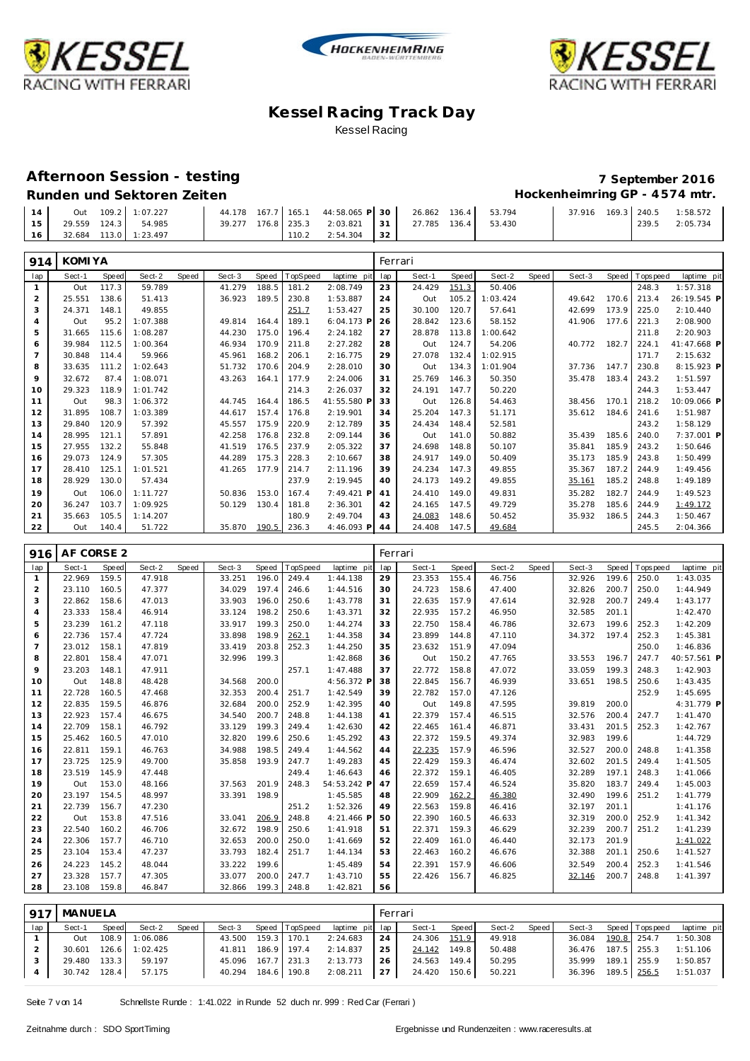





### **Afternoon Session - testing 7 September 2016**

# **Runden und Sektoren Zeiten Hockenheimring GP - 4 574 mtr.**

1:58.572<br>2:05.734

| 14 |  | Out 109.2 1:07.227    |  | 44.178 167.7 165.1 44:58.065 P 30 26.862 136.4 53.794 |    |                     |  | 37.916 169.3 240.5 |       | 1:58.572 |
|----|--|-----------------------|--|-------------------------------------------------------|----|---------------------|--|--------------------|-------|----------|
| 15 |  | 29.559 124.3 54.985   |  | 39.277 176.8 235.3 2:03.821 31                        |    | 27.785 136.4 53.430 |  |                    | 239.5 | 2:05.734 |
| 16 |  | 32.684 113.0 1:23.497 |  | 110.2 2:54.304                                        | 32 |                     |  |                    |       |          |

| 914            | <b>KOMIYA</b> |       |          |       |        |       |         |              |     | Ferrari |       |          |       |        |       |            |             |
|----------------|---------------|-------|----------|-------|--------|-------|---------|--------------|-----|---------|-------|----------|-------|--------|-------|------------|-------------|
| lap            | Sect-1        | Speed | Sect-2   | Speed | Sect-3 | Speed | opSpeed | laptime pit  | lap | Sect-1  | Speed | Sect-2   | Speed | Sect-3 | Speed | T ops peed | laptime pit |
| 1              | Out           | 117.3 | 59.789   |       | 41.279 | 188.5 | 181.2   | 2:08.749     | 23  | 24.429  | 151.3 | 50.406   |       |        |       | 248.3      | 1:57.318    |
| $\overline{2}$ | 25.551        | 138.6 | 51.413   |       | 36.923 | 189.5 | 230.8   | 1:53.887     | 24  | Out     | 105.2 | 1:03.424 |       | 49.642 | 170.6 | 213.4      | 26:19.545 P |
| 3              | 24.371        | 148.1 | 49.855   |       |        |       | 251.7   | 1:53.427     | 25  | 30.100  | 120.7 | 57.641   |       | 42.699 | 173.9 | 225.0      | 2:10.440    |
| 4              | Out           | 95.2  | 1:07.388 |       | 49.814 | 164.4 | 189.1   | $6:04.173$ P | 26  | 28.842  | 123.6 | 58.152   |       | 41.906 | 177.6 | 221.3      | 2:08.900    |
| 5              | 31.665        | 115.6 | 1:08.287 |       | 44.230 | 175.0 | 196.4   | 2:24.182     | 27  | 28.878  | 113.8 | 1:00.642 |       |        |       | 211.8      | 2:20.903    |
| 6              | 39.984        | 112.5 | 1:00.364 |       | 46.934 | 170.9 | 211.8   | 2:27.282     | 28  | Out     | 124.7 | 54.206   |       | 40.772 | 182.7 | 224.1      | 41:47.668 P |
| $\overline{7}$ | 30.848        | 114.4 | 59.966   |       | 45.961 | 168.2 | 206.1   | 2:16.775     | 29  | 27.078  | 132.4 | 1:02.915 |       |        |       | 171.7      | 2:15.632    |
| 8              | 33.635        | 111.2 | 1:02.643 |       | 51.732 | 170.6 | 204.9   | 2:28.010     | 30  | Out     | 134.3 | 1:01.904 |       | 37.736 | 147.7 | 230.8      | 8:15.923 P  |
| 9              | 32.672        | 87.4  | 1:08.071 |       | 43.263 | 164.1 | 177.9   | 2:24.006     | 31  | 25.769  | 146.3 | 50.350   |       | 35.478 | 183.4 | 243.2      | 1:51.597    |
| 10             | 29.323        | 118.9 | 1:01.742 |       |        |       | 214.3   | 2:26.037     | 32  | 24.191  | 147.7 | 50.220   |       |        |       | 244.3      | 1:53.447    |
| 11             | Out           | 98.3  | 1:06.372 |       | 44.745 | 164.4 | 186.5   | 41:55.580 P  | 33  | Out     | 126.8 | 54.463   |       | 38.456 | 170.1 | 218.2      | 10:09.066 P |
| 12             | 31.895        | 108.7 | 1:03.389 |       | 44.617 | 157.4 | 176.8   | 2:19.901     | 34  | 25.204  | 147.3 | 51.171   |       | 35.612 | 184.6 | 241.6      | 1:51.987    |
| 13             | 29.840        | 120.9 | 57.392   |       | 45.557 | 175.9 | 220.9   | 2:12.789     | 35  | 24.434  | 148.4 | 52.581   |       |        |       | 243.2      | 1:58.129    |
| 14             | 28.995        | 121.1 | 57.891   |       | 42.258 | 176.8 | 232.8   | 2:09.144     | 36  | Out     | 141.0 | 50.882   |       | 35.439 | 185.6 | 240.0      | 7:37.001 P  |
| 15             | 27.955        | 132.2 | 55.848   |       | 41.519 | 176.5 | 237.9   | 2:05.322     | 37  | 24.698  | 148.8 | 50.107   |       | 35.841 | 185.9 | 243.2      | 1:50.646    |
| 16             | 29.073        | 124.9 | 57.305   |       | 44.289 | 175.3 | 228.3   | 2:10.667     | 38  | 24.917  | 149.0 | 50.409   |       | 35.173 | 185.9 | 243.8      | 1:50.499    |
| 17             | 28.410        | 125.1 | 1:01.521 |       | 41.265 | 177.9 | 214.7   | 2:11.196     | 39  | 24.234  | 147.3 | 49.855   |       | 35.367 | 187.2 | 244.9      | 1:49.456    |
| 18             | 28.929        | 130.0 | 57.434   |       |        |       | 237.9   | 2:19.945     | 40  | 24.173  | 149.2 | 49.855   |       | 35.161 | 185.2 | 248.8      | 1:49.189    |
| 19             | Out           | 106.0 | 1:11.727 |       | 50.836 | 153.0 | 167.4   | 7:49.421 P   | 41  | 24.410  | 149.0 | 49.831   |       | 35.282 | 182.7 | 244.9      | 1:49.523    |
| 20             | 36.247        | 103.7 | 1:09.925 |       | 50.129 | 130.4 | 181.8   | 2:36.301     | 42  | 24.165  | 147.5 | 49.729   |       | 35.278 | 185.6 | 244.9      | 1:49.172    |
| 21             | 35.663        | 105.5 | 1:14.207 |       |        |       | 180.9   | 2:49.704     | 43  | 24.083  | 148.6 | 50.452   |       | 35.932 | 186.5 | 244.3      | 1:50.467    |
| 22             | Out           | 140.4 | 51.722   |       | 35.870 | 190.5 | 236.3   | 4:46.093 P   | 44  | 24.408  | 147.5 | 49.684   |       |        |       | 245.5      | 2:04.366    |

| 916            | AF CORSE 2 |       |        |       |        |       |          |              | Ferrari |        |       |        |       |        |       |            |             |
|----------------|------------|-------|--------|-------|--------|-------|----------|--------------|---------|--------|-------|--------|-------|--------|-------|------------|-------------|
| lap            | Sect-1     | Speed | Sect-2 | Speed | Sect-3 | Speed | TopSpeed | laptime pit  | lap     | Sect-1 | Speed | Sect-2 | Speed | Sect-3 | Speed | T ops peed | laptime pit |
| $\mathbf{1}$   | 22.969     | 159.5 | 47.918 |       | 33.251 | 196.0 | 249.4    | 1:44.138     | 29      | 23.353 | 155.4 | 46.756 |       | 32.926 | 199.6 | 250.0      | 1:43.035    |
| 2              | 23.110     | 160.5 | 47.377 |       | 34.029 | 197.4 | 246.6    | 1:44.516     | 30      | 24.723 | 158.6 | 47.400 |       | 32.826 | 200.7 | 250.0      | 1:44.949    |
| 3              | 22.862     | 158.6 | 47.013 |       | 33.903 | 196.0 | 250.6    | 1:43.778     | 31      | 22.635 | 157.9 | 47.614 |       | 32.928 | 200.7 | 249.4      | 1:43.177    |
| $\overline{4}$ | 23.333     | 158.4 | 46.914 |       | 33.124 | 198.2 | 250.6    | 1:43.371     | 32      | 22.935 | 157.2 | 46.950 |       | 32.585 | 201.1 |            | 1:42.470    |
| 5              | 23.239     | 161.2 | 47.118 |       | 33.917 | 199.3 | 250.0    | 1:44.274     | 33      | 22.750 | 158.4 | 46.786 |       | 32.673 | 199.6 | 252.3      | 1:42.209    |
| 6              | 22.736     | 157.4 | 47.724 |       | 33.898 | 198.9 | 262.1    | 1:44.358     | 34      | 23.899 | 144.8 | 47.110 |       | 34.372 | 197.4 | 252.3      | 1:45.381    |
| $\overline{7}$ | 23.012     | 158.1 | 47.819 |       | 33.419 | 203.8 | 252.3    | 1:44.250     | 35      | 23.632 | 151.9 | 47.094 |       |        |       | 250.0      | 1:46.836    |
| 8              | 22.801     | 158.4 | 47.071 |       | 32.996 | 199.3 |          | 1:42.868     | 36      | Out    | 150.2 | 47.765 |       | 33.553 | 196.7 | 247.7      | 40:57.561 P |
| 9              | 23.203     | 148.1 | 47.911 |       |        |       | 257.1    | 1:47.488     | 37      | 22.772 | 158.8 | 47.072 |       | 33.059 | 199.3 | 248.3      | 1:42.903    |
| 10             | Out        | 148.8 | 48.428 |       | 34.568 | 200.0 |          | 4:56.372 P   | 38      | 22.845 | 156.7 | 46.939 |       | 33.651 | 198.5 | 250.6      | 1:43.435    |
| 11             | 22.728     | 160.5 | 47.468 |       | 32.353 | 200.4 | 251.7    | 1:42.549     | 39      | 22.782 | 157.0 | 47.126 |       |        |       | 252.9      | 1:45.695    |
| 12             | 22.835     | 159.5 | 46.876 |       | 32.684 | 200.0 | 252.9    | 1:42.395     | 40      | Out    | 149.8 | 47.595 |       | 39.819 | 200.0 |            | 4:31.779 P  |
| 13             | 22.923     | 157.4 | 46.675 |       | 34.540 | 200.7 | 248.8    | 1:44.138     | 41      | 22.379 | 157.4 | 46.515 |       | 32.576 | 200.4 | 247.7      | 1:41.470    |
| 14             | 22.709     | 158.1 | 46.792 |       | 33.129 | 199.3 | 249.4    | 1:42.630     | 42      | 22.465 | 161.4 | 46.871 |       | 33.431 | 201.5 | 252.3      | 1:42.767    |
| 15             | 25.462     | 160.5 | 47.010 |       | 32.820 | 199.6 | 250.6    | 1:45.292     | 43      | 22.372 | 159.5 | 49.374 |       | 32.983 | 199.6 |            | 1:44.729    |
| 16             | 22.811     | 159.1 | 46.763 |       | 34.988 | 198.5 | 249.4    | 1:44.562     | 44      | 22.235 | 157.9 | 46.596 |       | 32.527 | 200.0 | 248.8      | 1:41.358    |
| 17             | 23.725     | 125.9 | 49.700 |       | 35.858 | 193.9 | 247.7    | 1:49.283     | 45      | 22.429 | 159.3 | 46.474 |       | 32.602 | 201.5 | 249.4      | 1:41.505    |
| 18             | 23.519     | 145.9 | 47.448 |       |        |       | 249.4    | 1:46.643     | 46      | 22.372 | 159.1 | 46.405 |       | 32.289 | 197.1 | 248.3      | 1:41.066    |
| 19             | Out        | 153.0 | 48.166 |       | 37.563 | 201.9 | 248.3    | 54:53.242 F  | 47      | 22.659 | 157.4 | 46.524 |       | 35.820 | 183.7 | 249.4      | 1:45.003    |
| 20             | 23.197     | 154.5 | 48.997 |       | 33.391 | 198.9 |          | 1:45.585     | 48      | 22.909 | 162.2 | 46.380 |       | 32.490 | 199.6 | 251.2      | 1:41.779    |
| 21             | 22.739     | 156.7 | 47.230 |       |        |       | 251.2    | 1:52.326     | 49      | 22.563 | 159.8 | 46.416 |       | 32.197 | 201.1 |            | 1:41.176    |
| 22             | Out        | 153.8 | 47.516 |       | 33.041 | 206.9 | 248.8    | $4:21.466$ F | 50      | 22.390 | 160.5 | 46.633 |       | 32.319 | 200.0 | 252.9      | 1:41.342    |
| 23             | 22.540     | 160.2 | 46.706 |       | 32.672 | 198.9 | 250.6    | 1:41.918     | 51      | 22.371 | 159.3 | 46.629 |       | 32.239 | 200.7 | 251.2      | 1:41.239    |
| 24             | 22.306     | 157.7 | 46.710 |       | 32.653 | 200.0 | 250.0    | 1:41.669     | 52      | 22.409 | 161.0 | 46.440 |       | 32.173 | 201.9 |            | 1:41.022    |
| 25             | 23.104     | 153.4 | 47.237 |       | 33.793 | 182.4 | 251.7    | 1:44.134     | 53      | 22.463 | 160.2 | 46.676 |       | 32.388 | 201.1 | 250.6      | 1:41.527    |
| 26             | 24.223     | 145.2 | 48.044 |       | 33.222 | 199.6 |          | 1:45.489     | 54      | 22.391 | 157.9 | 46.606 |       | 32.549 | 200.4 | 252.3      | 1:41.546    |
| 27             | 23.328     | 157.7 | 47.305 |       | 33.077 | 200.0 | 247.7    | 1:43.710     | 55      | 22.426 | 156.7 | 46.825 |       | 32.146 | 200.7 | 248.8      | 1:41.397    |
| 28             | 23.108     | 159.8 | 46.847 |       | 32.866 | 199.3 | 248.8    | 1:42.821     | 56      |        |       |        |       |        |       |            |             |

| 917 | MANUELA      |       |                       |       |                    |             |                |                 | Ferrari   |              |       |        |         |                    |                 |             |
|-----|--------------|-------|-----------------------|-------|--------------------|-------------|----------------|-----------------|-----------|--------------|-------|--------|---------|--------------------|-----------------|-------------|
| lap | Sect-1       | Speed | Sect-2                | Speed | Sect-3             |             | Speed TopSpeed | laptime pit lap |           | Sect-1       | Speed | Sect-2 | Speed I | Sect-3             | Speed Tops peed | laptime pit |
|     | Out          |       | 108.9 1:06.086        |       | 43.500             | 159.3 170.1 |                | 2:24.683        | 24        | 24.306 151.9 |       | 49.918 |         | 36.084             | 190.8 254.7     | 1:50.308    |
|     |              |       | 30.601 126.6 1:02.425 |       | 41.811 186.9 197.4 |             |                | 2:14.837        | 25        | 24.142       | 149.8 | 50.488 |         | 36.476             | 187.5 255.3     | 1:51.106    |
|     | 29.480 133.3 |       | 59.197                |       | 45.096 167.7 231.3 |             |                | 2:13.773        | 26        | 24.563 149.4 |       | 50.295 |         | 35.999             | 189.1 255.9     | 1:50.857    |
|     | 30.742 128.4 |       | 57.175                |       | 40.294 184.6 190.8 |             |                | 2:08.211        | $27 \mid$ | 24.420 150.6 |       | 50.221 |         | 36.396 189.5 256.5 |                 | 1:51.037    |

Seite 7 v on 14 Schnellste Runde : 1:41.022 in Runde 52 duch nr. 999 : Red Car (Ferrari )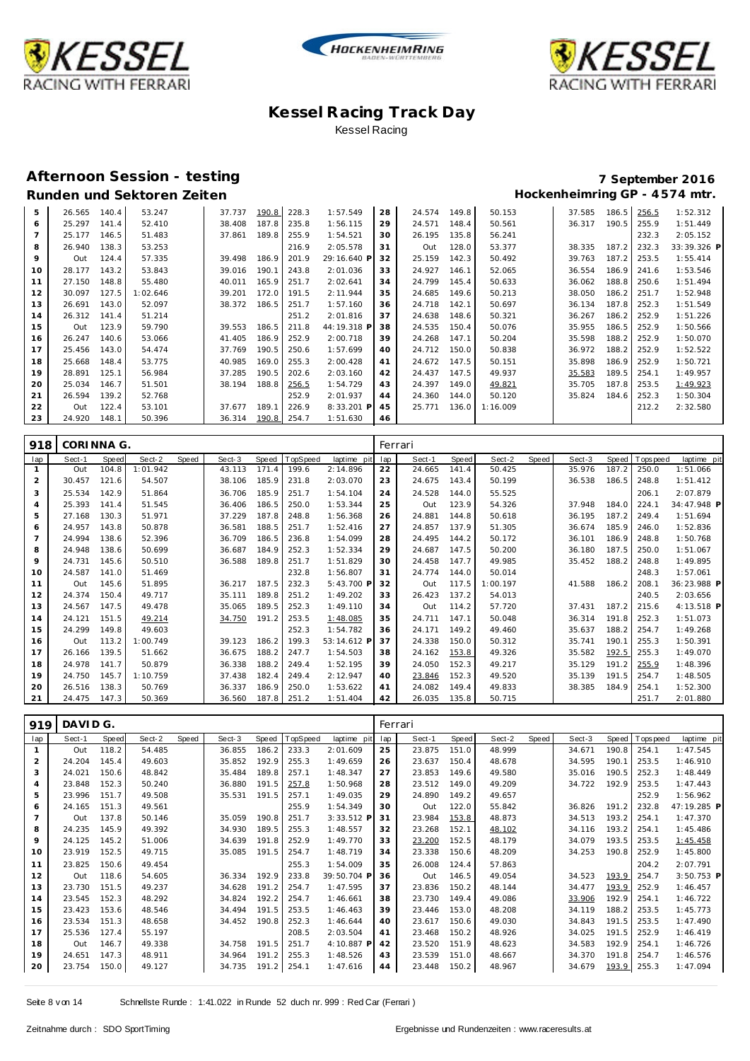





### **Afternoon Session - testing 7 September 2016**

| 5  | 26.565 | 140.4 | 53.247   | 37.737 | 190.8 | 228.3 | 1:57.549    | 28 | 24.574 | 149.8 | 50.153   | 37.585 | 186.5 | 256.5 | 1:52.312    |
|----|--------|-------|----------|--------|-------|-------|-------------|----|--------|-------|----------|--------|-------|-------|-------------|
| 6  | 25.297 | 141.4 | 52.410   | 38.408 | 187.8 | 235.8 | 1:56.115    | 29 | 24.571 | 148.4 | 50.561   | 36.317 | 190.5 | 255.9 | 1:51.449    |
|    | 25.177 | 146.5 | 51.483   | 37.861 | 189.8 | 255.9 | 1:54.521    | 30 | 26.195 | 135.8 | 56.241   |        |       | 232.3 | 2:05.152    |
| 8  | 26.940 | 138.3 | 53.253   |        |       | 216.9 | 2:05.578    | 31 | Out    | 128.0 | 53.377   | 38.335 | 187.2 | 232.3 | 33:39.326 P |
| 9  | Out    | 124.4 | 57.335   | 39.498 | 186.9 | 201.9 | 29:16.640 F | 32 | 25.159 | 142.3 | 50.492   | 39.763 | 187.2 | 253.5 | 1:55.414    |
| 10 | 28.177 | 143.2 | 53.843   | 39.016 | 190.1 | 243.8 | 2:01.036    | 33 | 24.927 | 146.1 | 52.065   | 36.554 | 186.9 | 241.6 | 1:53.546    |
| 11 | 27.150 | 148.8 | 55.480   | 40.011 | 165.9 | 251.7 | 2:02.641    | 34 | 24.799 | 145.4 | 50.633   | 36.062 | 188.8 | 250.6 | 1:51.494    |
| 12 | 30.097 | 127.5 | 1:02.646 | 39.201 | 172.0 | 191.5 | 2:11.944    | 35 | 24.685 | 149.6 | 50.213   | 38.050 | 186.2 | 251.7 | 1:52.948    |
| 13 | 26.691 | 143.0 | 52.097   | 38.372 | 186.5 | 251.7 | 1:57.160    | 36 | 24.718 | 142.1 | 50.697   | 36.134 | 187.8 | 252.3 | 1:51.549    |
| 14 | 26.312 | 141.4 | 51.214   |        |       | 251.2 | 2:01.816    | 37 | 24.638 | 148.6 | 50.321   | 36.267 | 186.2 | 252.9 | 1:51.226    |
| 15 | Out    | 123.9 | 59.790   | 39.553 | 186.5 | 211.8 | 44:19.318 P | 38 | 24.535 | 150.4 | 50.076   | 35.955 | 186.5 | 252.9 | 1:50.566    |
| 16 | 26.247 | 140.6 | 53.066   | 41.405 | 186.9 | 252.9 | 2:00.718    | 39 | 24.268 | 147.1 | 50.204   | 35.598 | 188.2 | 252.9 | 1:50.070    |
| 17 | 25.456 | 143.0 | 54.474   | 37.769 | 190.5 | 250.6 | 1:57.699    | 40 | 24.712 | 150.0 | 50.838   | 36.972 | 188.2 | 252.9 | 1:52.522    |
| 18 | 25.668 | 148.4 | 53.775   | 40.985 | 169.0 | 255.3 | 2:00.428    | 41 | 24.672 | 147.5 | 50.151   | 35.898 | 186.9 | 252.9 | 1:50.721    |
| 19 | 28.891 | 125.1 | 56.984   | 37.285 | 190.5 | 202.6 | 2:03.160    | 42 | 24.437 | 147.5 | 49.937   | 35.583 | 189.5 | 254.1 | 1:49.957    |
| 20 | 25.034 | 146.7 | 51.501   | 38.194 | 188.8 | 256.5 | 1:54.729    | 43 | 24.397 | 149.0 | 49.821   | 35.705 | 187.8 | 253.5 | 1:49.923    |
| 21 | 26.594 | 139.2 | 52.768   |        |       | 252.9 | 2:01.937    | 44 | 24.360 | 144.0 | 50.120   | 35.824 | 184.6 | 252.3 | 1:50.304    |
| 22 | Out    | 122.4 | 53.101   | 37.677 | 189.1 | 226.9 | 8:33.201 P  | 45 | 25.771 | 136.0 | 1:16.009 |        |       | 212.2 | 2:32.580    |
| 23 | 24.920 | 148.1 | 50.396   | 36.314 | 190.8 | 254.7 | 1:51.630    | 46 |        |       |          |        |       |       |             |

| 918            | CORINNA G. |       |          |       |        |       |             |             | Ferrari |        |       |          |       |        |       |          |             |
|----------------|------------|-------|----------|-------|--------|-------|-------------|-------------|---------|--------|-------|----------|-------|--------|-------|----------|-------------|
| lap            | Sect-1     | Speed | Sect-2   | Speed | Sect-3 | Speed | TopSpeed    | laptime pit | lap     | Sect-1 | Speed | Sect-2   | Speed | Sect-3 | Speed | Topspeed | laptime pit |
|                | Out        | 104.8 | 1:01.942 |       | 43.113 | 171.4 | 199.6       | 2:14.896    | 22      | 24.665 | 141.4 | 50.425   |       | 35.976 | 187.2 | 250.0    | 1:51.066    |
| $\overline{a}$ | 30.457     | 121.6 | 54.507   |       | 38.106 | 185.9 | 231.8       | 2:03.070    | 23      | 24.675 | 143.4 | 50.199   |       | 36.538 | 186.5 | 248.8    | 1:51.412    |
| 3              | 25.534     | 142.9 | 51.864   |       | 36.706 | 185.9 | 251.7       | 1:54.104    | 24      | 24.528 | 144.0 | 55.525   |       |        |       | 206.1    | 2:07.879    |
| 4              | 25.393     | 141.4 | 51.545   |       | 36.406 | 186.5 | 250.0       | 1:53.344    | 25      | Out    | 123.9 | 54.326   |       | 37.948 | 184.0 | 224.1    | 34:47.948 P |
| 5              | 27.168     | 130.3 | 51.971   |       | 37.229 | 187.8 | 248.8       | 1:56.368    | 26      | 24.881 | 144.8 | 50.618   |       | 36.195 | 187.2 | 249.4    | 1:51.694    |
| 6              | 24.957     | 143.8 | 50.878   |       | 36.581 | 188.5 | 251.7       | 1:52.416    | 27      | 24.857 | 137.9 | 51.305   |       | 36.674 | 185.9 | 246.0    | 1:52.836    |
| 7              | 24.994     | 138.6 | 52.396   |       | 36.709 | 186.5 | 236.8       | 1:54.099    | 28      | 24.495 | 144.2 | 50.172   |       | 36.101 | 186.9 | 248.8    | 1:50.768    |
| 8              | 24.948     | 138.6 | 50.699   |       | 36.687 | 184.9 | 252.3       | 1:52.334    | 29      | 24.687 | 147.5 | 50.200   |       | 36.180 | 187.5 | 250.0    | 1:51.067    |
| 9              | 24.731     | 145.6 | 50.510   |       | 36.588 | 189.8 | 251.7       | 1:51.829    | 30      | 24.458 | 147.7 | 49.985   |       | 35.452 | 188.2 | 248.8    | 1:49.895    |
| 10             | 24.587     | 141.0 | 51.469   |       |        |       | 232.8       | 1:56.807    | 31      | 24.774 | 144.0 | 50.014   |       |        |       | 248.3    | 1:57.061    |
| 11             | Out        | 145.6 | 51.895   |       | 36.217 | 187.5 | 232.3       | 5:43.700 P  | 32      | Out    | 117.5 | 1:00.197 |       | 41.588 | 186.2 | 208.1    | 36:23.988 P |
| 12             | 24.374     | 150.4 | 49.717   |       | 35.111 | 189.8 | 251.2       | 1:49.202    | 33      | 26.423 | 137.2 | 54.013   |       |        |       | 240.5    | 2:03.656    |
| 13             | 24.567     | 147.5 | 49.478   |       | 35.065 | 189.5 | 252.3       | 1:49.110    | 34      | Out    | 114.2 | 57.720   |       | 37.431 | 187.2 | 215.6    | 4:13.518 P  |
| 14             | 24.121     | 151.5 | 49.214   |       | 34.750 | 191.2 | 253.5       | 1:48.085    | 35      | 24.711 | 147.1 | 50.048   |       | 36.314 | 191.8 | 252.3    | 1:51.073    |
| 15             | 24.299     | 149.8 | 49.603   |       |        |       | 252.3       | 1:54.782    | 36      | 24.171 | 149.2 | 49.460   |       | 35.637 | 188.2 | 254.7    | 1:49.268    |
| 16             | Out        | 113.2 | 1:00.749 |       | 39.123 | 186.2 | 199.3       | 53:14.612 F | 37      | 24.338 | 150.0 | 50.312   |       | 35.741 | 190.1 | 255.3    | 1:50.391    |
| 17             | 26.166     | 139.5 | 51.662   |       | 36.675 | 188.2 | 247.7       | 1:54.503    | 38      | 24.162 | 153.8 | 49.326   |       | 35.582 | 192.5 | 255.3    | 1:49.070    |
| 18             | 24.978     | 141.7 | 50.879   |       | 36.338 | 188.2 | 249.4       | 1:52.195    | 39      | 24.050 | 152.3 | 49.217   |       | 35.129 | 191.2 | 255.9    | 1:48.396    |
| 19             | 24.750     | 145.7 | 1:10.759 |       | 37.438 | 182.4 | 249.4       | 2:12.947    | 40      | 23.846 | 152.3 | 49.520   |       | 35.139 | 191.5 | 254.7    | 1:48.505    |
| 20             | 26.516     | 138.3 | 50.769   |       | 36.337 | 186.9 | 250.0       | 1:53.622    | 41      | 24.082 | 149.4 | 49.833   |       | 38.385 | 184.9 | 254.1    | 1:52.300    |
| 21             | 24.475     | 147.3 | 50.369   |       | 36.560 |       | 187.8 251.2 | 1:51.404    | 42      | 26.035 | 135.8 | 50.715   |       |        |       | 251.7    | 2:01.880    |

| 919            | DAVIDG. |       |        |       |        |       |          |             |     | Ferrari |       |        |       |        |       |             |              |
|----------------|---------|-------|--------|-------|--------|-------|----------|-------------|-----|---------|-------|--------|-------|--------|-------|-------------|--------------|
| lap            | Sect-1  | Speed | Sect-2 | Speed | Sect-3 | Speed | TopSpeed | laptime pit | lap | Sect-1  | Speed | Sect-2 | Speed | Sect-3 | Speed | T ops pee d | laptime pit  |
| 1              | Out     | 118.2 | 54.485 |       | 36.855 | 186.2 | 233.3    | 2:01.609    | 25  | 23.875  | 151.0 | 48.999 |       | 34.671 | 190.8 | 254.1       | 1:47.545     |
| $\overline{2}$ | 24.204  | 145.4 | 49.603 |       | 35.852 | 192.9 | 255.3    | 1:49.659    | 26  | 23.637  | 150.4 | 48.678 |       | 34.595 | 190.1 | 253.5       | 1:46.910     |
| 3              | 24.021  | 150.6 | 48.842 |       | 35.484 | 189.8 | 257.1    | 1:48.347    | 27  | 23.853  | 149.6 | 49.580 |       | 35.016 | 190.5 | 252.3       | 1:48.449     |
| 4              | 23.848  | 152.3 | 50.240 |       | 36.880 | 191.5 | 257.8    | 1:50.968    | 28  | 23.512  | 149.0 | 49.209 |       | 34.722 | 192.9 | 253.5       | 1:47.443     |
| 5              | 23.996  | 151.7 | 49.508 |       | 35.531 | 191.5 | 257.1    | 1:49.035    | 29  | 24.890  | 149.2 | 49.657 |       |        |       | 252.9       | 1:56.962     |
| 6              | 24.165  | 151.3 | 49.561 |       |        |       | 255.9    | 1:54.349    | 30  | Out     | 122.0 | 55.842 |       | 36.826 | 191.2 | 232.8       | 47:19.285 P  |
| $\overline{7}$ | Out     | 137.8 | 50.146 |       | 35.059 | 190.8 | 251.7    | 3:33.512 P  | 31  | 23.984  | 153.8 | 48.873 |       | 34.513 | 193.2 | 254.1       | 1:47.370     |
| 8              | 24.235  | 145.9 | 49.392 |       | 34.930 | 189.5 | 255.3    | 1:48.557    | 32  | 23.268  | 152.1 | 48.102 |       | 34.116 | 193.2 | 254.1       | 1:45.486     |
| 9              | 24.125  | 145.2 | 51.006 |       | 34.639 | 191.8 | 252.9    | 1:49.770    | 33  | 23.200  | 152.5 | 48.179 |       | 34.079 | 193.5 | 253.5       | 1:45.458     |
| 10             | 23.919  | 152.5 | 49.715 |       | 35.085 | 191.5 | 254.7    | 1:48.719    | 34  | 23.338  | 150.6 | 48.209 |       | 34.253 | 190.8 | 252.9       | 1:45.800     |
| 11             | 23.825  | 150.6 | 49.454 |       |        |       | 255.3    | 1:54.009    | 35  | 26.008  | 124.4 | 57.863 |       |        |       | 204.2       | 2:07.791     |
| 12             | Out     | 118.6 | 54.605 |       | 36.334 | 192.9 | 233.8    | 39:50.704 P | 36  | Out     | 146.5 | 49.054 |       | 34.523 | 193.9 | 254.7       | $3:50.753$ P |
| 13             | 23.730  | 151.5 | 49.237 |       | 34.628 | 191.2 | 254.7    | 1:47.595    | 37  | 23.836  | 150.2 | 48.144 |       | 34.477 | 193.9 | 252.9       | 1:46.457     |
| 14             | 23.545  | 152.3 | 48.292 |       | 34.824 | 192.2 | 254.7    | 1:46.661    | 38  | 23.730  | 149.4 | 49.086 |       | 33.906 | 192.9 | 254.1       | 1:46.722     |
| 15             | 23.423  | 153.6 | 48.546 |       | 34.494 | 191.5 | 253.5    | 1:46.463    | 39  | 23.446  | 153.0 | 48.208 |       | 34.119 | 188.2 | 253.5       | 1:45.773     |
| 16             | 23.534  | 151.3 | 48.658 |       | 34.452 | 190.8 | 252.3    | 1:46.644    | 40  | 23.617  | 150.6 | 49.030 |       | 34.843 | 191.5 | 253.5       | 1:47.490     |
| 17             | 25.536  | 127.4 | 55.197 |       |        |       | 208.5    | 2:03.504    | 41  | 23.468  | 150.2 | 48.926 |       | 34.025 | 191.5 | 252.9       | 1:46.419     |
| 18             | Out     | 146.7 | 49.338 |       | 34.758 | 191.5 | 251.7    | 4:10.887 P  | 42  | 23.520  | 151.9 | 48.623 |       | 34.583 | 192.9 | 254.1       | 1:46.726     |
| 19             | 24.651  | 147.3 | 48.911 |       | 34.964 | 191.2 | 255.3    | 1:48.526    | 43  | 23.539  | 151.0 | 48.667 |       | 34.370 | 191.8 | 254.7       | 1:46.576     |
| 20             | 23.754  | 150.0 | 49.127 |       | 34.735 | 191.2 | 254.1    | 1:47.616    | 44  | 23.448  | 150.2 | 48.967 |       | 34.679 | 193.9 | 255.3       | 1:47.094     |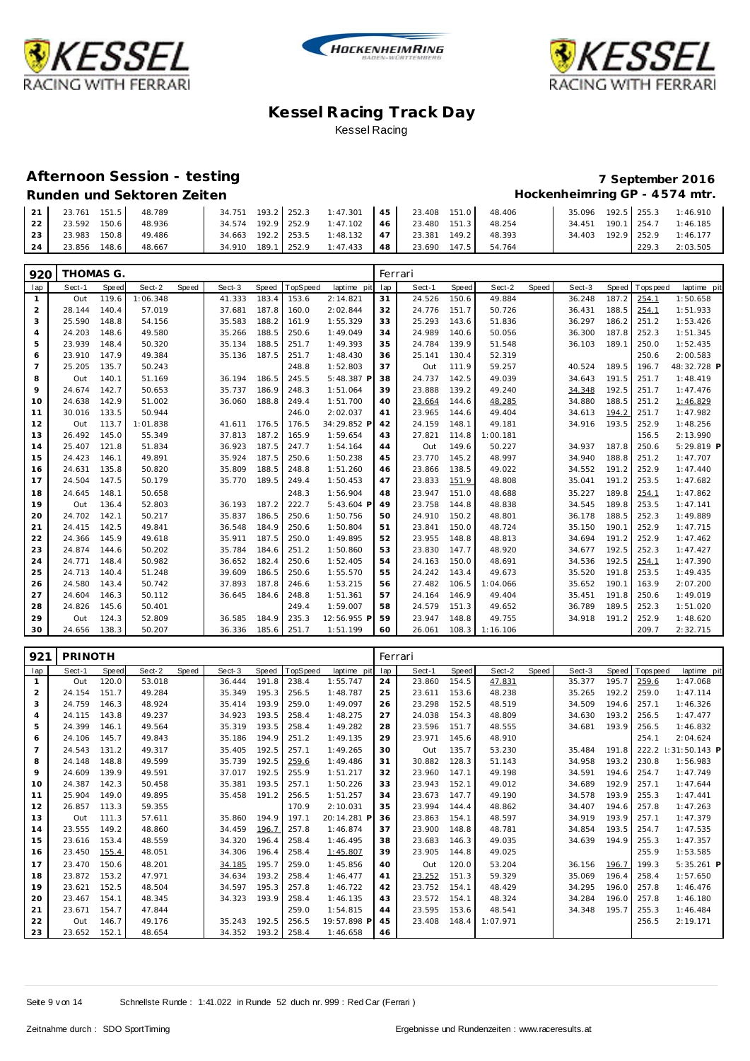





#### **Afternoon Session - testing 7 September 2016**

### **Runden und Sektoren Zeiten Hockenheimring GP - 4 574 mtr.**

|  | Runden und Sektoren Zeiten |  |
|--|----------------------------|--|

| 21 <sup>1</sup> | 23.761 151.5 |       | 48.789 |                    |  | 34.751 193.2 252.3 1:47.301 45 23.408 151.0     |  | 48.406              |                    |       | 35.096 192.5 255.3 1:46.910    |
|-----------------|--------------|-------|--------|--------------------|--|-------------------------------------------------|--|---------------------|--------------------|-------|--------------------------------|
| 22              | 23.592 150.6 |       | 48.936 |                    |  | 34.574 192.9 252.9 1:47.102   46   23.480 151.3 |  | 48.254              |                    |       | 34.451  190.1  254.7  1:46.185 |
| 23              | 23.983 150.8 |       | 49.486 | 34.663 192.2 253.5 |  | 1:48.132 47 23.381 149.2                        |  | 48.393              | 34.403 192.9 252.9 |       | 1:46.177                       |
| 24              | 23.856       | 148.6 | 48.667 | 34.910 189.1 252.9 |  | $1:47.433$ 48                                   |  | 23.690 147.5 54.764 |                    | 229.3 | 2:03.505                       |

| 920            | THOMAS G. |       |          |       |        |       |          |             |     | Ferrari |       |          |       |        |       |            |             |
|----------------|-----------|-------|----------|-------|--------|-------|----------|-------------|-----|---------|-------|----------|-------|--------|-------|------------|-------------|
| lap            | Sect-1    | Speed | Sect-2   | Speed | Sect-3 | Speed | TopSpeed | laptime pit | lap | Sect-1  | Speed | Sect-2   | Speed | Sect-3 | Speed | T ops peed | laptime pit |
| 1              | Out       | 119.6 | 1:06.348 |       | 41.333 | 183.4 | 153.6    | 2:14.821    | 31  | 24.526  | 150.6 | 49.884   |       | 36.248 | 187.2 | 254.1      | 1:50.658    |
| $\overline{a}$ | 28.144    | 140.4 | 57.019   |       | 37.681 | 187.8 | 160.0    | 2:02.844    | 32  | 24.776  | 151.7 | 50.726   |       | 36.431 | 188.5 | 254.1      | 1:51.933    |
| 3              | 25.590    | 148.8 | 54.156   |       | 35.583 | 188.2 | 161.9    | 1:55.329    | 33  | 25.293  | 143.6 | 51.836   |       | 36.297 | 186.2 | 251.2      | 1:53.426    |
| 4              | 24.203    | 148.6 | 49.580   |       | 35.266 | 188.5 | 250.6    | 1:49.049    | 34  | 24.989  | 140.6 | 50.056   |       | 36.300 | 187.8 | 252.3      | 1:51.345    |
| 5              | 23.939    | 148.4 | 50.320   |       | 35.134 | 188.5 | 251.7    | 1:49.393    | 35  | 24.784  | 139.9 | 51.548   |       | 36.103 | 189.1 | 250.0      | 1:52.435    |
| 6              | 23.910    | 147.9 | 49.384   |       | 35.136 | 187.5 | 251.7    | 1:48.430    | 36  | 25.141  | 130.4 | 52.319   |       |        |       | 250.6      | 2:00.583    |
| $\overline{7}$ | 25.205    | 135.7 | 50.243   |       |        |       | 248.8    | 1:52.803    | 37  | Out     | 111.9 | 59.257   |       | 40.524 | 189.5 | 196.7      | 48:32.728 P |
| 8              | Out       | 140.1 | 51.169   |       | 36.194 | 186.5 | 245.5    | 5:48.387 P  | 38  | 24.737  | 142.5 | 49.039   |       | 34.643 | 191.5 | 251.7      | 1:48.419    |
| 9              | 24.674    | 142.7 | 50.653   |       | 35.737 | 186.9 | 248.3    | 1:51.064    | 39  | 23.888  | 139.2 | 49.240   |       | 34.348 | 192.5 | 251.7      | 1:47.476    |
| 10             | 24.638    | 142.9 | 51.002   |       | 36.060 | 188.8 | 249.4    | 1:51.700    | 40  | 23.664  | 144.6 | 48.285   |       | 34.880 | 188.5 | 251.2      | 1:46.829    |
| 11             | 30.016    | 133.5 | 50.944   |       |        |       | 246.0    | 2:02.037    | 41  | 23.965  | 144.6 | 49.404   |       | 34.613 | 194.2 | 251.7      | 1:47.982    |
| 12             | Out       | 113.7 | 1:01.838 |       | 41.611 | 176.5 | 176.5    | 34:29.852 P | 42  | 24.159  | 148.1 | 49.181   |       | 34.916 | 193.5 | 252.9      | 1:48.256    |
| 13             | 26.492    | 145.0 | 55.349   |       | 37.813 | 187.2 | 165.9    | 1:59.654    | 43  | 27.821  | 114.8 | 1:00.181 |       |        |       | 156.5      | 2:13.990    |
| 14             | 25.407    | 121.8 | 51.834   |       | 36.923 | 187.5 | 247.7    | 1:54.164    | 44  | Out     | 149.6 | 50.227   |       | 34.937 | 187.8 | 250.6      | 5:29.819 P  |
| 15             | 24.423    | 146.1 | 49.891   |       | 35.924 | 187.5 | 250.6    | 1:50.238    | 45  | 23.770  | 145.2 | 48.997   |       | 34.940 | 188.8 | 251.2      | 1:47.707    |
| 16             | 24.631    | 135.8 | 50.820   |       | 35.809 | 188.5 | 248.8    | 1:51.260    | 46  | 23.866  | 138.5 | 49.022   |       | 34.552 | 191.2 | 252.9      | 1:47.440    |
| 17             | 24.504    | 147.5 | 50.179   |       | 35.770 | 189.5 | 249.4    | 1:50.453    | 47  | 23.833  | 151.9 | 48.808   |       | 35.041 | 191.2 | 253.5      | 1:47.682    |
| 18             | 24.645    | 148.1 | 50.658   |       |        |       | 248.3    | 1:56.904    | 48  | 23.947  | 151.0 | 48.688   |       | 35.227 | 189.8 | 254.1      | 1:47.862    |
| 19             | Out       | 136.4 | 52.803   |       | 36.193 | 187.2 | 222.7    | 5:43.604 P  | 49  | 23.758  | 144.8 | 48.838   |       | 34.545 | 189.8 | 253.5      | 1:47.141    |
| 20             | 24.702    | 142.1 | 50.217   |       | 35.837 | 186.5 | 250.6    | 1:50.756    | 50  | 24.910  | 150.2 | 48.801   |       | 36.178 | 188.5 | 252.3      | 1:49.889    |
| 21             | 24.415    | 142.5 | 49.841   |       | 36.548 | 184.9 | 250.6    | 1:50.804    | 51  | 23.841  | 150.0 | 48.724   |       | 35.150 | 190.1 | 252.9      | 1:47.715    |
| 22             | 24.366    | 145.9 | 49.618   |       | 35.911 | 187.5 | 250.0    | 1:49.895    | 52  | 23.955  | 148.8 | 48.813   |       | 34.694 | 191.2 | 252.9      | 1:47.462    |
| 23             | 24.874    | 144.6 | 50.202   |       | 35.784 | 184.6 | 251.2    | 1:50.860    | 53  | 23.830  | 147.7 | 48.920   |       | 34.677 | 192.5 | 252.3      | 1:47.427    |
| 24             | 24.771    | 148.4 | 50.982   |       | 36.652 | 182.4 | 250.6    | 1:52.405    | 54  | 24.163  | 150.0 | 48.691   |       | 34.536 | 192.5 | 254.1      | 1:47.390    |
| 25             | 24.713    | 140.4 | 51.248   |       | 39.609 | 186.5 | 250.6    | 1:55.570    | 55  | 24.242  | 143.4 | 49.673   |       | 35.520 | 191.8 | 253.5      | 1:49.435    |
| 26             | 24.580    | 143.4 | 50.742   |       | 37.893 | 187.8 | 246.6    | 1:53.215    | 56  | 27.482  | 106.5 | 1:04.066 |       | 35.652 | 190.1 | 163.9      | 2:07.200    |
| 27             | 24.604    | 146.3 | 50.112   |       | 36.645 | 184.6 | 248.8    | 1:51.361    | 57  | 24.164  | 146.9 | 49.404   |       | 35.451 | 191.8 | 250.6      | 1:49.019    |
| 28             | 24.826    | 145.6 | 50.401   |       |        |       | 249.4    | 1:59.007    | 58  | 24.579  | 151.3 | 49.652   |       | 36.789 | 189.5 | 252.3      | 1:51.020    |
| 29             | Out       | 124.3 | 52.809   |       | 36.585 | 184.9 | 235.3    | 12:56.955 P | 59  | 23.947  | 148.8 | 49.755   |       | 34.918 | 191.2 | 252.9      | 1:48.620    |
| 30             | 24.656    | 138.3 | 50.207   |       | 36.336 | 185.6 | 251.7    | 1:51.199    | 60  | 26.061  | 108.3 | 1:16.106 |       |        |       | 209.7      | 2:32.715    |

| 921            | PRINOTH |       |        |       |        |       |          |             | Ferrari |        |       |          |       |        |       |            |              |
|----------------|---------|-------|--------|-------|--------|-------|----------|-------------|---------|--------|-------|----------|-------|--------|-------|------------|--------------|
| lap            | Sect-1  | Speed | Sect-2 | Speed | Sect-3 | Speed | TopSpeed | laptime pit | lap     | Sect-1 | Speed | Sect-2   | Speed | Sect-3 | Speed | T ops peed | laptime pit  |
| $\mathbf{1}$   | Out     | 120.0 | 53.018 |       | 36.444 | 191.8 | 238.4    | 1:55.747    | 24      | 23.860 | 154.5 | 47.831   |       | 35.377 | 195.7 | 259.6      | 1:47.068     |
| 2              | 24.154  | 151.7 | 49.284 |       | 35.349 | 195.3 | 256.5    | 1:48.787    | 25      | 23.611 | 153.6 | 48.238   |       | 35.265 | 192.2 | 259.0      | 1:47.114     |
| 3              | 24.759  | 146.3 | 48.924 |       | 35.414 | 193.9 | 259.0    | 1:49.097    | 26      | 23.298 | 152.5 | 48.519   |       | 34.509 | 194.6 | 257.1      | 1:46.326     |
| $\overline{4}$ | 24.115  | 143.8 | 49.237 |       | 34.923 | 193.5 | 258.4    | 1:48.275    | 27      | 24.038 | 154.3 | 48.809   |       | 34.630 | 193.2 | 256.5      | 1:47.477     |
| 5              | 24.399  | 146.1 | 49.564 |       | 35.319 | 193.5 | 258.4    | 1:49.282    | 28      | 23.596 | 151.7 | 48.555   |       | 34.681 | 193.9 | 256.5      | 1:46.832     |
| 6              | 24.106  | 145.7 | 49.843 |       | 35.186 | 194.9 | 251.2    | 1:49.135    | 29      | 23.971 | 145.6 | 48.910   |       |        |       | 254.1      | 2:04.624     |
| $\overline{7}$ | 24.543  | 131.2 | 49.317 |       | 35.405 | 192.5 | 257.1    | 1:49.265    | 30      | Out    | 135.7 | 53.230   |       | 35.484 | 191.8 | 222.2      | 31:50.143 P  |
| 8              | 24.148  | 148.8 | 49.599 |       | 35.739 | 192.5 | 259.6    | 1:49.486    | 31      | 30.882 | 128.3 | 51.143   |       | 34.958 | 193.2 | 230.8      | 1:56.983     |
| 9              | 24.609  | 139.9 | 49.591 |       | 37.017 | 192.5 | 255.9    | 1:51.217    | 32      | 23.960 | 147.1 | 49.198   |       | 34.591 | 194.6 | 254.7      | 1:47.749     |
| 10             | 24.387  | 142.3 | 50.458 |       | 35.381 | 193.5 | 257.1    | 1:50.226    | 33      | 23.943 | 152.1 | 49.012   |       | 34.689 | 192.9 | 257.1      | 1:47.644     |
| 11             | 25.904  | 149.0 | 49.895 |       | 35.458 | 191.2 | 256.5    | 1:51.257    | 34      | 23.673 | 147.7 | 49.190   |       | 34.578 | 193.9 | 255.3      | 1:47.441     |
| 12             | 26.857  | 113.3 | 59.355 |       |        |       | 170.9    | 2:10.031    | 35      | 23.994 | 144.4 | 48.862   |       | 34.407 | 194.6 | 257.8      | 1:47.263     |
| 13             | Out     | 111.3 | 57.611 |       | 35.860 | 194.9 | 197.1    | 20:14.281 P | 36      | 23.863 | 154.1 | 48.597   |       | 34.919 | 193.9 | 257.1      | 1:47.379     |
| 14             | 23.555  | 149.2 | 48.860 |       | 34.459 | 196.7 | 257.8    | 1:46.874    | 37      | 23.900 | 148.8 | 48.781   |       | 34.854 | 193.5 | 254.7      | 1:47.535     |
| 15             | 23.616  | 153.4 | 48.559 |       | 34.320 | 196.4 | 258.4    | 1:46.495    | 38      | 23.683 | 146.3 | 49.035   |       | 34.639 | 194.9 | 255.3      | 1:47.357     |
| 16             | 23.450  | 155.4 | 48.051 |       | 34.306 | 196.4 | 258.4    | 1:45.807    | 39      | 23.905 | 144.8 | 49.025   |       |        |       | 255.9      | 1:53.585     |
| 17             | 23.470  | 150.6 | 48.201 |       | 34.185 | 195.7 | 259.0    | 1:45.856    | 40      | Out    | 120.0 | 53.204   |       | 36.156 | 196.7 | 199.3      | $5:35.261$ P |
| 18             | 23.872  | 153.2 | 47.971 |       | 34.634 | 193.2 | 258.4    | 1:46.477    | 41      | 23.252 | 151.3 | 59.329   |       | 35.069 | 196.4 | 258.4      | 1:57.650     |
| 19             | 23.621  | 152.5 | 48.504 |       | 34.597 | 195.3 | 257.8    | 1:46.722    | 42      | 23.752 | 154.1 | 48.429   |       | 34.295 | 196.0 | 257.8      | 1:46.476     |
| 20             | 23.467  | 154.1 | 48.345 |       | 34.323 | 193.9 | 258.4    | 1:46.135    | 43      | 23.572 | 154.1 | 48.324   |       | 34.284 | 196.0 | 257.8      | 1:46.180     |
| 21             | 23.671  | 154.7 | 47.844 |       |        |       | 259.0    | 1:54.815    | 44      | 23.595 | 153.6 | 48.541   |       | 34.348 | 195.7 | 255.3      | 1:46.484     |
| 22             | Out     | 146.7 | 49.176 |       | 35.243 | 192.5 | 256.5    | 19:57.898 F | 45      | 23.408 | 148.4 | 1:07.971 |       |        |       | 256.5      | 2:19.171     |
| 23             | 23.652  | 152.1 | 48.654 |       | 34.352 | 193.2 | 258.4    | 1:46.658    | 46      |        |       |          |       |        |       |            |              |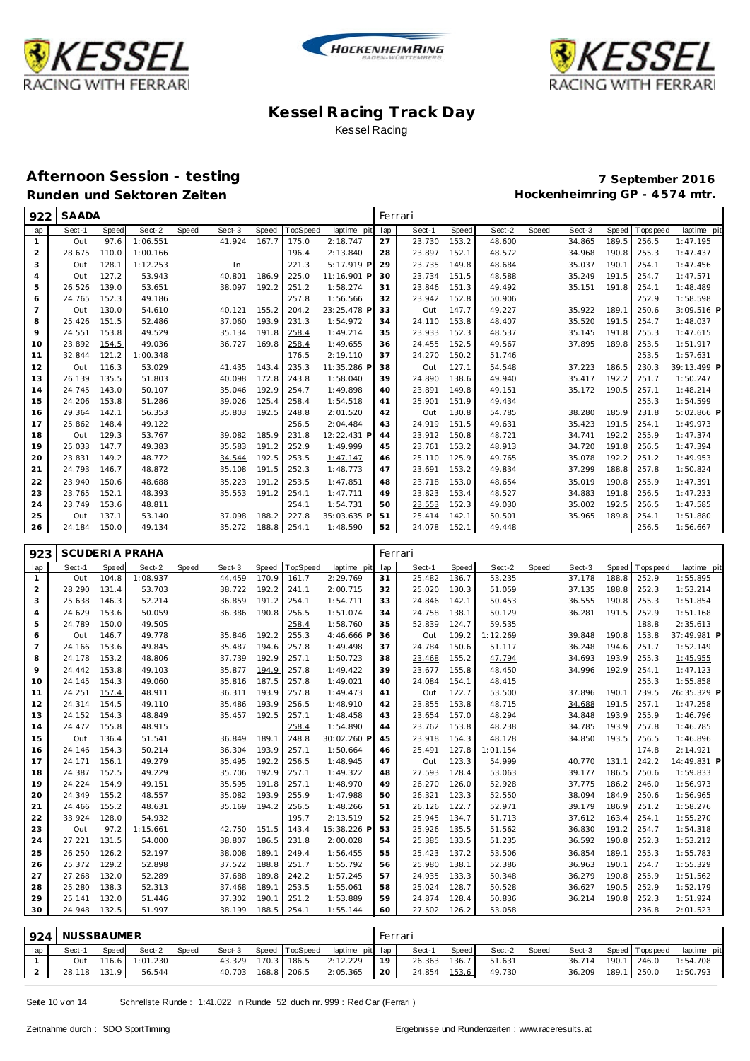





#### **Afternoon Session - testing 7 September 2016** Runden und Sektoren Zeiten **Munden und Sektoren Zeiten Hockenheimring GP** - 4574 mtr.

| 922 | SAADA  |       |          |       |        |       |          |             |     | Ferrari |       |        |       |        |       |           |              |
|-----|--------|-------|----------|-------|--------|-------|----------|-------------|-----|---------|-------|--------|-------|--------|-------|-----------|--------------|
| lap | Sect-1 | Speed | Sect-2   | Speed | Sect-3 | Speed | TopSpeed | laptime pit | lap | Sect-1  | Speed | Sect-2 | Speed | Sect-3 | Speed | Tops peed | laptime pit  |
| 1   | Out    | 97.6  | 1:06.551 |       | 41.924 | 167.7 | 175.0    | 2:18.747    | 27  | 23.730  | 153.2 | 48.600 |       | 34.865 | 189.5 | 256.5     | 1:47.195     |
| 2   | 28.675 | 110.0 | 1:00.166 |       |        |       | 196.4    | 2:13.840    | 28  | 23.897  | 152.1 | 48.572 |       | 34.968 | 190.8 | 255.3     | 1:47.437     |
| 3   | Out    | 128.1 | 1:12.253 |       | In     |       | 221.3    | 5:17.919 P  | 29  | 23.735  | 149.8 | 48.684 |       | 35.037 | 190.1 | 254.1     | 1:47.456     |
| 4   | Out    | 127.2 | 53.943   |       | 40.801 | 186.9 | 225.0    | 11:16.901 P | 30  | 23.734  | 151.5 | 48.588 |       | 35.249 | 191.5 | 254.7     | 1:47.571     |
| 5   | 26.526 | 139.0 | 53.651   |       | 38.097 | 192.2 | 251.2    | 1:58.274    | 31  | 23.846  | 151.3 | 49.492 |       | 35.151 | 191.8 | 254.1     | 1:48.489     |
| 6   | 24.765 | 152.3 | 49.186   |       |        |       | 257.8    | 1:56.566    | 32  | 23.942  | 152.8 | 50.906 |       |        |       | 252.9     | 1:58.598     |
| 7   | Out    | 130.0 | 54.610   |       | 40.121 | 155.2 | 204.2    | 23:25.478 P | 33  | Out     | 147.7 | 49.227 |       | 35.922 | 189.1 | 250.6     | $3:09.516$ P |
| 8   | 25.426 | 151.5 | 52.486   |       | 37.060 | 193.9 | 231.3    | 1:54.972    | 34  | 24.110  | 153.8 | 48.407 |       | 35.520 | 191.5 | 254.7     | 1:48.037     |
| 9   | 24.551 | 153.8 | 49.529   |       | 35.134 | 191.8 | 258.4    | 1:49.214    | 35  | 23.933  | 152.3 | 48.537 |       | 35.145 | 191.8 | 255.3     | 1:47.615     |
| 10  | 23.892 | 154.5 | 49.036   |       | 36.727 | 169.8 | 258.4    | 1:49.655    | 36  | 24.455  | 152.5 | 49.567 |       | 37.895 | 189.8 | 253.5     | 1:51.917     |
| 11  | 32.844 | 121.2 | 1:00.348 |       |        |       | 176.5    | 2:19.110    | 37  | 24.270  | 150.2 | 51.746 |       |        |       | 253.5     | 1:57.631     |
| 12  | Out    | 116.3 | 53.029   |       | 41.435 | 143.4 | 235.3    | 11:35.286 P | 38  | Out     | 127.1 | 54.548 |       | 37.223 | 186.5 | 230.3     | 39:13.499 P  |
| 13  | 26.139 | 135.5 | 51.803   |       | 40.098 | 172.8 | 243.8    | 1:58.040    | 39  | 24.890  | 138.6 | 49.940 |       | 35.417 | 192.2 | 251.7     | 1:50.247     |
| 14  | 24.745 | 143.0 | 50.107   |       | 35.046 | 192.9 | 254.7    | 1:49.898    | 40  | 23.891  | 149.8 | 49.151 |       | 35.172 | 190.5 | 257.1     | 1:48.214     |
| 15  | 24.206 | 153.8 | 51.286   |       | 39.026 | 125.4 | 258.4    | 1:54.518    | 41  | 25.901  | 151.9 | 49.434 |       |        |       | 255.3     | 1:54.599     |
| 16  | 29.364 | 142.1 | 56.353   |       | 35.803 | 192.5 | 248.8    | 2:01.520    | 42  | Out     | 130.8 | 54.785 |       | 38.280 | 185.9 | 231.8     | 5:02.866 P   |
| 17  | 25.862 | 148.4 | 49.122   |       |        |       | 256.5    | 2:04.484    | 43  | 24.919  | 151.5 | 49.631 |       | 35.423 | 191.5 | 254.1     | 1:49.973     |
| 18  | Out    | 129.3 | 53.767   |       | 39.082 | 185.9 | 231.8    | 12:22.431 P | 44  | 23.912  | 150.8 | 48.721 |       | 34.741 | 192.2 | 255.9     | 1:47.374     |
| 19  | 25.033 | 147.7 | 49.383   |       | 35.583 | 191.2 | 252.9    | 1:49.999    | 45  | 23.761  | 153.2 | 48.913 |       | 34.720 | 191.8 | 256.5     | 1:47.394     |
| 20  | 23.831 | 149.2 | 48.772   |       | 34.544 | 192.5 | 253.5    | 1:47.147    | 46  | 25.110  | 125.9 | 49.765 |       | 35.078 | 192.2 | 251.2     | 1:49.953     |
| 21  | 24.793 | 146.7 | 48.872   |       | 35.108 | 191.5 | 252.3    | 1:48.773    | 47  | 23.691  | 153.2 | 49.834 |       | 37.299 | 188.8 | 257.8     | 1:50.824     |
| 22  | 23.940 | 150.6 | 48.688   |       | 35.223 | 191.2 | 253.5    | 1:47.851    | 48  | 23.718  | 153.0 | 48.654 |       | 35.019 | 190.8 | 255.9     | 1:47.391     |
| 23  | 23.765 | 152.1 | 48.393   |       | 35.553 | 191.2 | 254.1    | 1:47.711    | 49  | 23.823  | 153.4 | 48.527 |       | 34.883 | 191.8 | 256.5     | 1:47.233     |
| 24  | 23.749 | 153.6 | 48.811   |       |        |       | 254.1    | 1:54.731    | 50  | 23.553  | 152.3 | 49.030 |       | 35.002 | 192.5 | 256.5     | 1:47.585     |
| 25  | Out    | 137.1 | 53.140   |       | 37.098 | 188.2 | 227.8    | 35:03.635 P | 51  | 25.414  | 142.1 | 50.501 |       | 35.965 | 189.8 | 254.1     | 1:51.880     |
| 26  | 24.184 | 150.0 | 49.134   |       | 35.272 | 188.8 | 254.1    | 1:48.590    | 52  | 24.078  | 152.1 | 49.448 |       |        |       | 256.5     | 1:56.667     |

| 923            |        |       | <b>SCUDERIA PRAHA</b> |       |        |       |          |             |     | Ferrari |       |          |       |        |       |                   |             |
|----------------|--------|-------|-----------------------|-------|--------|-------|----------|-------------|-----|---------|-------|----------|-------|--------|-------|-------------------|-------------|
| lap            | Sect-1 | Speed | Sect-2                | Speed | Sect-3 | Speed | TopSpeed | laptime pit | lap | Sect-1  | Speed | Sect-2   | Speed | Sect-3 | Speed | <b>T</b> ops peed | laptime pit |
| $\mathbf{1}$   | Out    | 104.8 | 1:08.937              |       | 44.459 | 170.9 | 161.7    | 2:29.769    | 31  | 25.482  | 136.7 | 53.235   |       | 37.178 | 188.8 | 252.9             | 1:55.895    |
| 2              | 28.290 | 131.4 | 53.703                |       | 38.722 | 192.2 | 241.1    | 2:00.715    | 32  | 25.020  | 130.3 | 51.059   |       | 37.135 | 188.8 | 252.3             | 1:53.214    |
| 3              | 25.638 | 146.3 | 52.214                |       | 36.859 | 191.2 | 254.1    | 1:54.711    | 33  | 24.846  | 142.1 | 50.453   |       | 36.555 | 190.8 | 255.3             | 1:51.854    |
| $\overline{4}$ | 24.629 | 153.6 | 50.059                |       | 36.386 | 190.8 | 256.5    | 1:51.074    | 34  | 24.758  | 138.1 | 50.129   |       | 36.281 | 191.5 | 252.9             | 1:51.168    |
| 5              | 24.789 | 150.0 | 49.505                |       |        |       | 258.4    | 1:58.760    | 35  | 52.839  | 124.7 | 59.535   |       |        |       | 188.8             | 2:35.613    |
| 6              | Out    | 146.7 | 49.778                |       | 35.846 | 192.2 | 255.3    | 4:46.666 F  | 36  | Out     | 109.2 | 1:12.269 |       | 39.848 | 190.8 | 153.8             | 37:49.981 P |
| $\overline{7}$ | 24.166 | 153.6 | 49.845                |       | 35.487 | 194.6 | 257.8    | 1:49.498    | 37  | 24.784  | 150.6 | 51.117   |       | 36.248 | 194.6 | 251.7             | 1:52.149    |
| 8              | 24.178 | 153.2 | 48.806                |       | 37.739 | 192.9 | 257.1    | 1:50.723    | 38  | 23.468  | 155.2 | 47.794   |       | 34.693 | 193.9 | 255.3             | 1:45.955    |
| 9              | 24.442 | 153.8 | 49.103                |       | 35.877 | 194.9 | 257.8    | 1:49.422    | 39  | 23.677  | 155.8 | 48.450   |       | 34.996 | 192.9 | 254.1             | 1:47.123    |
| 10             | 24.145 | 154.3 | 49.060                |       | 35.816 | 187.5 | 257.8    | 1:49.021    | 40  | 24.084  | 154.1 | 48.415   |       |        |       | 255.3             | 1:55.858    |
| 11             | 24.251 | 157.4 | 48.911                |       | 36.311 | 193.9 | 257.8    | 1:49.473    | 41  | Out     | 122.7 | 53.500   |       | 37.896 | 190.1 | 239.5             | 26:35.329 P |
| 12             | 24.314 | 154.5 | 49.110                |       | 35.486 | 193.9 | 256.5    | 1:48.910    | 42  | 23.855  | 153.8 | 48.715   |       | 34.688 | 191.5 | 257.1             | 1:47.258    |
| 13             | 24.152 | 154.3 | 48.849                |       | 35.457 | 192.5 | 257.1    | 1:48.458    | 43  | 23.654  | 157.0 | 48.294   |       | 34.848 | 193.9 | 255.9             | 1:46.796    |
| 14             | 24.472 | 155.8 | 48.915                |       |        |       | 258.4    | 1:54.890    | 44  | 23.762  | 153.8 | 48.238   |       | 34.785 | 193.9 | 257.8             | 1:46.785    |
| 15             | Out    | 136.4 | 51.541                |       | 36.849 | 189.1 | 248.8    | 30:02.260 P | 45  | 23.918  | 154.3 | 48.128   |       | 34.850 | 193.5 | 256.5             | 1:46.896    |
| 16             | 24.146 | 154.3 | 50.214                |       | 36.304 | 193.9 | 257.1    | 1:50.664    | 46  | 25.491  | 127.8 | 1:01.154 |       |        |       | 174.8             | 2:14.921    |
| 17             | 24.171 | 156.1 | 49.279                |       | 35.495 | 192.2 | 256.5    | 1:48.945    | 47  | Out     | 123.3 | 54.999   |       | 40.770 | 131.1 | 242.2             | 14:49.831 P |
| 18             | 24.387 | 152.5 | 49.229                |       | 35.706 | 192.9 | 257.1    | 1:49.322    | 48  | 27.593  | 128.4 | 53.063   |       | 39.177 | 186.5 | 250.6             | 1:59.833    |
| 19             | 24.224 | 154.9 | 49.151                |       | 35.595 | 191.8 | 257.1    | 1:48.970    | 49  | 26.270  | 126.0 | 52.928   |       | 37.775 | 186.2 | 246.0             | 1:56.973    |
| 20             | 24.349 | 155.2 | 48.557                |       | 35.082 | 193.9 | 255.9    | 1:47.988    | 50  | 26.321  | 123.3 | 52.550   |       | 38.094 | 184.9 | 250.6             | 1:56.965    |
| 21             | 24.466 | 155.2 | 48.631                |       | 35.169 | 194.2 | 256.5    | 1:48.266    | 51  | 26.126  | 122.7 | 52.971   |       | 39.179 | 186.9 | 251.2             | 1:58.276    |
| 22             | 33.924 | 128.0 | 54.932                |       |        |       | 195.7    | 2:13.519    | 52  | 25.945  | 134.7 | 51.713   |       | 37.612 | 163.4 | 254.1             | 1:55.270    |
| 23             | Out    | 97.2  | 1:15.661              |       | 42.750 | 151.5 | 143.4    | 15:38.226 F | 53  | 25.926  | 135.5 | 51.562   |       | 36.830 | 191.2 | 254.7             | 1:54.318    |
| 24             | 27.221 | 131.5 | 54.000                |       | 38.807 | 186.5 | 231.8    | 2:00.028    | 54  | 25.385  | 133.5 | 51.235   |       | 36.592 | 190.8 | 252.3             | 1:53.212    |
| 25             | 26.250 | 126.2 | 52.197                |       | 38.008 | 189.1 | 249.4    | 1:56.455    | 55  | 25.423  | 137.2 | 53.506   |       | 36.854 | 189.1 | 255.3             | 1:55.783    |
| 26             | 25.372 | 129.2 | 52.898                |       | 37.522 | 188.8 | 251.7    | 1:55.792    | 56  | 25.980  | 138.1 | 52.386   |       | 36.963 | 190.1 | 254.7             | 1:55.329    |
| 27             | 27.268 | 132.0 | 52.289                |       | 37.688 | 189.8 | 242.2    | 1:57.245    | 57  | 24.935  | 133.3 | 50.348   |       | 36.279 | 190.8 | 255.9             | 1:51.562    |
| 28             | 25.280 | 138.3 | 52.313                |       | 37.468 | 189.1 | 253.5    | 1:55.061    | 58  | 25.024  | 128.7 | 50.528   |       | 36.627 | 190.5 | 252.9             | 1:52.179    |
| 29             | 25.141 | 132.0 | 51.446                |       | 37.302 | 190.1 | 251.2    | 1:53.889    | 59  | 24.874  | 128.4 | 50.836   |       | 36.214 | 190.8 | 252.3             | 1:51.924    |
| 30             | 24.948 | 132.5 | 51.997                |       | 38.199 | 188.5 | 254.1    | 1:55.144    | 60  | 27.502  | 126.2 | 53.058   |       |        |       | 236.8             | 2:01.523    |

|     | 924 NUSSBAUMER |       |                     |       |        |                      |                                | Ferrari         |              |       |        |       |        |                       |                               |
|-----|----------------|-------|---------------------|-------|--------|----------------------|--------------------------------|-----------------|--------------|-------|--------|-------|--------|-----------------------|-------------------------------|
| lap | Sect-1         | Speed | Sect-2              | Speed | Sect-3 |                      | Speed TopSpeed laptime pit lap |                 | Sect-1       | Speed | Sect-2 | Speed |        | Sect-3 Speed Topspeed | laptime pit                   |
|     |                |       | Out 116.6 1:01.230  |       |        |                      | 43.329 170.3 186.5 2:12.229    | 19 <sup>1</sup> | 26.363 136.7 |       | 51.631 |       |        |                       | 36.714 190.1   246.0 1:54.708 |
|     |                |       | 28.118 131.9 56.544 |       |        | 40.703  168.8  206.5 | $2:05.365$ 20                  |                 | 24.854 153.6 |       | 49.730 |       | 36.209 | 189.1 250.0           | 1:50.793                      |

Seite 10 v on 14 Schnellste Runde : 1:41.022 in Runde 52 duch nr. 999 : Red Car (Ferrari )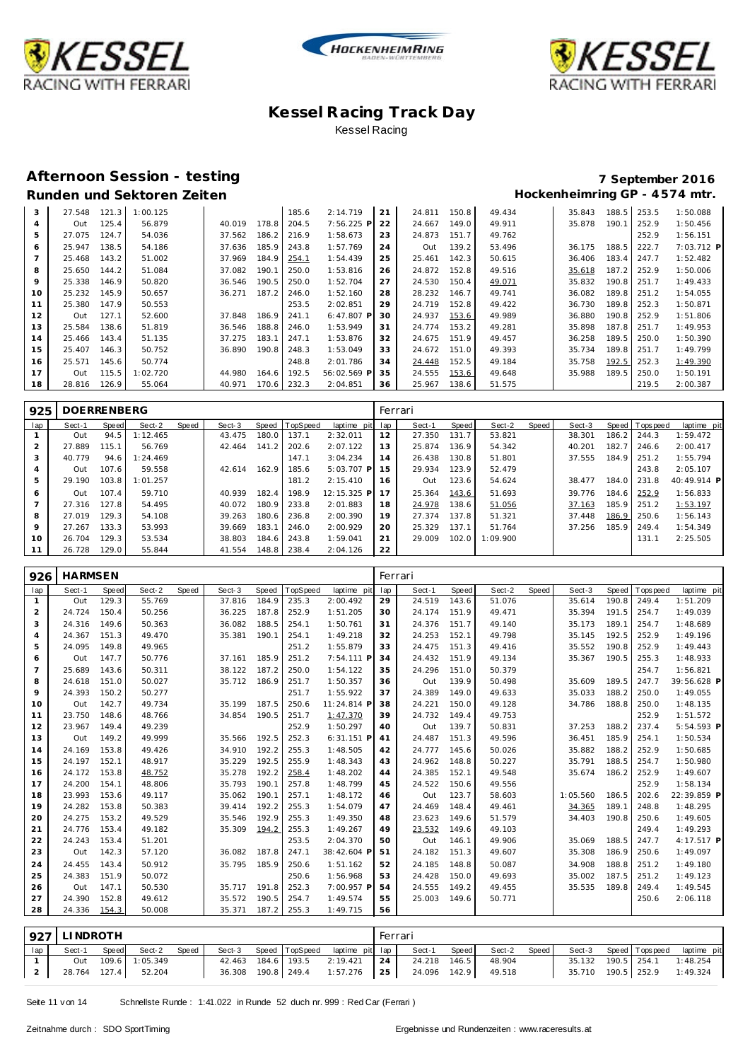





# **Runden und Sektoren Zeiten**

# **Afternoon Session - testing 7 September 2016**

| 3              | 27.548 | 121.3 | 1:00.125 |        |       | 185.6 | 2:14.719     | 21 | 24.811 | 150.8 | 49.434 | 35.843 | 188.5 | 253.5 | 1:50.088   |
|----------------|--------|-------|----------|--------|-------|-------|--------------|----|--------|-------|--------|--------|-------|-------|------------|
| $\overline{4}$ | Out    | 125.4 | 56.879   | 40.019 | 178.8 | 204.5 | 7:56.225 P   | 22 | 24.667 | 149.0 | 49.911 | 35.878 | 190.1 | 252.9 | 1:50.456   |
| 5              | 27.075 | 124.7 | 54.036   | 37.562 | 186.2 | 216.9 | 1:58.673     | 23 | 24.873 | 151.7 | 49.762 |        |       | 252.9 | 1:56.151   |
| 6              | 25.947 | 138.5 | 54.186   | 37.636 | 185.9 | 243.8 | 1:57.769     | 24 | Out    | 139.2 | 53.496 | 36.175 | 188.5 | 222.7 | 7:03.712 P |
|                | 25.468 | 143.2 | 51.002   | 37.969 | 184.9 | 254.1 | 1:54.439     | 25 | 25.461 | 142.3 | 50.615 | 36.406 | 183.4 | 247.7 | 1:52.482   |
| 8              | 25.650 | 144.2 | 51.084   | 37.082 | 190.  | 250.0 | 1:53.816     | 26 | 24.872 | 152.8 | 49.516 | 35.618 | 187.2 | 252.9 | 1:50.006   |
| 9              | 25.338 | 146.9 | 50.820   | 36.546 | 190.5 | 250.0 | 1:52.704     | 27 | 24.530 | 150.4 | 49.071 | 35.832 | 190.8 | 251.7 | 1:49.433   |
| 10             | 25.232 | 145.9 | 50.657   | 36.271 | 187.2 | 246.0 | 1:52.160     | 28 | 28.232 | 146.7 | 49.741 | 36.082 | 189.8 | 251.2 | 1:54.055   |
| 11             | 25.380 | 147.9 | 50.553   |        |       | 253.5 | 2:02.851     | 29 | 24.719 | 152.8 | 49.422 | 36.730 | 189.8 | 252.3 | 1:50.871   |
| 12             | Out    | 127.1 | 52.600   | 37.848 | 186.9 | 241.1 | $6:47.807$ P | 30 | 24.937 | 153.6 | 49.989 | 36.880 | 190.8 | 252.9 | 1:51.806   |
| 13             | 25.584 | 138.6 | 51.819   | 36.546 | 188.8 | 246.0 | 1:53.949     | 31 | 24.774 | 153.2 | 49.281 | 35.898 | 187.8 | 251.7 | 1:49.953   |
| 14             | 25.466 | 143.4 | 51.135   | 37.275 | 183.7 | 247.1 | 1:53.876     | 32 | 24.675 | 151.9 | 49.457 | 36.258 | 189.5 | 250.0 | 1:50.390   |
| 15             | 25.407 | 146.3 | 50.752   | 36.890 | 190.8 | 248.3 | 1:53.049     | 33 | 24.672 | 151.0 | 49.393 | 35.734 | 189.8 | 251.7 | 1:49.799   |
| 16             | 25.571 | 145.6 | 50.774   |        |       | 248.8 | 2:01.786     | 34 | 24.448 | 152.5 | 49.184 | 35.758 | 192.5 | 252.3 | 1:49.390   |
| 17             | Out    | 115.5 | 1:02.720 | 44.980 | 164.6 | 192.5 | 56:02.569 P  | 35 | 24.555 | 153.6 | 49.648 | 35.988 | 189.5 | 250.0 | 1:50.191   |
| 18             | 28.816 | 126.9 | 55.064   | 40.971 | 170.6 | 232.3 | 2:04.851     | 36 | 25.967 | 138.6 | 51.575 |        |       | 219.5 | 2:00.387   |

| 925            | <b>DOERRENBERG</b> |           |          |       |        |       |          |             | Ferrari |        |       |          |       |        |       |                |             |
|----------------|--------------------|-----------|----------|-------|--------|-------|----------|-------------|---------|--------|-------|----------|-------|--------|-------|----------------|-------------|
| lap            | Sect-1             | Speed     | Sect-2   | Speed | Sect-3 | Speed | TopSpeed | laptime pit | lap     | Sect-1 | Speed | Sect-2   | Speed | Sect-3 |       | Speed Topspeed | laptime pit |
|                | Out                | 94.5      | 1:12.465 |       | 43.475 | 180.0 | 137.1    | 2:32.011    | 12      | 27.350 | 131.7 | 53.821   |       | 38.301 | 186.2 | 244.3          | 1:59.472    |
| $\overline{2}$ | 27.889             | $115.1 -$ | 56.769   |       | 42.464 | 141.2 | 202.6    | 2:07.122    | 13      | 25.874 | 136.9 | 54.342   |       | 40.201 | 182.7 | 246.6          | 2:00.417    |
| 3              | 40.779             | 94.6      | 1:24.469 |       |        |       | 147.1    | 3:04.234    | 14      | 26.438 | 130.8 | 51.801   |       | 37.555 | 184.9 | 251.2          | 1:55.794    |
|                | Out                | 107.6     | 59.558   |       | 42.614 | 162.9 | 185.6    | 5:03.707 P  | 15      | 29.934 | 123.9 | 52.479   |       |        |       | 243.8          | 2:05.107    |
| 5              | 29.190             | 103.8     | 1:01.257 |       |        |       | 181.2    | 2:15.410    | 16      | Out    | 123.6 | 54.624   |       | 38.477 | 184.0 | 231.8          | 40:49.914 P |
| 6              | Out                | 107.4     | 59.710   |       | 40.939 | 182.4 | 198.9    | 12:15.325 P | 17      | 25.364 | 143.6 | 51.693   |       | 39.776 | 184.6 | 252.9          | 1:56.833    |
|                | 27.316             | 127.8     | 54.495   |       | 40.072 | 180.9 | 233.8    | 2:01.883    | 18      | 24.978 | 138.6 | 51.056   |       | 37.163 | 185.9 | 251.2          | 1:53.197    |
| 8              | 27.019             | 129.3     | 54.108   |       | 39.263 | 180.6 | 236.8    | 2:00.390    | 19      | 27.374 | 137.8 | 51.321   |       | 37.448 | 186.9 | 250.6          | 1:56.143    |
| 9              | 27.267             | 133.3     | 53.993   |       | 39.669 | 183.7 | 246.0    | 2:00.929    | 20      | 25.329 | 137.1 | 51.764   |       | 37.256 | 185.9 | 249.4          | 1:54.349    |
| 10             | 26.704             | 129.3     | 53.534   |       | 38.803 | 184.6 | 243.8    | 1:59.041    | 21      | 29.009 | 102.0 | 1:09.900 |       |        |       | 131.1          | 2:25.505    |
| 11             | 26.728             | 129.0     | 55.844   |       | 41.554 | 148.8 | 238.4    | 2:04.126    | 22      |        |       |          |       |        |       |                |             |

| 926             | <b>HARMSEN</b> |       |        |       |        |       |         |              |     | Ferrari |       |        |       |          |       |            |             |
|-----------------|----------------|-------|--------|-------|--------|-------|---------|--------------|-----|---------|-------|--------|-------|----------|-------|------------|-------------|
| lap             | Sect-1         | Speed | Sect-2 | Speed | Sect-3 | Speed | opSpeed | laptime pit  | lap | Sect-1  | Speed | Sect-2 | Speed | Sect-3   | Speed | T ops peed | laptime pit |
| $\mathbf{1}$    | Out            | 129.3 | 55.769 |       | 37.816 | 184.9 | 235.3   | 2:00.492     | 29  | 24.519  | 143.6 | 51.076 |       | 35.614   | 190.8 | 249.4      | 1:51.209    |
| $\overline{2}$  | 24.724         | 150.4 | 50.256 |       | 36.225 | 187.8 | 252.9   | 1:51.205     | 30  | 24.174  | 151.9 | 49.471 |       | 35.394   | 191.5 | 254.7      | 1:49.039    |
| 3               | 24.316         | 149.6 | 50.363 |       | 36.082 | 188.5 | 254.1   | 1:50.761     | 31  | 24.376  | 151.7 | 49.140 |       | 35.173   | 189.1 | 254.7      | 1:48.689    |
| $\overline{4}$  | 24.367         | 151.3 | 49.470 |       | 35.381 | 190.1 | 254.1   | 1:49.218     | 32  | 24.253  | 152.1 | 49.798 |       | 35.145   | 192.5 | 252.9      | 1:49.196    |
| 5               | 24.095         | 149.8 | 49.965 |       |        |       | 251.2   | 1:55.879     | 33  | 24.475  | 151.3 | 49.416 |       | 35.552   | 190.8 | 252.9      | 1:49.443    |
| 6               | Out            | 147.7 | 50.776 |       | 37.161 | 185.9 | 251.2   | 7:54.111 P   | 34  | 24.432  | 151.9 | 49.134 |       | 35.367   | 190.5 | 255.3      | 1:48.933    |
| $7\overline{ }$ | 25.689         | 143.6 | 50.311 |       | 38.122 | 187.2 | 250.0   | 1:54.122     | 35  | 24.296  | 151.0 | 50.379 |       |          |       | 254.7      | 1:56.821    |
| 8               | 24.618         | 151.0 | 50.027 |       | 35.712 | 186.9 | 251.7   | 1:50.357     | 36  | Out     | 139.9 | 50.498 |       | 35.609   | 189.5 | 247.7      | 39:56.628 P |
| 9               | 24.393         | 150.2 | 50.277 |       |        |       | 251.7   | 1:55.922     | 37  | 24.389  | 149.0 | 49.633 |       | 35.033   | 188.2 | 250.0      | 1:49.055    |
| 10              | Out            | 142.7 | 49.734 |       | 35.199 | 187.5 | 250.6   | 11:24.814 P  | 38  | 24.221  | 150.0 | 49.128 |       | 34.786   | 188.8 | 250.0      | 1:48.135    |
| 11              | 23.750         | 148.6 | 48.766 |       | 34.854 | 190.5 | 251.7   | 1:47.370     | 39  | 24.732  | 149.4 | 49.753 |       |          |       | 252.9      | 1:51.572    |
| 12              | 23.967         | 149.4 | 49.239 |       |        |       | 252.9   | 1:50.297     | 40  | Out     | 139.7 | 50.831 |       | 37.253   | 188.2 | 237.4      | 5:54.593 P  |
| 13              | Out            | 149.2 | 49.999 |       | 35.566 | 192.5 | 252.3   | $6:31.151$ P | 41  | 24.487  | 151.3 | 49.596 |       | 36.451   | 185.9 | 254.1      | 1:50.534    |
| 14              | 24.169         | 153.8 | 49.426 |       | 34.910 | 192.2 | 255.3   | 1:48.505     | 42  | 24.777  | 145.6 | 50.026 |       | 35.882   | 188.2 | 252.9      | 1:50.685    |
| 15              | 24.197         | 152.1 | 48.917 |       | 35.229 | 192.5 | 255.9   | 1:48.343     | 43  | 24.962  | 148.8 | 50.227 |       | 35.791   | 188.5 | 254.7      | 1:50.980    |
| 16              | 24.172         | 153.8 | 48.752 |       | 35.278 | 192.2 | 258.4   | 1:48.202     | 44  | 24.385  | 152.1 | 49.548 |       | 35.674   | 186.2 | 252.9      | 1:49.607    |
| 17              | 24.200         | 154.1 | 48.806 |       | 35.793 | 190.1 | 257.8   | 1:48.799     | 45  | 24.522  | 150.6 | 49.556 |       |          |       | 252.9      | 1:58.134    |
| 18              | 23.993         | 153.6 | 49.117 |       | 35.062 | 190.1 | 257.1   | 1:48.172     | 46  | Out     | 123.7 | 58.603 |       | 1:05.560 | 186.5 | 202.6      | 22:39.859 P |
| 19              | 24.282         | 153.8 | 50.383 |       | 39.414 | 192.2 | 255.3   | 1:54.079     | 47  | 24.469  | 148.4 | 49.461 |       | 34.365   | 189.1 | 248.8      | 1:48.295    |
| 20              | 24.275         | 153.2 | 49.529 |       | 35.546 | 192.9 | 255.3   | 1:49.350     | 48  | 23.623  | 149.6 | 51.579 |       | 34.403   | 190.8 | 250.6      | 1:49.605    |
| 21              | 24.776         | 153.4 | 49.182 |       | 35.309 | 194.2 | 255.3   | 1:49.267     | 49  | 23.532  | 149.6 | 49.103 |       |          |       | 249.4      | 1:49.293    |
| 22              | 24.243         | 153.4 | 51.201 |       |        |       | 253.5   | 2:04.370     | 50  | Out     | 146.1 | 49.906 |       | 35.069   | 188.5 | 247.7      | 4:17.517 P  |
| 23              | Out            | 142.3 | 57.120 |       | 36.082 | 187.8 | 247.1   | 38:42.604 F  | 51  | 24.182  | 151.3 | 49.607 |       | 35.308   | 186.9 | 250.6      | 1:49.097    |
| 24              | 24.455         | 143.4 | 50.912 |       | 35.795 | 185.9 | 250.6   | 1:51.162     | 52  | 24.185  | 148.8 | 50.087 |       | 34.908   | 188.8 | 251.2      | 1:49.180    |
| 25              | 24.383         | 151.9 | 50.072 |       |        |       | 250.6   | 1:56.968     | 53  | 24.428  | 150.0 | 49.693 |       | 35.002   | 187.5 | 251.2      | 1:49.123    |
| 26              | Out            | 147.1 | 50.530 |       | 35.717 | 191.8 | 252.3   | 7:00.957 P   | 54  | 24.555  | 149.2 | 49.455 |       | 35.535   | 189.8 | 249.4      | 1:49.545    |
| 27              | 24.390         | 152.8 | 49.612 |       | 35.572 | 190.5 | 254.7   | 1:49.574     | 55  | 25.003  | 149.6 | 50.771 |       |          |       | 250.6      | 2:06.118    |
| 28              | 24.336         | 154.3 | 50.008 |       | 35.371 | 187.2 | 255.3   | 1:49.715     | 56  |         |       |        |       |          |       |            |             |

|     | 927 LINDROTH |       |                     |       |  |                                       | Ferrari |                                                    |                    |  |  |                                   |
|-----|--------------|-------|---------------------|-------|--|---------------------------------------|---------|----------------------------------------------------|--------------------|--|--|-----------------------------------|
| lap | Sect-1       | Speed | Sect-2              | Speed |  | Sect-3 Speed TopSpeed laptime pit lap |         | Sect-1                                             | Speed Sect-2 Speed |  |  | Sect-3 Speed Topspeed laptime pit |
|     |              |       | Out 109.6 1:05.349  |       |  |                                       |         | 42.463 184.6 193.5 2:19.421 24 24.218 146.5 48.904 |                    |  |  | 35.132 190.5 254.1 1:48.254       |
|     |              |       | 28.764 127.4 52.204 |       |  |                                       |         | 36.308 190.8 249.4 1:57.276 25 24.096 142.9 49.518 |                    |  |  | 35.710 190.5 252.9 1:49.324       |

Seite 11 v on 14 Schnellste Runde : 1:41.022 in Runde 52 duch nr. 999 : Red Car (Ferrari )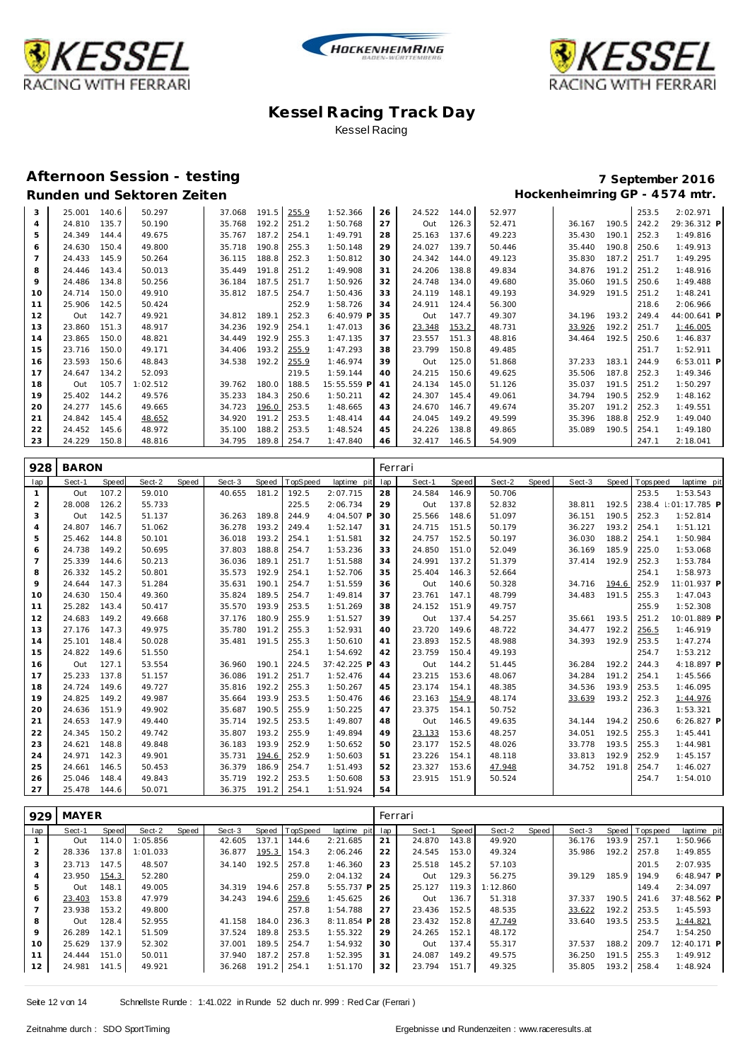





### **Afternoon Session - testing 7 September 2016**

# Runden und Sektoren Zeiten **Munden und Sektoren Zeiten Hockenheimring GP** - 4574 mtr.

| 3  | 25.001 | 140.6 | 50.297   | 37.068 | 191.5 | 255.9 | 1:52.366    | 26 | 24.522 | 144.0 | 52.977 |        |       | 253.5 | 2:02.971     |
|----|--------|-------|----------|--------|-------|-------|-------------|----|--------|-------|--------|--------|-------|-------|--------------|
| 4  | 24.810 | 135.7 | 50.190   | 35.768 | 192.2 | 251.2 | 1:50.768    | 27 | Out    | 126.3 | 52.471 | 36.167 | 190.5 | 242.2 | 29:36.312 P  |
| 5  | 24.349 | 144.4 | 49.675   | 35.767 | 187.2 | 254.1 | 1:49.791    | 28 | 25.163 | 137.6 | 49.223 | 35.430 | 190.1 | 252.3 | 1:49.816     |
| 6  | 24.630 | 150.4 | 49.800   | 35.718 | 190.8 | 255.3 | 1:50.148    | 29 | 24.027 | 139.7 | 50.446 | 35.440 | 190.8 | 250.6 | 1:49.913     |
|    | 24.433 | 145.9 | 50.264   | 36.115 | 188.8 | 252.3 | 1:50.812    | 30 | 24.342 | 144.0 | 49.123 | 35.830 | 187.2 | 251.7 | 1:49.295     |
| 8  | 24.446 | 143.4 | 50.013   | 35.449 | 191.8 | 251.2 | 1:49.908    | 31 | 24.206 | 138.8 | 49.834 | 34.876 | 191.2 | 251.2 | 1:48.916     |
| 9  | 24.486 | 134.8 | 50.256   | 36.184 | 187.5 | 251.7 | 1:50.926    | 32 | 24.748 | 134.0 | 49.680 | 35.060 | 191.5 | 250.6 | 1:49.488     |
| 10 | 24.714 | 150.0 | 49.910   | 35.812 | 187.5 | 254.7 | 1:50.436    | 33 | 24.119 | 148.1 | 49.193 | 34.929 | 191.5 | 251.2 | 1:48.241     |
| 11 | 25.906 | 142.5 | 50.424   |        |       | 252.9 | 1:58.726    | 34 | 24.911 | 124.4 | 56.300 |        |       | 218.6 | 2:06.966     |
| 12 | Out    | 142.7 | 49.921   | 34.812 | 189.1 | 252.3 | 6:40.979 P  | 35 | Out    | 147.7 | 49.307 | 34.196 | 193.2 | 249.4 | 44:00.641 P  |
| 13 | 23.860 | 151.3 | 48.917   | 34.236 | 192.9 | 254.1 | 1:47.013    | 36 | 23.348 | 153.2 | 48.731 | 33.926 | 192.2 | 251.7 | 1:46.005     |
| 14 | 23.865 | 150.0 | 48.821   | 34.449 | 192.9 | 255.3 | 1:47.135    | 37 | 23.557 | 151.3 | 48.816 | 34.464 | 192.5 | 250.6 | 1:46.837     |
| 15 | 23.716 | 150.0 | 49.171   | 34.406 | 193.2 | 255.9 | 1:47.293    | 38 | 23.799 | 150.8 | 49.485 |        |       | 251.7 | 1:52.911     |
| 16 | 23.593 | 150.6 | 48.843   | 34.538 | 192.2 | 255.9 | 1:46.974    | 39 | Out    | 125.0 | 51.868 | 37.233 | 183.1 | 244.9 | $6:53.011$ P |
| 17 | 24.647 | 134.2 | 52.093   |        |       | 219.5 | 1:59.144    | 40 | 24.215 | 150.6 | 49.625 | 35.506 | 187.8 | 252.3 | 1:49.346     |
| 18 | Out    | 105.7 | 1:02.512 | 39.762 | 180.0 | 188.5 | 15:55.559 P | 41 | 24.134 | 145.0 | 51.126 | 35.037 | 191.5 | 251.2 | 1:50.297     |
| 19 | 25.402 | 144.2 | 49.576   | 35.233 | 184.3 | 250.6 | 1:50.211    | 42 | 24.307 | 145.4 | 49.061 | 34.794 | 190.5 | 252.9 | 1:48.162     |
| 20 | 24.277 | 145.6 | 49.665   | 34.723 | 196.0 | 253.5 | 1:48.665    | 43 | 24.670 | 146.7 | 49.674 | 35.207 | 191.2 | 252.3 | 1:49.551     |
| 21 | 24.842 | 145.4 | 48.652   | 34.920 | 191.2 | 253.5 | 1:48.414    | 44 | 24.045 | 149.2 | 49.599 | 35.396 | 188.8 | 252.9 | 1:49.040     |
| 22 | 24.452 | 145.6 | 48.972   | 35.100 | 188.2 | 253.5 | 1:48.524    | 45 | 24.226 | 138.8 | 49.865 | 35.089 | 190.5 | 254.1 | 1:49.180     |
| 23 | 24.229 | 150.8 | 48.816   | 34.795 | 189.8 | 254.7 | 1:47.840    | 46 | 32.417 | 146.5 | 54.909 |        |       | 247.1 | 2:18.041     |

| 928            | <b>BARON</b> |       |        |       |        |       |          |             |     | Ferrari |       |        |       |        |       |            |                     |
|----------------|--------------|-------|--------|-------|--------|-------|----------|-------------|-----|---------|-------|--------|-------|--------|-------|------------|---------------------|
| lap            | Sect-1       | Speed | Sect-2 | Speed | Sect-3 | Speed | TopSpeed | laptime pit | lap | Sect-1  | Speed | Sect-2 | Speed | Sect-3 | Speed | T ops peed | laptime pit         |
| 1              | Out          | 107.2 | 59.010 |       | 40.655 | 181.2 | 192.5    | 2:07.715    | 28  | 24.584  | 146.9 | 50.706 |       |        |       | 253.5      | 1:53.543            |
| 2              | 28.008       | 126.2 | 55.733 |       |        |       | 225.5    | 2:06.734    | 29  | Out     | 137.8 | 52.832 |       | 38.811 | 192.5 |            | 238.4 : 01:17.785 P |
| 3              | Out          | 142.5 | 51.137 |       | 36.263 | 189.8 | 244.9    | 4:04.507 P  | 30  | 25.566  | 148.6 | 51.097 |       | 36.151 | 190.5 | 252.3      | 1:52.814            |
| $\overline{4}$ | 24.807       | 146.7 | 51.062 |       | 36.278 | 193.2 | 249.4    | 1:52.147    | 31  | 24.715  | 151.5 | 50.179 |       | 36.227 | 193.2 | 254.1      | 1:51.121            |
| 5              | 25.462       | 144.8 | 50.101 |       | 36.018 | 193.2 | 254.1    | 1:51.581    | 32  | 24.757  | 152.5 | 50.197 |       | 36.030 | 188.2 | 254.1      | 1:50.984            |
| 6              | 24.738       | 149.2 | 50.695 |       | 37.803 | 188.8 | 254.7    | 1:53.236    | 33  | 24.850  | 151.0 | 52.049 |       | 36.169 | 185.9 | 225.0      | 1:53.068            |
| $\overline{7}$ | 25.339       | 144.6 | 50.213 |       | 36.036 | 189.1 | 251.7    | 1:51.588    | 34  | 24.991  | 137.2 | 51.379 |       | 37.414 | 192.9 | 252.3      | 1:53.784            |
| 8              | 26.332       | 145.2 | 50.801 |       | 35.573 | 192.9 | 254.1    | 1:52.706    | 35  | 25.404  | 146.3 | 52.664 |       |        |       | 254.1      | 1:58.973            |
| 9              | 24.644       | 147.3 | 51.284 |       | 35.631 | 190.1 | 254.7    | 1:51.559    | 36  | Out     | 140.6 | 50.328 |       | 34.716 | 194.6 | 252.9      | 11:01.937 P         |
| 10             | 24.630       | 150.4 | 49.360 |       | 35.824 | 189.5 | 254.7    | 1:49.814    | 37  | 23.761  | 147.1 | 48.799 |       | 34.483 | 191.5 | 255.3      | 1:47.043            |
| 11             | 25.282       | 143.4 | 50.417 |       | 35.570 | 193.9 | 253.5    | 1:51.269    | 38  | 24.152  | 151.9 | 49.757 |       |        |       | 255.9      | 1:52.308            |
| 12             | 24.683       | 149.2 | 49.668 |       | 37.176 | 180.9 | 255.9    | 1:51.527    | 39  | Out     | 137.4 | 54.257 |       | 35.661 | 193.5 | 251.2      | 10:01.889 P         |
| 13             | 27.176       | 147.3 | 49.975 |       | 35.780 | 191.2 | 255.3    | 1:52.931    | 40  | 23.720  | 149.6 | 48.722 |       | 34.477 | 192.2 | 256.5      | 1:46.919            |
| 14             | 25.101       | 148.4 | 50.028 |       | 35.481 | 191.5 | 255.3    | 1:50.610    | 41  | 23.893  | 152.5 | 48.988 |       | 34.393 | 192.9 | 253.5      | 1:47.274            |
| 15             | 24.822       | 149.6 | 51.550 |       |        |       | 254.1    | 1:54.692    | 42  | 23.759  | 150.4 | 49.193 |       |        |       | 254.7      | 1:53.212            |
| 16             | Out          | 127.1 | 53.554 |       | 36.960 | 190.1 | 224.5    | 37:42.225 P | 43  | Out     | 144.2 | 51.445 |       | 36.284 | 192.2 | 244.3      | 4:18.897 P          |
| 17             | 25.233       | 137.8 | 51.157 |       | 36.086 | 191.2 | 251.7    | 1:52.476    | 44  | 23.215  | 153.6 | 48.067 |       | 34.284 | 191.2 | 254.1      | 1:45.566            |
| 18             | 24.724       | 149.6 | 49.727 |       | 35.816 | 192.2 | 255.3    | 1:50.267    | 45  | 23.174  | 154.1 | 48.385 |       | 34.536 | 193.9 | 253.5      | 1:46.095            |
| 19             | 24.825       | 149.2 | 49.987 |       | 35.664 | 193.9 | 253.5    | 1:50.476    | 46  | 23.163  | 154.9 | 48.174 |       | 33.639 | 193.2 | 252.3      | 1:44.976            |
| 20             | 24.636       | 151.9 | 49.902 |       | 35.687 | 190.5 | 255.9    | 1:50.225    | 47  | 23.375  | 154.1 | 50.752 |       |        |       | 236.3      | 1:53.321            |
| 21             | 24.653       | 147.9 | 49.440 |       | 35.714 | 192.5 | 253.5    | 1:49.807    | 48  | Out     | 146.5 | 49.635 |       | 34.144 | 194.2 | 250.6      | $6:26.827$ P        |
| 22             | 24.345       | 150.2 | 49.742 |       | 35.807 | 193.2 | 255.9    | 1:49.894    | 49  | 23.133  | 153.6 | 48.257 |       | 34.051 | 192.5 | 255.3      | 1:45.441            |
| 23             | 24.621       | 148.8 | 49.848 |       | 36.183 | 193.9 | 252.9    | 1:50.652    | 50  | 23.177  | 152.5 | 48.026 |       | 33.778 | 193.5 | 255.3      | 1:44.981            |
| 24             | 24.971       | 142.3 | 49.901 |       | 35.731 | 194.6 | 252.9    | 1:50.603    | 51  | 23.226  | 154.1 | 48.118 |       | 33.813 | 192.9 | 252.9      | 1:45.157            |
| 25             | 24.661       | 146.5 | 50.453 |       | 36.379 | 186.9 | 254.7    | 1:51.493    | 52  | 23.327  | 153.6 | 47.948 |       | 34.752 | 191.8 | 254.7      | 1:46.027            |
| 26             | 25.046       | 148.4 | 49.843 |       | 35.719 | 192.2 | 253.5    | 1:50.608    | 53  | 23.915  | 151.9 | 50.524 |       |        |       | 254.7      | 1:54.010            |
| 27             | 25.478       | 144.6 | 50.071 |       | 36.375 | 191.2 | 254.1    | 1:51.924    | 54  |         |       |        |       |        |       |            |                     |

| 929            | MAYER  |       |          |       |        |       |                |              | Ferrari |        |       |          |       |        |       |                |              |  |
|----------------|--------|-------|----------|-------|--------|-------|----------------|--------------|---------|--------|-------|----------|-------|--------|-------|----------------|--------------|--|
| lap            | Sect-1 | Speed | Sect-2   | Speed | Sect-3 |       | Speed TopSpeed | laptime pit  | lap     | Sect-1 | Speed | Sect-2   | Speed | Sect-3 |       | Speed Topspeed | laptime pit  |  |
|                | Out    | 114.0 | 1:05.856 |       | 42.605 | 137.1 | 144.6          | 2:21.685     | 21      | 24.870 | 143.8 | 49.920   |       | 36.176 | 193.9 | 257.1          | 1:50.966     |  |
| 2              | 28.336 | 137.8 | 1:01.033 |       | 36.877 | 195.3 | 154.3          | 2:06.246     | 22      | 24.545 | 153.0 | 49.324   |       | 35.986 | 192.2 | 257.8          | 1:49.855     |  |
| 3              | 23.713 | 147.5 | 48.507   |       | 34.140 | 192.5 | 257.8          | 1:46.360     | 23      | 25.518 | 145.2 | 57.103   |       |        |       | 201.5          | 2:07.935     |  |
| $\overline{4}$ | 23.950 | 154.3 | 52.280   |       |        |       | 259.0          | 2:04.132     | 24      | Out    | 129.3 | 56.275   |       | 39.129 | 185.9 | 194.9          | $6:48.947$ P |  |
| 5              | Out    | 148.1 | 49.005   |       | 34.319 | 194.6 | 257.8          | $5:55.737$ P | 25      | 25.127 | 119.3 | 1:12.860 |       |        |       | 149.4          | 2:34.097     |  |
| 6              | 23.403 | 153.8 | 47.979   |       | 34.243 | 194.6 | 259.6          | 1:45.625     | 26      | Out    | 136.7 | 51.318   |       | 37.337 | 190.5 | 241.6          | 37:48.562 P  |  |
|                | 23.938 | 153.2 | 49.800   |       |        |       | 257.8          | 1:54.788     | 27      | 23.436 | 152.5 | 48.535   |       | 33.622 | 192.2 | 253.5          | 1:45.593     |  |
| 8              | Out    | 128.4 | 52.955   |       | 41.158 | 184.0 | 236.3          | $8:11.854$ P | 28      | 23.432 | 152.8 | 47.749   |       | 33.640 | 193.5 | 253.5          | 1:44.821     |  |
| 9              | 26.289 | 142.1 | 51.509   |       | 37.524 | 189.8 | 253.5          | 1:55.322     | 29      | 24.265 | 152.1 | 48.172   |       |        |       | 254.7          | 1:54.250     |  |
| 10             | 25.629 | 137.9 | 52.302   |       | 37.001 | 189.5 | 254.7          | 1:54.932     | 30      | Out    | 137.4 | 55.317   |       | 37.537 | 188.2 | 209.7          | 12:40.171 P  |  |
| 11             | 24.444 | 151.0 | 50.011   |       | 37.940 | 187.2 | 257.8          | 1:52.395     | 31      | 24.087 | 149.2 | 49.575   |       | 36.250 | 191.5 | 255.3          | 1:49.912     |  |
| 12             | 24.981 | 141.5 | 49.921   |       | 36.268 | 191.2 | 254.1          | 1:51.170     | 32      | 23.794 | 151.7 | 49.325   |       | 35.805 | 193.2 | 258.4          | 1:48.924     |  |
|                |        |       |          |       |        |       |                |              |         |        |       |          |       |        |       |                |              |  |

Seite 12 v on 14 Schnellste Runde : 1:41.022 in Runde 52 duch nr. 999 : Red Car (Ferrari )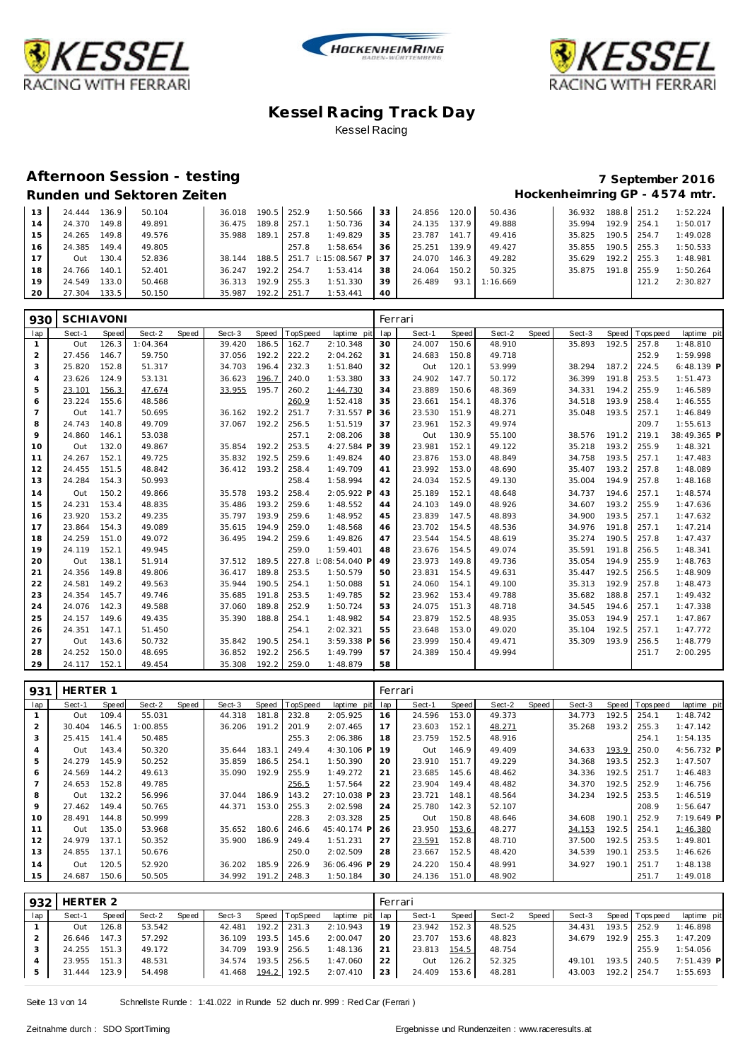





### **Afternoon Session - testing 7 September 2016**

## Runden und Sektoren Zeiten **Munden und Sektoren Zeiten Hockenheimring GP** - 4574 mtr.

| 13 | 24.444 | 136.9   | 50.104 | 36.018 |       | 190.5 252.9 | 1:50.566            | 33  | 24.856 | 120.0 | 50.436   | 36.932 |       | 188.8 251.2 | 1:52.224 |
|----|--------|---------|--------|--------|-------|-------------|---------------------|-----|--------|-------|----------|--------|-------|-------------|----------|
| 14 | 24.370 | 149.8   | 49.891 | 36.475 | 189.8 | 257.1       | 1:50.736            | 34  | 24.135 | 137.9 | 49.888   | 35.994 | 192.9 | 254.1       | 1:50.017 |
| 15 | 24.265 | 149.8   | 49.576 | 35.988 | 189.1 | 257.8       | 1:49.829            | 35  | 23.787 | 141.7 | 49.416   | 35.825 | 190.5 | 254.7       | 1:49.028 |
| 16 | 24.385 | 149.4   | 49.805 |        |       | 257.8       | 1:58.654            | 36  | 25.251 | 139.9 | 49.427   | 35.855 | 190.5 | 255.3       | 1:50.533 |
| 17 | Out    | 130.4 l | 52.836 | 38.144 | 188.5 |             | 251.7 : 15:08.567 P | -37 | 24.070 | 146.3 | 49.282   | 35.629 | 192.2 | 255.3       | 1:48.981 |
| 18 | 24.766 | 140.7   | 52.401 | 36.247 | 192.2 | 254.7       | 1:53.414            | 38  | 24.064 | 150.2 | 50.325   | 35.875 | 191.8 | 255.9       | 1:50.264 |
| 19 | 24.549 | 133.0   | 50.468 | 36.313 | 192.9 | 255.3       | 1:51.330            | 39  | 26.489 | 93.   | 1:16.669 |        |       | 121.2       | 2:30.827 |
| 20 | 27.304 | 133.5   | 50.150 | 35.987 | 192.2 | 251.7       | 1:53.441            | 40  |        |       |          |        |       |             |          |

| 930            | <b>SCHIAVONI</b> |       |          |       |        |       |          |               |     | Ferrari |       |        |       |        |       |            |             |
|----------------|------------------|-------|----------|-------|--------|-------|----------|---------------|-----|---------|-------|--------|-------|--------|-------|------------|-------------|
| lap            | Sect-1           | Speed | Sect-2   | Speed | Sect-3 | Speed | TopSpeed | laptime pit   | lap | Sect-1  | Speed | Sect-2 | Speed | Sect-3 | Speed | T ops peed | laptime pit |
| $\mathbf{1}$   | Out              | 126.3 | 1:04.364 |       | 39.420 | 186.5 | 162.7    | 2:10.348      | 30  | 24.007  | 150.6 | 48.910 |       | 35.893 | 192.5 | 257.8      | 1:48.810    |
| 2              | 27.456           | 146.7 | 59.750   |       | 37.056 | 192.2 | 222.2    | 2:04.262      | 31  | 24.683  | 150.8 | 49.718 |       |        |       | 252.9      | 1:59.998    |
| 3              | 25.820           | 152.8 | 51.317   |       | 34.703 | 196.4 | 232.3    | 1:51.840      | 32  | Out     | 120.1 | 53.999 |       | 38.294 | 187.2 | 224.5      | 6:48.139 P  |
| $\overline{4}$ | 23.626           | 124.9 | 53.131   |       | 36.623 | 196.7 | 240.0    | 1:53.380      | 33  | 24.902  | 147.7 | 50.172 |       | 36.399 | 191.8 | 253.5      | 1:51.473    |
| 5              | 23.101           | 156.3 | 47.674   |       | 33.955 | 195.7 | 260.2    | 1:44.730      | 34  | 23.889  | 150.6 | 48.369 |       | 34.331 | 194.2 | 255.9      | 1:46.589    |
| 6              | 23.224           | 155.6 | 48.586   |       |        |       | 260.9    | 1:52.418      | 35  | 23.661  | 154.1 | 48.376 |       | 34.518 | 193.9 | 258.4      | 1:46.555    |
| $\overline{7}$ | Out              | 141.7 | 50.695   |       | 36.162 | 192.2 | 251.7    | 7:31.557 P    | 36  | 23.530  | 151.9 | 48.271 |       | 35.048 | 193.5 | 257.1      | 1:46.849    |
| 8              | 24.743           | 140.8 | 49.709   |       | 37.067 | 192.2 | 256.5    | 1:51.519      | 37  | 23.961  | 152.3 | 49.974 |       |        |       | 209.7      | 1:55.613    |
| 9              | 24.860           | 146.1 | 53.038   |       |        |       | 257.1    | 2:08.206      | 38  | Out     | 130.9 | 55.100 |       | 38.576 | 191.2 | 219.1      | 38:49.365 P |
| 10             | Out              | 132.0 | 49.867   |       | 35.854 | 192.2 | 253.5    | 4:27.584 F    | 39  | 23.981  | 152.1 | 49.122 |       | 35.218 | 193.2 | 255.9      | 1:48.321    |
| 11             | 24.267           | 152.1 | 49.725   |       | 35.832 | 192.5 | 259.6    | 1:49.824      | 40  | 23.876  | 153.0 | 48.849 |       | 34.758 | 193.5 | 257.1      | 1:47.483    |
| 12             | 24.455           | 151.5 | 48.842   |       | 36.412 | 193.2 | 258.4    | 1:49.709      | 41  | 23.992  | 153.0 | 48.690 |       | 35.407 | 193.2 | 257.8      | 1:48.089    |
| 13             | 24.284           | 154.3 | 50.993   |       |        |       | 258.4    | 1:58.994      | 42  | 24.034  | 152.5 | 49.130 |       | 35.004 | 194.9 | 257.8      | 1:48.168    |
| 14             | Out              | 150.2 | 49.866   |       | 35.578 | 193.2 | 258.4    | 2:05.922 F    | 43  | 25.189  | 152.1 | 48.648 |       | 34.737 | 194.6 | 257.1      | 1:48.574    |
| 15             | 24.231           | 153.4 | 48.835   |       | 35.486 | 193.2 | 259.6    | 1:48.552      | 44  | 24.103  | 149.0 | 48.926 |       | 34.607 | 193.2 | 255.9      | 1:47.636    |
| 16             | 23.920           | 153.2 | 49.235   |       | 35.797 | 193.9 | 259.6    | 1:48.952      | 45  | 23.839  | 147.5 | 48.893 |       | 34.900 | 193.5 | 257.1      | 1:47.632    |
| 17             | 23.864           | 154.3 | 49.089   |       | 35.615 | 194.9 | 259.0    | 1:48.568      | 46  | 23.702  | 154.5 | 48.536 |       | 34.976 | 191.8 | 257.1      | 1:47.214    |
| 18             | 24.259           | 151.0 | 49.072   |       | 36.495 | 194.2 | 259.6    | 1:49.826      | 47  | 23.544  | 154.5 | 48.619 |       | 35.274 | 190.5 | 257.8      | 1:47.437    |
| 19             | 24.119           | 152.1 | 49.945   |       |        |       | 259.0    | 1:59.401      | 48  | 23.676  | 154.5 | 49.074 |       | 35.591 | 191.8 | 256.5      | 1:48.341    |
| 20             | Out              | 138.1 | 51.914   |       | 37.512 | 189.5 | 227.8    | : 08:54.040 P | 49  | 23.973  | 149.8 | 49.736 |       | 35.054 | 194.9 | 255.9      | 1:48.763    |
| 21             | 24.356           | 149.8 | 49.806   |       | 36.417 | 189.8 | 253.5    | 1:50.579      | 50  | 23.831  | 154.5 | 49.631 |       | 35.447 | 192.5 | 256.5      | 1:48.909    |
| 22             | 24.581           | 149.2 | 49.563   |       | 35.944 | 190.5 | 254.1    | 1:50.088      | 51  | 24.060  | 154.1 | 49.100 |       | 35.313 | 192.9 | 257.8      | 1:48.473    |
| 23             | 24.354           | 145.7 | 49.746   |       | 35.685 | 191.8 | 253.5    | 1:49.785      | 52  | 23.962  | 153.4 | 49.788 |       | 35.682 | 188.8 | 257.1      | 1:49.432    |
| 24             | 24.076           | 142.3 | 49.588   |       | 37.060 | 189.8 | 252.9    | 1:50.724      | 53  | 24.075  | 151.3 | 48.718 |       | 34.545 | 194.6 | 257.1      | 1:47.338    |
| 25             | 24.157           | 149.6 | 49.435   |       | 35.390 | 188.8 | 254.1    | 1:48.982      | 54  | 23.879  | 152.5 | 48.935 |       | 35.053 | 194.9 | 257.1      | 1:47.867    |
| 26             | 24.351           | 147.1 | 51.450   |       |        |       | 254.1    | 2:02.321      | 55  | 23.648  | 153.0 | 49.020 |       | 35.104 | 192.5 | 257.1      | 1:47.772    |
| 27             | Out              | 143.6 | 50.732   |       | 35.842 | 190.5 | 254.1    | 3:59.338 P    | 56  | 23.999  | 150.4 | 49.471 |       | 35.309 | 193.9 | 256.5      | 1:48.779    |
| 28             | 24.252           | 150.0 | 48.695   |       | 36.852 | 192.2 | 256.5    | 1:49.799      | 57  | 24.389  | 150.4 | 49.994 |       |        |       | 251.7      | 2:00.295    |
| 29             | 24.117           | 152.1 | 49.454   |       | 35.308 | 192.2 | 259.0    | 1:48.879      | 58  |         |       |        |       |        |       |            |             |

| 931 | <b>HERTER 1</b> |       |          |       |        |       |          |             | Ferrari |        |       |        |       |        |       |                  |             |
|-----|-----------------|-------|----------|-------|--------|-------|----------|-------------|---------|--------|-------|--------|-------|--------|-------|------------------|-------------|
| lap | Sect-1          | Speed | Sect-2   | Speed | Sect-3 | Speed | TopSpeed | laptime pit | lap     | Sect-1 | Speed | Sect-2 | Speed | Sect-3 |       | Speed   Topspeed | laptime pit |
|     | Out             | 109.4 | 55.031   |       | 44.318 | 181.8 | 232.8    | 2:05.925    | 16      | 24.596 | 153.0 | 49.373 |       | 34.773 | 192.5 | 254.1            | 1:48.742    |
| 2   | 30.404          | 146.5 | 1:00.855 |       | 36.206 | 191.2 | 201.9    | 2:07.465    | 17      | 23.603 | 152.1 | 48.271 |       | 35.268 | 193.2 | 255.3            | 1:47.142    |
| 3   | 25.415          | 141.4 | 50.485   |       |        |       | 255.3    | 2:06.386    | 18      | 23.759 | 152.5 | 48.916 |       |        |       | 254.1            | 1:54.135    |
| 4   | Out             | 143.4 | 50.320   |       | 35.644 | 183.1 | 249.4    | 4:30.106 P  | 19      | Out    | 146.9 | 49.409 |       | 34.633 | 193.9 | 250.0            | 4:56.732 P  |
| 5   | 24.279          | 145.9 | 50.252   |       | 35.859 | 186.5 | 254.1    | 1:50.390    | 20      | 23.910 | 151.7 | 49.229 |       | 34.368 | 193.5 | 252.3            | 1:47.507    |
| 6   | 24.569          | 144.2 | 49.613   |       | 35.090 | 192.9 | 255.9    | 1:49.272    | 21      | 23.685 | 145.6 | 48.462 |       | 34.336 | 192.5 | 251.7            | 1:46.483    |
|     | 24.653          | 152.8 | 49.785   |       |        |       | 256.5    | 1:57.564    | 22      | 23.904 | 149.4 | 48.482 |       | 34.370 | 192.5 | 252.9            | 1:46.756    |
| 8   | Out             | 132.2 | 56.996   |       | 37.044 | 186.9 | 143.2    | 27:10.038 P | 23      | 23.721 | 148.1 | 48.564 |       | 34.234 | 192.5 | 253.5            | 1:46.519    |
| 9   | 27.462          | 149.4 | 50.765   |       | 44.371 | 153.0 | 255.3    | 2:02.598    | 24      | 25.780 | 142.3 | 52.107 |       |        |       | 208.9            | 1:56.647    |
| 10  | 28.491          | 144.8 | 50.999   |       |        |       | 228.3    | 2:03.328    | 25      | Out    | 150.8 | 48.646 |       | 34.608 | 190.1 | 252.9            | 7:19.649 P  |
| 11  | Out             | 135.0 | 53.968   |       | 35.652 | 180.6 | 246.6    | 45:40.174 P | 26      | 23.950 | 153.6 | 48.277 |       | 34.153 | 192.5 | 254.1            | 1:46.380    |
| 12  | 24.979          | 137.1 | 50.352   |       | 35.900 | 186.9 | 249.4    | 1:51.231    | 27      | 23.591 | 152.8 | 48.710 |       | 37.500 | 192.5 | 253.5            | 1:49.801    |
| 13  | 24.855          | 137.1 | 50.676   |       |        |       | 250.0    | 2:02.509    | 28      | 23.667 | 152.5 | 48.420 |       | 34.539 | 190.1 | 253.5            | 1:46.626    |
| 14  | Out             | 120.5 | 52.920   |       | 36.202 | 185.9 | 226.9    | 36:06.496 P | 29      | 24.220 | 150.4 | 48.991 |       | 34.927 | 190.1 | 251.7            | 1:48.138    |
| 15  | 24.687          | 150.6 | 50.505   |       | 34.992 | 191.2 | 248.3    | 1:50.184    | 30      | 24.136 | 151.0 | 48.902 |       |        |       | 251.7            | 1:49.018    |

| 932 | HERTER 2     |              |        |       |        |       |                |                 | Ferrari |              |       |        |       |        |                 |              |
|-----|--------------|--------------|--------|-------|--------|-------|----------------|-----------------|---------|--------------|-------|--------|-------|--------|-----------------|--------------|
| lap | Sect-1       | Speed        | Sect-2 | Speed | Sect-3 |       | Speed TopSpeed | laptime pit lap |         | Sect-1       | Speed | Sect-2 | Speed | Sect-3 | Speed Tops peed | laptime pit  |
|     | Out          | 126.8        | 53.542 |       | 42.481 |       | $192.2$ 231.3  | 2:10.943        | 19      | 23.942       | 152.3 | 48.525 |       | 34.431 | 193.5 252.9     | 1:46.898     |
|     |              | 26.646 147.3 | 57.292 |       | 36.109 | 193.5 | 145.6          | 2:00.047        | -20     | 23.707       | 153.6 | 48.823 |       | 34.679 | 192.9 255.3     | 1:47.209     |
|     | 24.255 151.3 |              | 49.172 |       | 34.709 |       | 193.9 256.5    | 1:48.136        | 21      | 23.813 154.5 |       | 48.754 |       |        | 255.9           | 1:54.056     |
|     | 23.955       | 151.3        | 48.531 |       | 34.574 |       | 193.5 256.5    | 1:47.060        | 22      | Out          | 126.2 | 52.325 |       | 49.101 | 193.5 240.5     | $7:51.439$ P |
|     | 31.444 123.9 |              | 54.498 |       | 41.468 |       | 194.2 192.5    | 2:07.410        | 23      | 24.409       | 153.6 | 48.281 |       | 43.003 | 192.2 254.7     | 1:55.693     |

Seite 13 v on 14 Schnellste Runde : 1:41.022 in Runde 52 duch nr. 999 : Red Car (Ferrari )